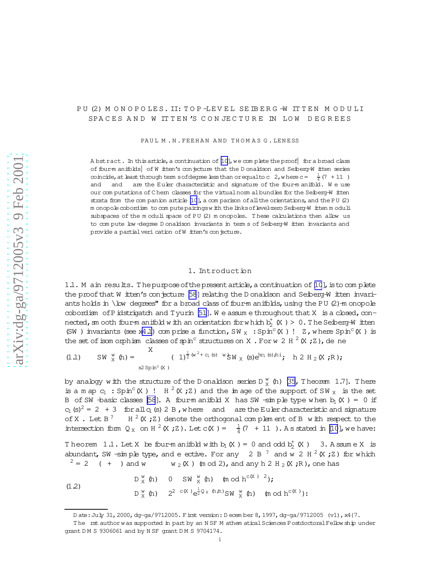# <span id="page-0-0"></span>PU (2) M ON OPOLES. II: TOP-LEVEL SE IBERG -W ITTEN M ODULI SPACES AND W ITTEN'S CONJECTURE IN LOW DEGREES

PAUL M.N. FEEHAN AND THOMAS G. LENESS

A bstract. In this article, a continuation of  $[10]$ , we complete the proof for a broad class of four-m anifolds| of W itten's conjecture that the D onaldson and Seiberg-W itten series coincide, at least through term sofdegree less than or equal to c 2, where  $c = \frac{1}{4}(7 + 11)$ and and are the Euler characteristic and signature of the four-m anifold. We use our com putations of C hern classes for the virtual norm albundles for the Seiberg-W itten strata from the com panion article  $[10]$ , a com parison of all the orientations, and the PU  $(2)$ m onopolecobordism to com putepairingsw ith thelinksoflevel-zero Seiberg-W itten m oduli subspaces of the m oduli space of PU (2) m onopoles. T hese calculations then allow us to com pute low -degree D onaldson invariants in term s of Seiberg-W itten invariants and provide a partial veri cation of W itten's conjecture.

### 1. Introduction

1.1. M ain results. The purpose of the present article, a continuation of  $[10]$  $[10]$ , is to complete the proof that W itten's conjecture [\[58](#page-64-0)] relating the D onaldson and Seiberg-W itten invariants holds in \low degrees" for a broad class of four-m anifolds, using the PU  $(2)$ -m onopole cobordism of Pidstrigatch and Tyurin [\[51](#page-64-0)]. We assume throughout that  $X$  is a closed, connected, sm ooth four-m anifold w ith an orientation for which  $b_2^{\dagger}$  (X ) > 0. The Seiberg-W itten (SW) invariants (see x[4.1](#page-42-0)) com prise a function, SW  $_X :$  Spin<sup>c</sup> (X) ! Z, where Spin<sup>c</sup> (X) is the set of isom orphism classes of spin<sup>c</sup> structures on X . For w 2 H  $^2$  (X ; Z ), de ne

(1.1) 
$$
SW_{X}^{w}(h) = \sum_{s2 \text{ Spin}^{c}(X)} (1)^{\frac{1}{2}(w^{2}+c_{1}(s)-w)}SW_{X}(s)e^{bc_{1}(s)h i}; h 2 H_{2}(X;R);
$$

by analogy with the structure of the D onaldson series D  $^{\text{w}}_{\text{X}}$  (h) [\[35,](#page-64-0) T heorem 1.7]. There is a m ap  $c_1 : Spin^c(X)$  !  $H^2(X;Z)$  and the image of the support of SW<sub>X</sub> is the set B of SW -basic classes [\[58](#page-64-0)]. A four-manifold X has SW -simple type when  $b_1(X) = 0$  if  $c_1$  (s)<sup>2</sup> = 2 + 3 for all  $c_1$  (s) 2 B, w here and are the Euler characteristic and signature of X . Let  $B^?$ H  $^2$  (X ; Z) denote the orthogonal complem ent of B with respect to the intersection form  $Q_X$  on  $H^2(K; Z)$ . Let  $c(K) = \frac{1}{4}(7 + 11)$ . As stated in [\[10](#page-63-0)], we have:

Theorem 1.1. Let X be four-manifold with  $b_1$  (X) = 0 and odd  $b_2^+$  (X) 3. Assume X is abundant, SW -simple type, and e ective. For any 2 B<sup>?</sup> and w 2 H<sup>2</sup> (X; Z) for which  $2 = 2$  ( + ) and w  $w_2(X)$  (mod 2), and any h 2 H  $_2$  (X ;R), one has

(1.2) 
$$
D_X^w(h)
$$
 0  $SW_X^w(h)$  (mod  $h^{c(X)}^2$ );  
\n $D_X^w(h)$   $2^{2 c(X)}e^{\frac{1}{2}Q_X(h,h)}SW_X^w(h)$  (mod  $h^{c(X)}$ ):

Date:July 31,2000,dg-ga/9712005. First version: December 8,1997,dg-ga/9712005 (v1),x4{7.

The rst author was supported in part by an NSF M athem atical Sciences Postdoctoral Fellow ship under grant D M S 9306061 and by N SF grant D M S 9704174.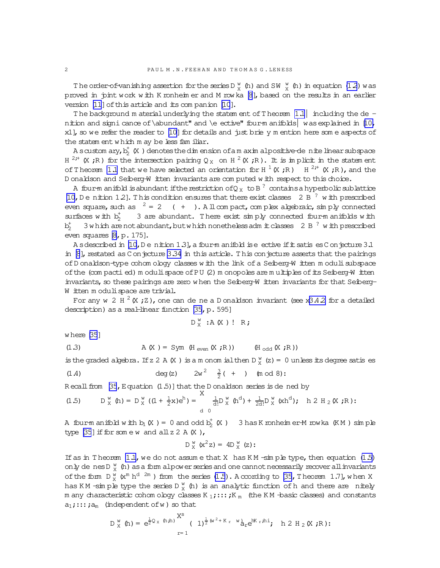The order-of-vanishing assertion for the series D  $_{X}^{W}$  (h) and SW  $_{X}^{W}$  (h) in equation (1.2) was proved in pint work with K ronheim er and M rowka [8], based on the results in an earlier version [11] of this article and its companion [10].

The background m aterial underlying the statem ent of Theorem  $1.1$  including the de nition and signi cance of \abundant" and \e ective" four-manifolds was explained in [10, x1], so we refer the reader to  $[10]$  for details and just brie y m ention here some aspects of the statem ent which m ay be less fam iliar.

A scustom ary,  $b_2^+$  (X) denotes the dimension of a m aximal positive-dentified in the argument  $a$ H<sup>2+</sup> (X ;R) for the intersection pairing Q<sub>X</sub> on H<sup>2</sup>(X ;R). It is implicit in the statement of Theorem 1.1 that we have selected an orientation for H  $^1$  (X;R) H  $^{2,1}$  (X;R), and the D onaldson and Seiberg-W itten invariants are computed with respect to this choice.

A four-m anifold is abundant if the restriction of Q<sub>x</sub> to B<sup>?</sup> contains a hyperbolic sublattice [10, D e nition 12]. This condition ensures that there exist classes 2 B<sup>?</sup> with prescribed even square, such as  $2 = 2 + 1$ . All compact, complex algebraic, simply connected 3 are abundant. There exist simply connected four-manifolds with surfaces with  $b_2^+$  $b^+$ 3 w hich are not abundant, but w hich nonetheless adm it classes 2 B<sup>2</sup> w ith prescribed even squares [8, p. 175].

A sdescribed in [10, D e nition 1.3], a four-m anifold is e ective if it satis es C on jecture 3.1 in  $[8]$ , restated as C on jecture 3.34 in this article. This conjecture asserts that the pairings of D onaldson-type cohom ology classes with the link of a Seiberg-W itten moduli subspace of the (compactied) modulispace of PU (2) monopoles are multiples of its Seiberg-W itten invariants, so these pairings are zero when the Seiberg-W itten invariants for that Seiberg-W itten moduli space are trivial.

For any w 2 H  $^2$  (X; Z), one can de ne a D onaldson invariant (see x3.4.2 for a detailed description) as a real-linear function [35, p. 595]

$$
D_{x}^{w}
$$
: $A(X)$ !  $R$ ;

where [35]

$$
(1.3) \t\t\t A(X) = Sym (Heven(X; R)) \t\t\t (Hodd(X; R))
$$

is the graded algebra. If z 2 A  $(X)$  is a m onom ial then  $D_{X}^{W}(z) = 0$  unless its degree satis es

(1.4) 
$$
deg(z) = 2w^2 - \frac{3}{2}(+)
$$
 (mod 8):

Recall from [35, Equation (1.5)] that the D onaldson series is de ned by

(1.5) 
$$
D_X^w(h) = D_X^w((1 + \frac{1}{2}x)e^h) = \int_{d}^{h} \frac{1}{d!}D_X^w(h^d) + \frac{1}{2d!}D_X^w(xh^d); h 2 H_2(K; R);
$$

A four-manifold with  $b_1$  (X) = 0 and odd  $b_2^+$  (X) 3 has K ronheim er-M rowka (KM) simple type [35] if for some  $w$  and  $all z 2 A(X)$ ,

$$
D_{x}^{w}(x^{2}z) = 4D_{x}^{w}(z)
$$
:

If as in Theorem  $1.1$ , we do not assume that X has KM -simple type, then equation  $(1.5)$ only de nes D  $_{\text{X}}^{\text{w}}$  (h) as a form alpower series and one cannot necessarily recover all invariants of the form  $D_{X}^{W}(x^{m} h^{d-2m})$  from the series  $(1.5)$ . A coording to [35, Theorem 1.7], when X has KM -simple type the series D  $\frac{w}{x}$  (h) is an analytic function of h and there are nitely m any characteristic cohom ology classes K  $_1$ ;::;  $_K$  (the KM -basic classes) and constants  $a_1$ ;::;  $a_m$  (independent of w) so that

$$
D_{X}^{w} (\hbar) = e^{\frac{1}{2} Q_{X} (\hbar, \hbar)} \int_{r=1}^{X^{S}} (1)^{\frac{1}{2} (w^{2} + K_{r} w)} d_{r} e^{iK_{r} \hbar i}; \quad h 2 H_{2} (X, R);
$$

<span id="page-1-0"></span> $\overline{2}$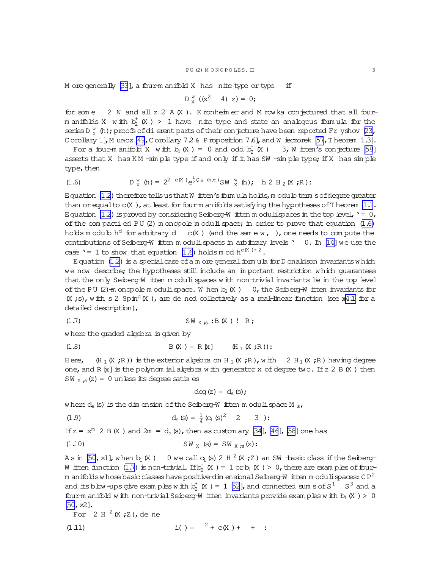<span id="page-2-0"></span>M ore generally [33], a four-manifold X has nite type or type if

$$
D_x^w
$$
 (x<sup>2</sup> 4) z) = 0;

for som e 2 N and all  $z$  2 A  $(X)$ . K ronheim er and M row ka conjectured that all fourm anifolds X with  $b_2^+(X) > 1$  have nite type and state an analogous formula for the series D  $\frac{W}{V}$  (h); proofs of dierent parts of their conjecture have been reported Fr yshov [23, Corollary 1], M unoz [49, Corollary 72 & P roposition 7.6], and W ieczorek [57, T heorem 1.3].

For a four-manifold X with  $b_1(X) = 0$  and odd  $b_2^+(X) = 3$ , W itten's conjecture [58] asserts that X has KM-simple type if and only if it has SW-simple type; if X has simple type, then

$$
(1.6) \quad D_Y^W(h) = 2^{2 \cdot c(X)} e^{\frac{1}{2} Q_X(h,h)} SW_Y^W(h); \quad h \; 2 \; H_2(X;R);
$$

E quation (12) therefore tells us that W itten's form ula holds, m odulo term sof degree greater than or equalto  $c(X)$ , at least for four-m anifolds satisfying the hypotheses of Theorem  $1.1$ . Equation (12) is proved by considering Seiberg-W itten moduli spaces in the top level,  $\prime = 0$ , of the compactied PU  $(2)$  m onopole m oduli space; in order to prove that equation  $(1.6)$ holds modulo h<sup>d</sup> for arbitrary d c(X) (and the same w, ), one needs to compute the contributions of Seiberg-W itten moduli spaces in arbitrary levels ' 0. In [14] we use the case '= 1 to show that equation (1.6) holds m od  $h^{c(X)+2}$ .

Equation  $(1,2)$  is a special case of a m ore general form ula for D onaldson invariants which we now describe; the hypotheses still include an important restriction which guarantees that the only Seiberg-W itten moduli spaces with non-trivial invariants lie in the top level of the PU (2)-m onopole m oduli space. W hen  $b_1(X)$  0, the Seiberg-W itten invariants for  $(X ; s)$ , with s 2 Spin<sup>c</sup>  $(X)$ , are de ned collectively as a real-linear function (see x4.1 for a detailed description),

$$
(1.7) \t\t\t\tSWX : B(X) ! R;
$$

where the graded algebra is given by

 $(H_1 \times ; R))$  is the exterior algebra on  $H_1 \times ; R$ ), with  $2 H_1 \times ; R$ ) having degree Here, one, and R  $[x]$  is the polynom ial algebra with generator x of degree two. If  $z$  2 B  $(X)$  then SW  $_X$  ; (z) = 0 unless its degree satis es

$$
\deg(z) = d_s(s);
$$

where  $d_s(s)$  is the dimension of the Seiberg-W itten moduli space M  $_s$ ,

$$
d_{s}(s) = \frac{1}{4} (c_{1}(s)^{2} \quad 2 \quad 3)
$$

If  $z = x^m$  2 B (X) and 2m = d<sub>s</sub> (s), then as custom ary [34], [46], [58] one has

(1.10) 
$$
SW_X(s) = SW_{X,s}(z)
$$
:

As in [50, x1], when  $b_1$  (X) 0 we call  $c_1$  (s) 2 H  $^2$  (X; Z) an SW -basic class if the Seiberg-W itten function (1.7) is non-trivial. If  $b_2^+(K) = 1$  or  $b_1(K) > 0$ , there are examples of fourm anifolds whose basic classes have positive dim ensional Seiberg-W itten moduli spaces:  $CP^2$ and its blow-ups give examples with  $b_2^+$  (X ) = 1 [52], and connected sum s of  $S^1$  S<sup>3</sup> and a four-m anifold with non-trivial Seiberg-W itten invariants provide examples with  $b_1(X) > 0$  $[50, x2]$ .

For  $2 H^2(X;Z)$ , de ne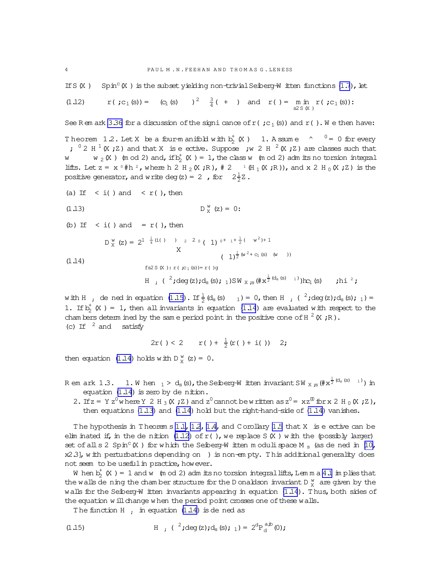<span id="page-3-0"></span>If S (X) Spin<sup>c</sup> (X) is the subset yielding non-trivial Seiberg-W itten functions (1.7), let

$$
(1.12) \quad r \cdot (r_1 \cdot (s)) = (c_1 \cdot (s)) \quad \frac{3}{4} \cdot (s) \quad \text{and} \quad r \cdot (s) = \min_{s \geq s \cdot (s)} r \cdot (r_1 \cdot (s))
$$

See Rem ark 3.36 for a discussion of the signicance of r( $;c_1(s)$ ) and r(). We then have:

Theorem 1.2. Let X be a four-manifold with  $b_2^{\dagger}$  (X) 1. Assume  $\sim$   $0 = 0$  for every ;  $0 \times 2$  H  $^1$  (X; Z) and that X is e ective. Suppose ; w 2 H  $^2$  (X; Z) are classes such that  $w_2(X)$  (m od 2) and, if  $b_2^+(X) = 1$ , the class w (m od 2) adm its no torsion integral W lifts. Let  $z = x^0 \#h^2$ , where  $h 2 H_2(X;R)$ ,  $\# 2$   $\#H_1(X;R)$ , and  $x 2 H_0(X;Z)$  is the positive generator, and write deg (z) = 2, for  $2\frac{1}{2}Z$ .

(a) If 
$$
\langle i \rangle
$$
 and  $\langle r \rangle$ , then  
\n(1.13)  
\n $D_X^w(z) = 0$ :  
\n(b) If  $\langle i \rangle$  and  $= r \langle \rangle$ , then  
\n $D_X^w(z) = 2^{1 - \frac{1}{4}(i \langle \rangle - 2)^2} (1)^{0 + 1 + \frac{1}{2}(\langle w^2 \rangle + 1)^2}$   
\nX

 $(1.14)$ 

$$
(1)^{\frac{1}{2}(w^{2}+c_{1}(s) - w)}\nfs2 S(X): r (c_{1}(s)) = r (g)\nH ; (2; deg(z); d_{s}(s); 1)SWX,s (\#x^{\frac{1}{2}(d_{s}(s) - 1)})rc_{1}(s) \text{; h i }^{2};
$$

with H ; de ned in equation (1.15). If  $\frac{1}{2}$  (d<sub>s</sub> (s)  $_1$  ) = 0, then H ; (<sup>2</sup>;deg(z);d<sub>s</sub>(s); 1) = 1. If  $b_2^{\dagger}$  (X) = 1, then all invariants in equation (1.14) are evaluated with respect to the cham bers determ ined by the same period point in the positive cone of H  $^2$  (X; R). (c) If  $^2$  and satisfy

$$
2r() < 2
$$
  $r() + \frac{1}{2}(r() + i())$  2;

then equation (1.14) holds with  $D_y^W$  (z) = 0.

- R em ark 1.3. 1. W hen  $_1 > d_s(s)$ , the Seiberg-W itten invariant SW  $_X$ ,  $_s$  (# $x^{\frac{1}{2}(d_s(s)-1)}$ ) in equation  $(1.14)$  is zero by de nition.
	- 2. If  $z = Y z^0 w$  here Y 2 H<sub>3</sub> (X; Z) and  $z^0$  cannot be written as  $z^0 = x z^0$  for x 2 H<sub>0</sub> (X; Z), then equations  $(1.13)$  and  $(1.14)$  hold but the right-hand-side of  $(1.14)$  vanishes.

The hypothesis in Theorem s 1.1, 1.2, 1.4, and Corollary 1.5 that X is e ective can be elim inated if, in the de nition  $(1.12)$  of r(), we replace S  $(X)$  with the (possibly larger) set of all s 2 Spin<sup>c</sup> (X) for which the Seiberg-W itten moduli space M<sub>s</sub> (as de ned in [10, x2.3], with perturbations depending on ) is non-empty. This additional generality does not seem to be useful in practice, how ever.

W hen  $b_2^+$  (X) = 1 and w (m od 2) adm its no torsion integral lifts, Lemma 4.1 implies that the walls de ning the chamber structure for the D onaldson invariant D $_{X}^{w}$  are given by the walls for the Seiberg-W itten invariants appearing in equation (1.14). Thus, both sides of the equation will change when the period point crosses one of these walls.

The function  $H$ , in equation (1.14) is dened as

(1.15) 
$$
H, ({}^{2};deg(z);d_{s}(s); 1) = 2^{d}P_{d}^{a;0}(0);
$$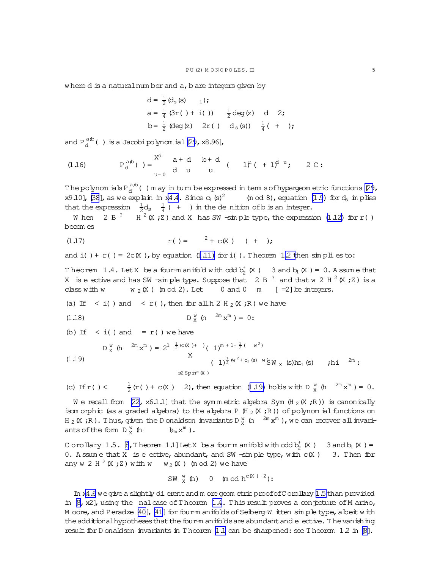<span id="page-4-0"></span>where  $d$  is a natural number and  $a$ ,  $b$  are integers given by

$$
d = \frac{1}{2} (d_s (s) \t 1);
$$
  
\n
$$
a = \frac{1}{4} (3r ( ) + i ( )) \t \frac{1}{2} deg(z) \t d \t 2;
$$
  
\n
$$
b = \frac{1}{2} (deg(z) 2r ( ) d_s (s) ) \t \frac{1}{4} ( + );
$$

and  $P_{d}^{a,b}$  () is a Jacobi polynom ial [29, x8.96],

(1.16) 
$$
P_d^{a,b}
$$
 ( ) =  $\begin{matrix} X^d & a+d & b+d \\ d & u & u \end{matrix}$  (  $1)^d$  ( +  $1)^{d} u$ ; 2 C:

The polynomials  $P_d^{a,b}$  () m ay in turn be expressed in term s of hypergeom etric functions [29, x9.10], [38], as we explain in x4.4. Since  $c_1$  (s)<sup>2</sup>  $(m od 8)$ , equation  $(1.9)$  for  $d<sub>s</sub>$  in plies that the expression  $\frac{1}{2}d_s$   $\frac{1}{4}$  ( + ) in the denition of b is an integer.

W hen 2 B<sup>?</sup> H<sup>2</sup> (X; Z) and X has SW -simple type, the expression (1.12) for r() becom es

$$
r( ) = \tfrac{2}{5} + c(X) \t + \t) \tag{+}
$$

and i( ) +  $r$  ( ) =  $2c(X)$ , by equation (1.11) for i( ). Theorem 1.2 then simplies to:

Theorem 1.4. Let X be a four-manifold with odd b<sub>2</sub> (X) 3 and b<sub>1</sub> (X) = 0. A ssume that X is e ective and has SW -simple type. Suppose that 2 B  $^2$  and that w 2 H  $^2$  (X; Z) is a class with w  $w_2(X)$  (mod 2). Let 0 and 0 m [=2] be integers.

(a) If  $\langle i \rangle$  and  $\langle r \rangle$ , then for all h 2 H <sub>2</sub> (X; R) we have

(1.18) 
$$
D_{X}^{W} (h^{2m} x^{m}) = 0;
$$

(b) If  $\langle i \rangle$  and  $\langle i \rangle$  we have

(1.19)  
\n
$$
D_X^w(h \t 2^m x^m) = 2^1 \frac{1}{2} (c(X)^+)(1)^{m+1+\frac{1}{2}} (\t w^2)
$$
  
\n
$$
(1)^{\frac{1}{2} (w^2 + c_1 (s) w} \circ N_X (s)tc_1 (s) \t; hi \t 2^m :
$$
\n
$$
s2 \cdot Spin^c(X)
$$

(c) If 
$$
r \cdot (x) < \frac{1}{2}(r \cdot (x) + c \cdot (x)) = 2
$$
, then equation (1.19) holds with D  $\frac{w}{x}$  (h  $2m \cdot x^m = 0$ .

We recall from [22, x6.1.1] that the symmetric algebra Sym (H<sub>2</sub> (X;R)) is canonically isom orphic (as a graded algebra) to the algebra P  $(H_2(K, R))$  of polynom ial functions on  $H_2(K, R)$ . Thus, given the D onaldson invariants  $D_X^W$  (h  $2^m x^m$ ), we can recover all invariants of the form  $D_y^w$  (h<sub>1</sub>  $h_m x^m$  ).

C orollary 1.5.  $\beta$ , Theorem 1.1] Let X be a four-manifold with odd b<sub>2</sub> (X) 3 and b<sub>1</sub> (X) = 0. A ssum e that X is e ective, abundant, and SW  $\lnot$  simple type, with c(X) 3. Then for any w 2 H  $^2$  (X ; Z) with w w<sub>2</sub> (X) (m od 2) we have

$$
\text{SW} \, \begin{array}{cc} \text{W} & \text{W} \\ \text{W} & \text{W} \end{array} \text{ (b) } \quad \text{W} \, \text{C} \, \text{C} \, \text{C} \, \text{C} \, \text{C} \, \text{C} \, \text{C} \, \text{C} \, \text{C} \, \text{C} \, \text{C} \, \text{C} \, \text{C} \, \text{C} \, \text{C} \, \text{C} \, \text{C} \, \text{C} \, \text{C} \, \text{C} \, \text{C} \, \text{C} \, \text{C} \, \text{C} \, \text{C} \, \text{C} \, \text{C} \, \text{C} \, \text{C} \, \text{C} \, \text{C} \, \text{C} \, \text{C} \, \text{C} \, \text{C} \, \text{C} \, \text{C} \, \text{C} \, \text{C} \, \text{C} \, \text{C} \, \text{C} \, \text{C} \, \text{C} \, \text{C} \, \text{C} \, \text{C} \, \text{C} \, \text{C} \, \text{C} \, \text{C} \, \text{C} \, \text{C} \, \text{C} \, \text{C} \, \text{C} \, \text{C} \, \text{C} \, \text{C} \, \text{C} \, \text{C} \, \text{C} \, \text{C} \, \text{C} \, \text{C} \, \text{C} \, \text{C} \, \text{C} \, \text{C} \, \text{C} \, \text{C} \, \text{C} \, \text{C} \, \text{C} \, \text{C} \, \text{C} \, \text{C} \, \text{C} \, \text{C} \, \text{C} \, \text{C} \, \text{C} \, \text{C} \, \text{C} \, \text{C} \, \text{C} \, \text{C} \, \text{C} \, \text{C} \, \text{C} \, \text{C} \, \text{C} \, \text{C} \, \text{C} \, \text{C} \, \text{C} \, \text{C} \, \text{C} \, \text{C} \, \text{C} \, \text
$$

In x4.6 we give a slightly dierent and more geometric proof of C orollary 1.5 than provided in  $[8, x2]$ , using the nalcase of Theorem 1.4. This result proves a conjecture of M arino, M oore, and Peradze [40], [41] for four-m anifolds of Seiberg-W itten sin ple type, albeit with the additional hypotheses that the four-manifolds are abundant and e ective. The vanishing result for D onaldson invariants in T heorem  $1.1$  can be sharpened: see T heorem  $1.2$  in  $[8]$ .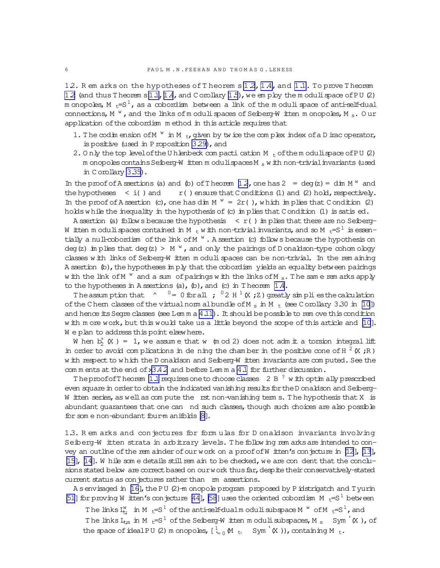12. Rem arks on the hypotheses of Theorem s 12, 1.4, and 1.1. To prove Theorem 12 (and thus Theorem s 1.1, 1.4, and Corollary 1.5), we employ the moduli space of PU (2) m onopoles, M  $_{\rm t}$ =S $^1$ , as a cobordism between a link of the moduli space of anti-self-dual connections, M  $W$ , and the links of moduli spaces of Seiberg-W itten monopoles, M  $_{\rm s}$ . Our application of the cobordism method in this article requires that

- 1. The codim ension of M<sup>w</sup> in M<sub>t</sub>, given by twice the complex index of a D irac operator, is positive (used in P roposition 3.29), and
- 2. Only the top level of the U h lenbeck compacti cation  $M_{t}$  of the m oduli space of PU (2) m onopoles contains Seiberg-W itten m oduli spaces M  $_{\rm s}$  w ith non-trivial invariants (used in Corollary 3.35).

In the proof of A ssertions (a) and (b) of T heorem 12, one has  $2 = deg(z) = dim M^w$  and the hypotheses  $\langle i \rangle$  and r() ensure that C onditions (1) and (2) hold, respectively. In the proof of A ssertion (c), one has dim  $M^W = 2r$  (), which implies that C ondition (2) holds while the inequality in the hypothesis of (c) in plies that Condition (1) is satis ed.

A ssertion (a) follows because the hypothesis  $\langle r(1)$  in plies that there are no Seiberg-W itten m oduli spaces contained in M  $_{\rm t}$  w ith non-trivial invariants, and so M  $_{\rm t}$ =S  $^{\rm l}$  is essen– tially a null-cobordism of the link of  $M^W$ . A ssertion (c) follows because the hypothesis on deg(z) in plies that deg(z) >  $M$   $W$ , and only the pairings of D onaldson-type cohom ology classes with links of Seiberg-W itten moduli spaces can be non-trivial. In the remaining A ssertion (b), the hypotheses in ply that the cobordism yields an equality between pairings with the link of M  $^w$  and a sum of pairings with the links of M  $_s$ . The same rem arks apply to the hypotheses in A ssertions (a),  $\phi$ ), and (c) in Theorem 1.4.

The assumption that  $\gamma = 0$  for all ;  $\gamma^0$  2 H  $\gamma^1$  (X; Z) greatly simplies the calculation of the Chem classes of the virtual norm albundle of M  $_{\rm s}$  in M  $_{\rm t}$  (see Corollary 3.30 in [10]) and hence its Seque classes (see Lemma  $4.11$ ). It should be possible to rem ove this condition with more work, but this would take us a little beyond the scope of this article and [10]. We plan to address this point elsewhere.

W hen  $b_2^+(X) = 1$ , we assume that w (m od 2) does not adm it a torsion integral lift in order to avoid complications in de ning the chamber in the positive cone of H  $^2$  (X; R) w ith respect to which the D onaldson and Seiberg-W itten invariants are computed. See the com m ents at the end of  $x3.4.2$  and before Lem m a 4.1 for further discussion.

The proof of Theorem 1.1 requires one to choose classes 2 B<sup>?</sup> with optimally prescribed even square in order to obtain the indicated vanishing results for the D onaldson and Seiberg-W itten series, as well as compute the rst non-vanishing term s. The hypothesis that X is abundant quarantees that one can nd such classes, though such choices are also possible for some non-abundant four-manifolds [8].

1.3. Rem arks and conjectures for formulas for D onaldson invariants involving Seiberg-W itten strata in arbitrary levels. The following remarks are intended to convey an outline of the rem ainder of our work on a proof of W itten's conjecture in [12], [13], [15], [14]. While some details still rem ain to be checked, we are condent that the conclusions stated below are correct based on our work thus far, despite their conservatively-stated current status as conjectures rather than m assertions.

A senvisaged in [16], the PU (2)-m onopole program proposed by Pidstrigatch and Tyurin [51] for proving W itten's conjecture [44], [58] uses the oriented cobordism M  $_{t}$ =S<sup>1</sup> between

The links  $I_t^w$  in M  $_t = S^1$  of the anti-self-dualm oduli subspace M  $^w$  of M  $_t = S^1$ , and The links  $I_{t;s}$  in M  $_t = S^1$  of the Seiberg-W itten moduli subspaces, M  $_s$  Sym  $(K)$ , of the space of ideal PU (2) m onopoles,  $[\frac{1}{100} M_{\text{t}} Sym' (X))$ , containing M  $_{\text{t}}$ .

 $\kappa$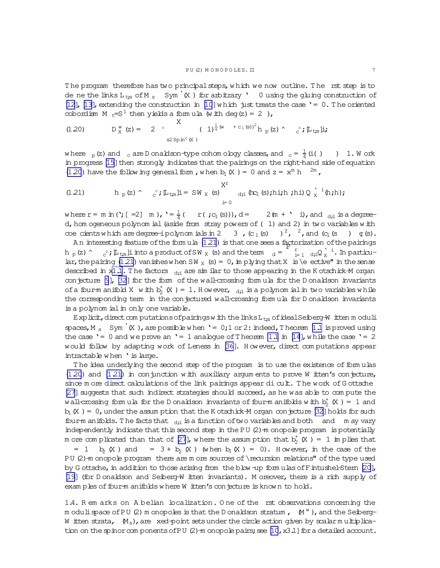<span id="page-6-0"></span>The program therefore has two principal steps, which we now outline. The rst step is to de ne the links  $L_{ts}$  of M s Sym<sup>'</sup>(X ) for arbitrary ' 0 using the gluing construction of [\[12\]](#page-63-0), [\[13\]](#page-63-0), extending the construction in [\[10](#page-63-0)] w hich just treats the case '= 0. T he oriented cobordism M  $t=S^1$  then yields a formula (with deg(z) = 2),

(1.20) 
$$
D_X^w(z) = 2
$$
  $\int_{S^2 \text{Spin}^c(X)}^{X} (1)^{\frac{1}{4}(w + c_1(s))^2} h_p(z) \wedge c^c; [\mathbb{L}_{t,s}]i;$ 

where  $\frac{1}{p}$  (z) and  $\frac{1}{q}$  are D onaldson-type cohom ology classes, and  $\frac{1}{q}$  =  $\frac{1}{4}$  $\frac{1}{4}$  (i( ) ) 1. Work in progress [\[15\]](#page-63-0) then strongly indicates that the pairings on the right-hand side of equation (1.20) have the follow ing general form , when  $b_1(X) = 0$  and  $z = x^m h$  <sup>2m</sup>,

(1.21) 
$$
h_p(z) \wedge c_j^c \mu_{t;s} \mathbf{j} = \mathbf{S} W_X(s) \sum_{i=0}^{X^r} d_{i} \mathbf{k} (\mathbf{s}) \cdot \mathbf{h} \mathbf{i} \cdot \mathbf{h} \cdot \mathbf{j} \mathbf{k} \cdot \mathbf{k} \cdot \mathbf{k} \cdot \mathbf{k} \cdot \mathbf{k} \cdot \mathbf{k} \cdot \mathbf{k} \cdot \mathbf{k} \cdot \mathbf{k} \cdot \mathbf{k} \cdot \mathbf{k} \cdot \mathbf{k} \cdot \mathbf{k} \cdot \mathbf{k} \cdot \mathbf{k} \cdot \mathbf{k} \cdot \mathbf{k} \cdot \mathbf{k} \cdot \mathbf{k} \cdot \mathbf{k} \cdot \mathbf{k} \cdot \mathbf{k} \cdot \mathbf{k} \cdot \mathbf{k} \cdot \mathbf{k} \cdot \mathbf{k} \cdot \mathbf{k} \cdot \mathbf{k} \cdot \mathbf{k} \cdot \mathbf{k} \cdot \mathbf{k} \cdot \mathbf{k} \cdot \mathbf{k} \cdot \mathbf{k} \cdot \mathbf{k} \cdot \mathbf{k} \cdot \mathbf{k} \cdot \mathbf{k} \cdot \mathbf{k} \cdot \mathbf{k} \cdot \mathbf{k} \cdot \mathbf{k} \cdot \mathbf{k} \cdot \mathbf{k} \cdot \mathbf{k} \cdot \mathbf{k} \cdot \mathbf{k} \cdot \mathbf{k} \cdot \mathbf{k} \cdot \mathbf{k} \cdot \mathbf{k} \cdot \mathbf{k} \cdot \mathbf{k} \cdot \mathbf{k} \cdot \mathbf{k} \cdot \mathbf{k} \cdot \mathbf{k} \cdot \mathbf{k} \cdot \mathbf{k} \cdot \mathbf{k} \cdot \mathbf{k} \cdot \mathbf{k} \cdot \mathbf{k} \cdot \mathbf{k} \cdot \mathbf{k} \cdot \mathbf{k} \cdot \mathbf{k} \cdot \mathbf{k} \cdot \mathbf{k} \cdot \mathbf{k} \cdot \mathbf{k} \cdot \mathbf{k} \cdot \mathbf{k} \cdot \mathbf{k} \cdot \mathbf{k} \cdot \mathbf{k} \cdot \mathbf{k} \cdot \mathbf{k} \cdot \mathbf{k} \cdot \mathbf{k} \cdot \mathbf{k} \cdot \mathbf{k} \cdot \mathbf{k} \cdot \mathbf{k} \cdot \mathbf{k} \cdot \mathbf{k} \cdot \mathbf{k} \cdot \mathbf{k} \cdot \mathbf{k} \cdot \mathbf{k} \cdot \mathbf{k} \cdot \mathbf{k} \cdot \mathbf{k} \cdot \mathbf{k} \cdot \mathbf{k} \cdot \
$$

where  $r = m \text{ in } ('; [-2] m), '=\frac{1}{4}$  $\frac{1}{4}$  ( r(;c<sub>1</sub>(s))), d = 2 (m + ' i), and  $\frac{1}{4}$  is a degreed, hom ogeneous polynom ial (aside from stray powers of (1) and 2) in two variables with coecients w hich are degree-ipolynom ials in 2 3,  $(c_1(s)$   $)^2$ ,  $^2$ , and  $(c_1(s)$   $)$   $q(s)$ .

An interesting feature of the form ula (1.21) is that one sees a factorization of the pairings An interesting leading of the local dia (1.21) is that the sees a lapper  $h_p(z)$   $\sim$   $c^2$ ;  $\mu_{ts}$  li into a product of SW x (s) and the term  $d = \frac{r}{dt}$  $\int_{i=1}^{r} dy_i Q_X^{\lambda}$  i  $\frac{1}{x}$ <sup>1</sup>. In particular, the pairing (1.21) vanishes when SW  $_X$  (s) = 0, in plying that X is \e ective" in the sense described in x[1.1.](#page-0-0) The factors  $\frac{d}{dt}$  are similar to those appearing in the K otschick-M organ conjecture [\[9](#page-63-0)], [\[32](#page-63-0)] for the form of the wall-crossing form ula for the D onaldson invariants of a four-manifold X with  $b_2^+$  (X ) = 1. However,  $a_{i1}$  is a polynomial in two variables while the corresponding term in the conjectured wall-crossing formula for D onaldson invariants is a polynom ial in only one variable.

Explicit, direct com putations of pairings w ith the links L<sub>ts</sub> of idealSeiberg-W itten m oduli spaces, M  $_{\rm s}$  Sym<sup>1</sup>(X), are possible w hen '= 0;1 or 2: indeed, T heorem [1.1](#page-0-0) is proved using the case '= 0 and we prove an '= 1 analogue of T heorem [1.1](#page-0-0) in [\[14](#page-63-0)], while the case '= 2 would follow by adapting work of Leness in [\[36\]](#page-64-0). H owever, direct com putations appear intractable w hen 'is large.

The idea underlying the second step of the program is to use the existence of formulas  $(1.20)$  and  $(1.21)$  in conjunction w ith auxiliary argum ents to prove W itten's conjecture, since m ore direct calculations of the link pairings appear dicult. The work of Gottsche [\[27\]](#page-63-0) suggests that such indirect strategies should succeed, as he was able to com pute the wall-crossing form ula for the D onaldson invariants of four-m anifolds with  $b_2^+$  (X ) = 1 and  $b_1(X) = 0$ , under the assum ption that the K otschick-M organ conjecture [\[32\]](#page-63-0) holds for such four-m anifolds. The facts that  $d_{di}$  is a function of two variables and both and m ay vary independently indicate that this second step in the PU (2)-m onopole program is potentially m ore complicated than that of [\[27](#page-63-0)], where the assumption that  $b_2^+$  (X ) = 1 implies that = 1 b<sub>2</sub> (X ) and = 3 + b<sub>2</sub> (X ) (w hen b<sub>1</sub> (X ) = 0). H owever, in the case of the PU (2)-m onopole program there are m ore sources of \recursion relations" of the type used by G ottsche, in addition to those arising from the blow -up form ulas of F intushel-Stern [\[20\]](#page-63-0), [\[19\]](#page-63-0) (for D onaldson and Seiberg-W itten invariants). M oreover, there is a rich supply of exam ples of four-m anifolds w here W itten's conjecture is known to hold.

1.4. R em arks on A belian localization. One of the rst observations concerning the m odulispace of PU (2) m onopoles is that the D onaldson stratum ,  $\,$  (M  $^{\text{w}}$  ), and the Seiberg-W itten strata,  $(M_{\rm s})$ , are xed-point sets under the circle action given by scalar multiplication on the spinor com ponents of PU  $(2)$ -m onopole pairs; see [\[10](#page-63-0), x3.1] for a detailed account.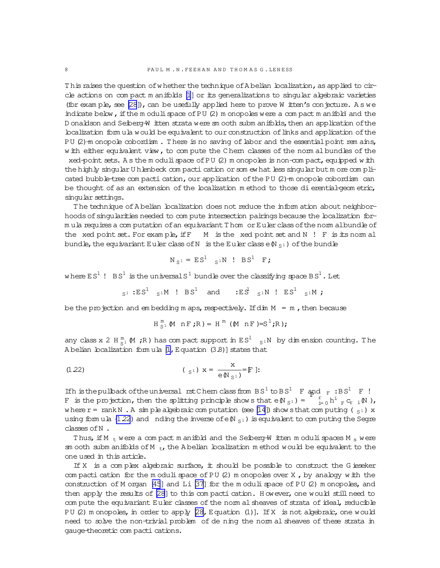T his raises the question of w hether the technique of A belian localization, as applied to circle actions on com pact m anifolds [\[1](#page-63-0)]or its generalizations to singular algebraic varieties (for exam ple, see  $[28]$ ), can be usefully applied here to prove W itten's conjecture. A s we indicate below, if the m oduli space of PU  $(2)$  m onopoles were a compact m anifold and the D onaldson and Seiberg-W itten strata were sm ooth subm anifolds, then an application of the localization form ula would be equivalent to our construction of links and application of the PU (2)-m onopole cobordism. There is no saving of labor and the essential point rem ains, w ith either equivalent view, to compute the C hern classes of the norm albundles of the xed-point sets. A s the m oduli space of PU  $(2)$  m onopoles is non-com pact, equipped w ith the highly singular U hlenbeck com pacti cation or som ew hat less singular but m ore com plicated bubble-tree com pacti cation, our application of the PU (2)-m onopole cobordism can be thought of as an extension of the localization method to those dierential-geometric, singular settings.

The technique of A belian localization does not reduce the inform ation about neighborhoods of singularities needed to com pute intersection pairings because the localization form ula requiresa com putation ofan equivariantT hom orEulerclassofthe norm albundle of the xed point set. For example, if  $F$  M is the xed point set and  $N$ ! F is its norm al bundle, the equivariant Euler class of N is the Euler class  $\in \mathbb{N}_{S^1}$  ) of the bundle

$$
N_{S^1} = ES^1 \quad S^1 N \quad : BS^1 \quad F;
$$

where ES $^1$  ! BS $^1$  is the universalS  $^1$  bundle over the classifying space BS  $^1$  . Let

$$
{}_{S^1} : ES^1 \quad {}_{S^1} M \quad ! \quad BS^1 \quad \text{and} \quad \quad : ES^1 \quad {}_{S^1} N \quad ! \quad ES^1 \quad {}_{S^1} M \text{ ;}
$$

be the projection and em bedding m aps, respectively. If dim  $M = m$ , then because

$$
H_{S^1}^m(M nF; R) = H^m (M nF) = S^1; R);
$$

any class x 2 H  $_{S^1}^m$  (M ; R) has compact support in ES<sup>1</sup>  $_{S^1}N$  by dimension counting. The A belian localization form ula  $[1, E$  quation  $(3.8)$ ] states that

(1.22) 
$$
(\mathbf{s}^1) \times = \frac{\mathbf{x}}{e(N_{\mathbf{s}^1})} = \mathbf{F} \; ;
$$

If h is the pullback of the universal rst C hem class from  $BS^1$  to  $BS^1$  F and  $_F : BS^1$  F ! If is the projection, then the splitting principle show s that  $\epsilon(N_{S1}) = \begin{bmatrix} r & r \ r \end{bmatrix}$  $_{i=0}^{r}$  h<sup>i</sup>  $_{F}$  c<sub>r</sub>  $_{i}$  (N ), w here  $r = rank N$ . A sim ple algebraic com putation (see [\[14](#page-63-0)]) show sthat com puting ( $_{S<sup>1</sup>}$ ) x using form ula (1.22) and nding the inverse of  $\epsilon \mathbb{N}_{S^1}$  is equivalent to computing the Segre classes ofN .

Thus, if M  $_t$  were a com pact m anifold and the Seiberg-W itten m oduli spaces M  $_s$  were sm ooth subm anifolds of M  $_{\rm tr}$ , the A belian localization m ethod would be equivalent to the one used in this article.

If  $X$  is a complex algebraic surface, it should be possible to construct the G ieseker com pacti cation for the m oduli space of PU  $(2)$  m onopoles over X, by analogy w ith the construction of M organ [\[45](#page-64-0)] and Li [\[37\]](#page-64-0) for the m oduli space of PU (2) m onopoles, and then apply the results of  $[28]$  to this compacti cation. However, one would still need to com pute the equivariant Euler classes of the norm al sheaves of strata of ideal, reducible PU (2) m onopoles, in order to apply  $[28,$  Equation (1)]. If X is not algebraic, one would need to solve the non-trivial problem of de ning the norm al sheaves of these strata in gauge-theoretic com pacti cations.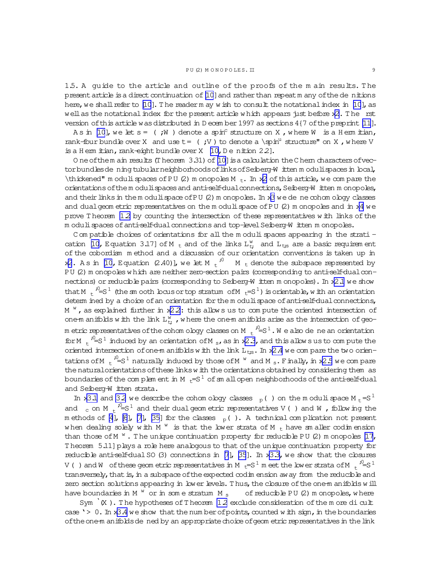1.5. A guide to the article and outline of the proofs of the m ain results. T he present article is a direct continuation of [\[10](#page-63-0)] and rather than repeat m any of the de nitions here, we shall refer to [\[10](#page-63-0)]. The readerm ay wish to consult the notational index in [10], as well as the notational index for the present article which appears just before  $x^2$ . The rst version of this article was distributed in D ecem ber 1997 as sections  $4\{7$  of the preprint [\[11\]](#page-63-0).

As in [\[10](#page-63-0)], we let  $s = (i \cdot W)$  denote a spin<sup>c</sup> structure on X, where W is a H erm itian, rank-four bundle over X and use  $t = ($ ; V  $)$  to denote a  $\$ spin<sup>u</sup> structure" on X, where V is a H emm itian, rank-eight bundle over  $X$  [\[10,](#page-63-0) D e nition 2.2].

O ne of them ain results (T heorem  $3.31$ ) of [\[10\]](#page-63-0) is a calculation the C hern characters of vectorbundlesde ningtubularneighborhoodsoflinksofSeiberg-W itten m odulispaces in local, \thickened" m oduli spaces of PU ([2](#page-11-0)) m onopoles M  $_{t}$ . In x2 of this article, we com pare the orientations of the modulispaces and anti-self-dual connections, Seiberg-W itten monopoles, and their links in the m oduli space of PU (2) m onopoles. In x[3](#page-19-0) we de ne cohom ology classes and dualgeom etric representatives on the m odulispace ofPU (2) m onopoles and in x[4](#page-42-0) we prove T heorem  $1.2$  by counting the intersection of these representatives w ith links of the m odulispaces of anti-self-dual connections and top-level Seiberg-W itten m onopoles.

C om patible choices of orientations for all the m oduli spaces appearing in the strati-cation [\[10,](#page-63-0) Equation 3.17] of M  $_{t}$  and of the links  $L_{t}^{w}$  and  $L_{t,s}$  are a basic requirem ent of the cobordism m ethod and a discussion of our orientation conventions is taken up in x[2](#page-11-0). As in [\[10](#page-63-0), Equation (2.40)], we let M  $_{\rm t}$   $^{j0}$  M  $_{\rm t}$  denote the subspace represented by PU (2) m onopoles w hich are neither zero-section pairs (corresponding to anti-self-dual con-nections) or reducible pairs (corresponding to Seiberg-W itten m onopoles). In x[2.1](#page-11-0) we show that M  $t \stackrel{i^0 = S^1}{=}$  (the sm ooth locus or top stratum of M  $t = S^1$ ) is orientable, with an orientation determ ined by a choice of an orientation for the m oduli space of anti-self-dual connections, M  $^{\text{w}}$  , as explained further in x[2.2:](#page-12-0) this allows us to compute the oriented intersection of one-m anifolds with the link  $L_{t}^{w}$ , where the one-m anifolds arise as the intersection of geom etric representatives of the cohom ology classes on M  $\mathrm{_{t}}$   $^{j0}\!\!\!=\!\! \mathrm{S}^{\,1}$  . W e also de ne an orientation for M  $t$   $^{10}$ =S<sup>1</sup> induced by an orientation of M  $_s$ , as in x[2.3,](#page-14-0) and this allow s us to com pute the oriented intersection of one-m anifolds with the link  $L_{ts}$ . In  $x2.4$  $x2.4$  we compare the two orientations of M  $t$   $t^0 = S^1$  naturally induced by those of M  $^w$  and M  $_s$ . Finally, in x[2.5](#page-16-0) we compare the naturalorientations of these links w ith the orientations obtained by considering them as boundaries of the complem ent in M  $_{\rm t}$ =S $^1$  of sm allopen neighborhoods of the anti-self-dual and Seiberg-W itten strata.

In x[3.1](#page-20-0) and [3.2](#page-21-0) we describe the cohom ology classes  $_{p}$  ( ) on the m odulispace M  $_{t}$  =S<sup>1</sup> and c on M  $t^{-1/2} = S^1$  and their dualgeom etric representatives V () and W, following the m ethods of [\[4](#page-63-0)], [\[6](#page-63-0)], [\[7\]](#page-63-0), [\[35\]](#page-64-0) for the classes  $_{p}$  ( ). A technical complication not present when dealing solely with M  $^{\mathrm{w}}$  is that the lower strata of M  $_{\mathrm{t}}$  have sm aller  $\mathrm{codim}% \left( \mathcal{M}_{\mathrm{t}}\right)$  ension than those of M  $^w$  . The unique continuation property for reducible PU (2) m onopoles [\[17](#page-63-0), Theorem 5.11] plays a role here analogous to that of the unique continuation property for reducible anti-self-dual SO (3) connections in [\[7](#page-63-0)], [\[35](#page-64-0)]. In  $x3.3$ , we show that the closures V( ) and W of these geometric representatives in M  $_{\rm t}$  =S  $^{\rm l}$  m eet the lower strata of M  $_{\rm t}$  i  $^{\rm l}$  =S  $^{\rm l}$ transversely, that is, in a subspace of the expected codim ension away from the reducible and zero section solutions appearing in lower levels. Thus, the closure of the one-m anifolds w ill have boundaries in M  $^{w}$  or in some stratum M  $_{s}$ of reducible PU  $(2)$  m onopoles, w here

Sym  $\dot{X}$ ). The hypotheses of Theorem 12 exclude consideration of the m ore dicult case ' $> 0$ . In x[3.4](#page-29-0) we show that the num ber of points, counted w ith sign, in the boundaries of the one-m anifolds de ned by an appropriate choice of geom etric representatives in the link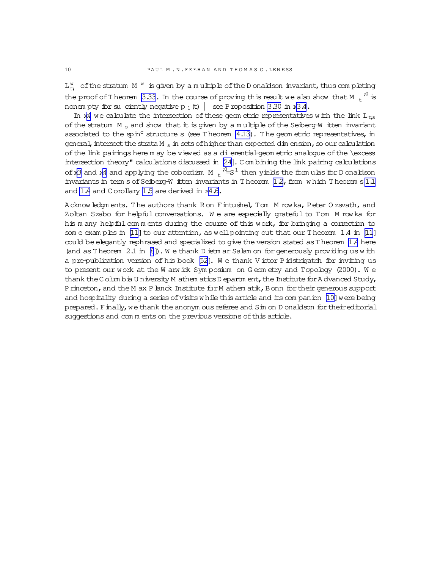$L_{t}^{w}$  of the stratum M  $^{w}$  is given by a multiple of the D onaldson invariant, thus completing the proof of Theorem [3.33](#page-40-0). In the course of proving this result we also show that M  $_{\rm t}$   $^{,\rm 0}$  is nonem pty for suciently negative p  $_1$  (t)  $\vert$  see P roposition [3.30](#page-39-0) in x[3.4](#page-29-0).

In x[4](#page-42-0) we calculate the intersection of these geom etric representatives w ith the link  $L_{t:s}$ of the stratum M<sub>s</sub> and show that it is given by a multiple of the Seiberg-W itten invariant associated to the spin<sup>c</sup> structure s (see T heorem  $4.13$ ). The geom etric representatives, in general, intersect the strata M  $_{\rm s}$  in sets of higher than expected dim ension, so our calculation ofthe link pairings here m ay be viewed as a dierential-geom etric analogue ofthe \excess intersection theory" calculations discussed in [\[24](#page-63-0)]. C om bining the link pairing calculations of x[3](#page-19-0) and x[4](#page-42-0) and applying the cobordism M  $\mathrm{t}$   $\mathrm{r}^{\mathrm{0}}\text{=}$ s  $^1$  then yields the form ulas for D onaldson invariants in term s of Seiberg-W itten invariants in T heorem  $1.2$ , from w hich T heorem s [1.1](#page-0-0) and [1.4](#page-4-0) and C orollary [1.5](#page-4-0) are derived in x[4.6.](#page-57-0)

Acknowledgm ents. The authors thank R on Fintushel, T om M row ka, Peter O zsvath, and Zoltan Szabo for helpful conversations. W e are especially grateful to Tom M row ka for his m any helpful comments during the course of this work, for bringing a correction to som e exam ples in [\[11](#page-63-0)] to our attention, as well pointing out that our T heorem  $1.4$  in [11] could be elegantly rephrased and specialized to give the version stated asT heorem [1.4](#page-4-0) here (and as T heorem  $2.1$  in  $[8]$ ). We thank D ietm ar Salam on for generously providing us with a pre-publication version of his book [\[52\]](#page-64-0). We thank V ictor P idstrigatch for inviting us to present our work at the W arw ick Symposium on G eom etry and Topology (2000). We thank the C olum bia U niversity M athem atics D epartm ent, the Institute for A dvanced Study, Princeton, and the M ax P lanck Institute fur M athem atik, Bonn for their generous support and hospitality during a series of visits while this article and its companion [\[10\]](#page-63-0) were being prepared. Finally, we thank the anonym ous referee and Sim on D onaldson for their editorial suggestions and comments on the previous versions of this article.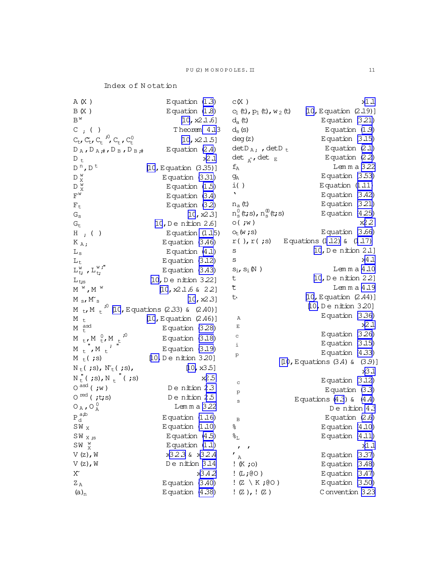Index of Notation

| A (X )                                                                    | Equation $(1.3)$                                          | C(X)                                                             | x1.1                               |
|---------------------------------------------------------------------------|-----------------------------------------------------------|------------------------------------------------------------------|------------------------------------|
| B(X)                                                                      | Equation $(1.8)$                                          | c <sub>1</sub> (t), $p_1$ (t), $w_2$ (t)                         | $[10, E$ quation $(2.19)]$         |
| $B^{w}$                                                                   | [10, x2.1.6]                                              | $d_a(t)$                                                         | Equation $(3.21)$                  |
| $C$ ; ( )                                                                 | Theorem 4.13                                              | $d_s(s)$                                                         | Equation $(1.9)$                   |
| $C_{t}$ , $C_{t}$ , $C_{t}$ , $\frac{10}{10}$ , $C_{t}$ , $C_{t}^{0}$     | [10, x2.1.5]                                              | deg(z)                                                           | Equation $(3.15)$                  |
| $D_A, D_A, \#$ , $D_B, D_B, \#$                                           | Equation $(2.4)$                                          | $detD_A$ ; , $detD_t$                                            | Equation $(2.1)$                   |
| $D_t$                                                                     | x2.1                                                      | det $_{\hat{A}}$ , det E                                         | Equation $(2.2)$                   |
| $D^{n}$ , $D^{t}$                                                         | $[10, E$ quation $(3.35)]$                                | $f_A$                                                            | Lemma 3.22                         |
| $\mathbb{D}$ w $\mathbb{X}$                                               | Equation $(3.31)$                                         | $\mathrm{g}_{\mathrm{A}}$                                        | Equation $(3.53)$                  |
| $\mathbb{D}$ w $_{\rm X}^{\rm w}$                                         | Equation $(1.5)$                                          | i()                                                              | Equation $(1.11)$                  |
| $\text{F}^{\text{w}}$                                                     | Equation $(3.4)$                                          | $\blacksquare$                                                   | Equation $(3.42)$                  |
| $F_t$                                                                     | Equation $(3.2)$                                          | $n_a(t)$                                                         | Equation $(3.21)$                  |
| $G_{\tt S}$                                                               | [10, x2.3]                                                | $\mathrm{n}_\mathrm{s}^0$ (t;s), $\mathrm{n}_\mathrm{s}^0$ (t;s) | Equation $(4.25)$                  |
| $G_t$                                                                     | $[10, D$ e nition 2.6]                                    | $\circ$ ( $\dot{w}$ )                                            | x2.2                               |
| $H$ ; ( )                                                                 | Equation $(1.15)$                                         | $O_t(w; s)$                                                      | Equation $(3.66)$                  |
| $K_A$                                                                     | Equation $(3.46)$                                         | $r()$ , $r($ ; $s)$                                              | Equations $(1.12)$ & $(1.17)$      |
| $L_s$                                                                     | Equation $(4.1)$                                          | $\rm S$                                                          | $[10, D$ e nition 2.1]             |
| $L_t$                                                                     | Equation $(3.12)$                                         | S                                                                | x4 .1                              |
| $L_{t;}^{w}$ , $L_{t;}^{w;}$                                              | Equation $(3.43)$                                         | $s_i, s_i(\!\!N\!)$                                              | $L$ emma $4.10$                    |
| $L_{\text{t,s}}$                                                          | $[10, D$ e nition 3.22]                                   | t                                                                | $[10, D$ e nition 2.2]             |
| $M^W$ , $M^W$                                                             | [10, $x2.1.6$ & 22]                                       | せ                                                                | Lemma 4.19                         |
| $M_{\rm s}$ , $M_{\rm s}$                                                 | [10, x2.3]                                                | せ                                                                | $[10, E$ quation $(2.44)]$         |
|                                                                           | M t, M $_+$ <sup>,0</sup> [10, Equations (2.33) & (2.40)] |                                                                  | [10, Denition 3.20]                |
| M <sub>t</sub>                                                            | $[10, E$ quation $(2.46)]$                                | Α                                                                | Equation $(3.36)$                  |
| $M_t$ <sup>asd</sup>                                                      | Equation $(3.28)$                                         | Е                                                                | x2.1                               |
| ,0<br>$M$ <sub>t</sub> , $M$ <sup>0</sup> <sub>t</sub> , $M$ <sub>t</sub> | Equation $(3.18)$                                         | c                                                                | Equation $(3.26)$                  |
| $M_t$ , $M_t$                                                             | Equation $(3.19)$                                         | i                                                                | Equation $(3.15)$                  |
| $M_t$ ( ; s)                                                              | [10, De nition 3.20]                                      | p                                                                | Equation $(4.33)$                  |
| $N_t(js), N_t(js),$                                                       | [10, x3.5]                                                |                                                                  | [10, Equations $(3.4)$ & $(3.9)$ ] |
| $N_t''$ (;s), $N_t''$ (;s)                                                | x2.5                                                      |                                                                  | x3.1                               |
| $O^{asd}$ (; w)                                                           | De nition 2.3                                             | $\mathtt{C}$                                                     | Equation $(3.12)$                  |
| $0^{red}$ (;t;s)                                                          | De nition 2.5                                             | $\mathbf{p}$                                                     | Equation $(3.3)$                   |
|                                                                           | Lemma 3.22                                                | $\tt S$                                                          | Equations $(4.3)$ & $(4.4)$        |
| $O_A$ , $O_A^0$                                                           |                                                           |                                                                  | Denition 4.3                       |
| $P_d^{a,b}$                                                               | Equation $(1.16)$                                         | B                                                                | Equation $(2.6)$                   |
| $SW_X$                                                                    | Equation $(1.10)$                                         | ್ಠಿ                                                              | Equation $(4.10)$                  |
| $SW_{X,S}$                                                                | Equation $(4.5)$                                          | $\mathcal{E}_{\mathrm{L}}$                                       | Equation $(4.11)$                  |
| $SW \begin{array}{cc} W & W \\ X & W \end{array}$                         | Equation $(1.1)$                                          | ,<br>$\mathbf{r}$                                                | x1.1                               |
| $V(z)$ , W                                                                | x323 & x32.4                                              | ı<br>Α                                                           | Equation $(3.37)$                  |
| $V(z)$ , W                                                                | Denition 3.14                                             | $: K ; \circ)$                                                   | Equation $(3.48)$                  |
| $\rm X$                                                                   | x3.42                                                     | $!$ (L; $@O$ )                                                   | Equation $(3.47)$                  |
| $Z_\mathrm{\,A}$                                                          | Equation $(3.40)$                                         | $!$ (Z \ K ;@O )                                                 | Equation $(3.50)$                  |
| $(a)_n$                                                                   | Equation (4.38)                                           | ! $(Z)$ , ! $(Z)$                                                | Convention 3.23                    |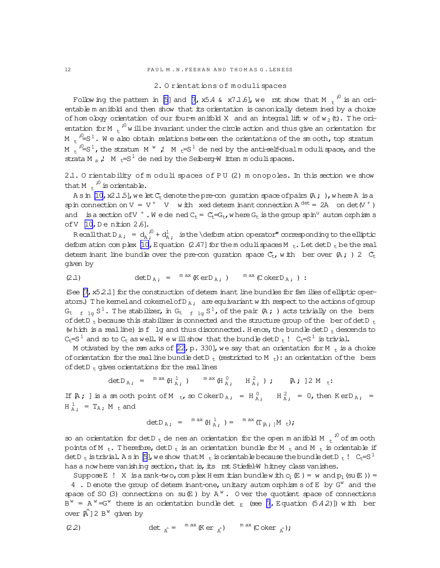### 2. O rientations of m odulispaces

Following the pattern in [\[5\]](#page-63-0) and [\[7](#page-63-0), x5.4 & x7.1.6], we rst show that M  $\mathrm{_{t}}^{^{70}}$  is an orientable m anifold and then show that its orientation is canonically determ ined by a choice of hom ology orientation of our four-m anifold X and an integral lift w of  $w_2(t)$ . The orientation for M  $\mathrm{t}^{\mathrm{10}}$  w ill be invariant under the circle action and thus give an orientation for M  $\mathrm{t}$   $i^0\!\!\!=\!\! \mathrm{S}^1$ . We also obtain relations between the orientations of the smooth, top stratum M  $\epsilon$  <sup>i0</sup>=S<sup>1</sup>, the stratum M  $^w$  ,! M  $\epsilon$ =S<sup>1</sup> de ned by the anti-self-dualm odulispace, and the strata M<sub>s</sub>,  $M_f = S^1$  de ned by the Seiberg-W itten m oduli spaces.

2.1. O rientability of m oduli spaces of P U (2) m onopoles. In this section we show that M  $t^{0}$  is orientable.

A sin [\[10](#page-63-0),  $\times$  1.5], we let  $C_t$  denote the pre-con guration space of pairs  $(A;)$ , where A is a spin connection on  $V = V^+$   $V$  with xed determinant connection  $A^{det} = 2A$  on  $det(V^+)$ and is a section of V  $^+$  . We dened  $C_t$  =  $C_t$  =  $G_t$ , where  $G_t$  is the group spin<sup>u</sup> autom orphisms of  $V$  [\[10,](#page-63-0) Denition 2.6].

Recallthat D<sub>A;</sub> =  $d_A^0$ ; d<sup>1</sup>, is the \deform ation operator" corresponding to the elliptic deform ation com plex  $[10, E$  quation  $(2.47)$  for the m oduli spaces M  $_t$ . Let det D  $_t$  be the real detem inant line bundle over the pre-con quration space  $C_t$ , with ber over  $(A; )$  2  $C_t$ given by

$$
(2.1) \t\t det D_{A} = {}^{m \text{ ax}} (Ker D_{A}; ) {}^{m \text{ ax}} (Coker D_{A}; ) :
$$

(See  $[7, x5.2.1]$  for the construction of determ inant line bundles for fam ilies of elliptic operators.) The kemeland cokernelofD<sub>A</sub>, are equivariant w ith respect to the actions of group  $G_{t-f-1g} \, S^1$ . The stabilizer, in  $G_{t-f-1g} \, S^1$ , of the pair (A ; ) acts trivially on the bers of detD  $\frac{1}{t}$  because this stabilizer is connected and the structure group of the ber of detD  $\frac{1}{t}$ (w hich is a realline) is f 1g and thus disconnected. Hence, the bundle detD  $_t$  descends to  $C_t=S^1$  and so to  $C_t$  as well. We will show that the bundle det D<sub>t</sub> !  $C_t=S^1$  is trivial.

M otivated by the rem arks of  $[22, p. 330]$  $[22, p. 330]$ , we say that an orientation for M  $_+$  is a choice of orientation for the real line bundle det  $D_t$  (restricted to M  $_t$ ): an orientation of the bers of detD  $<sub>t</sub>$  gives orientations for the real lines</sub>

$$
\det D_{A;} = {}^{m \,ax} (H_{A;}^{1}) \qquad {}^{m \,ax} (H_{A;}^{0}, H_{A;}^{2}) ; \qquad [A; 2M_t:
$$

If  $A$ ; ] is a sm ooth point of M t, so C okerD<sub>A;</sub> = H<sub>A</sub>,  $H_{A}^{2}$ , = 0, then K erD<sub>A;</sub> =  $H_A^1$  =  $T_A$ , M  $_t$  and

$$
\text{det} D_{A} \, , \quad = \quad \sup \limits_{m \text{ ax}} \, (\text{H}_{A}^1 \, , \, ) = \quad \sup \limits_{m \text{ ax}} \, (\text{T}_{\, [A} \, , \, ]\text{M} \, \, \text{t}) \, ;
$$

so an orientation for detD  $_{\rm t}$  de nes an orientation for the open m anifold M  $_{\rm t}$   $^{j0}$  of sm ooth points of M t. Therefore,  $detD_t$  is an orientation bundle for M t and M t is orientable if detD t is trivial. A sin [\[5\]](#page-63-0), we show that M t is orientable because the bundle detD t ! Ct=S<sup>1</sup> has a now here vanishing section, that is, its rst Stiefel-W hitney class vanishes.

Suppose E ! X is a rank-two, complex H erm it ian bundlew ith  $c_1(E)$  = w and  $p_1$  (su(E)) = 4. D enote the group of determ inant-one, unitary autom orphism s of E by G<sup>w</sup> and the space of SO (3) connections on  $su(E)$  by A<sup>w</sup>. O ver the quotient space of connections  $B^w = A^w = G^w$  there is an orientation bundle det  $_E$  (see [\[7](#page-63-0), Equation (5.4.2)]) with ber over  $\hat{A}$ ] 2 B<sup>w</sup> given by

(2.2) det 
$$
{}_{\hat{A}} = {}^{m \text{ ax}} (\text{K} \text{er } {}_{\hat{A}}) \qquad {}^{m \text{ ax}} (\text{C} \text{oker } {}_{\hat{A}});
$$

<span id="page-11-0"></span>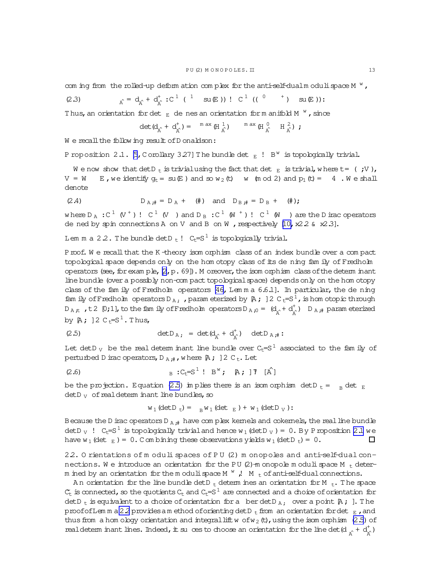<span id="page-12-0"></span>com ing from the rolled-up deform ation complex for the anti-self-dual moduli space  $M^W$ ,

(2.3) 
$$
A = d_{A} + d_{\hat{A}}^{\dagger} : C^{1} (1 \text{ su}(E)) : C^{1} (C^{0} \text{ in } E))
$$

Thus, an orientation for det  $_{E}$  de nes an orientation form anifold M  $^{W}$ , since

$$
\det(\textnormal{d}_{\hat{\textnormal{A}}^{\textnormal{'}}} + \textnormal{d}_{\hat{\textnormal{A}}^{\textnormal{'}}}) = \sqrt{\textnormal{max}} \ (\textnormal{H} \textnormal{d}_{\hat{\textnormal{A}}^{\textnormal{'}}}) \qquad \sqrt{\textnormal{max}} \ (\textnormal{H} \textnormal{d}_{\hat{\textnormal{A}}^{\textnormal{'}}} \quad \textnormal{H} \textnormal{d}_{\hat{\textnormal{A}}^{\textnormal{'}}}) \ \textnormal{;}
$$

We recall the following result of Donaldson:

P roposition 2.1. [5, C orollary 3.27] The bundle det  $_E$  ! B<sup>w</sup> is topologically trivial.

We now show that det D<sub>t</sub> is trivial using the fact that det  $_E$  is trivial, where t= (;V),  $V = W$ E, we identify  $q_t = su(E)$  and so  $w_2(t)$  w (m od 2) and  $p_1(t) = 4$ . We shall denote

$$
(2.4) \tD_{A}{}_{#} = D_A + (\#) \tand D_{B}{}_{#} = D_B + (\#);
$$

where  $D_A : C^1 (V^+) : C^1 (V)$  and  $D_B : C^1 (W^+) : C^1 (W)$  are the D irac operators de ned by spin connections A on V and B on W , respectively  $[10, x226 x23]$ .

Lem m a 2.2. The bundle det  $D_t$  !  $C_t = S^1$  is topologically trivial.

Proof. We recall that the K-theory isom orphism class of an index bundle over a compact topological space depends only on the hom otopy class of its de ning fam ily of Fredholm operators (see, for exam ple, [2, p. 69]). M oreover, the isom orphism class of the determ inant line bundle (over a possibly non-compact topological space) depends only on the hom otopy class of the fam ily of Fredholm operators  $[46, L$ emma  $6.6.1$ ]. In particular, the de ning fam ily of Fredholm operators D<sub>A;</sub>, param eterized by  $\beta$ ;  $]$  2 C<sub>t</sub>=S<sup>1</sup>, is hom otopic through  $D_{A,t}$ , t2  $[0,1]$ , to the family of Fredholm operators  $D_{A,0} = (d_{x} + d_{x}^{t})$   $D_{A,t}$  parameterized by  $A$ ; ] 2 C<sub>t</sub>=S<sup>1</sup>. Thus,

$$
(2.5) \qquad \qquad \det D_{A} = \det (d_{\hat{A}} + d_{\hat{A}}^{+}) \quad \det D_{A} = \det (d_{\hat{A}} + d_{\hat{B}}^{+})
$$

Let det D<sub>V</sub> be the real determ inant line bundle over  $C_f = S^1$  associated to the fam ily of perturbed D irac operators,  $D_{A_{t}}$ , where  $A_{t}$  ] 2 C<sub>t</sub>. Let

(2.6) 
$$
B : C_E = S^{\perp} : B^W; [A; T^T]
$$

be the projection. Equation (2.5) in plies there is an isomorphism det D  $_{t} =$  R det E  $detD_V$  of real determ inant line bundles, so

$$
w_1
$$
 (detD<sub>t</sub>) =  $_W_1$  (det<sub>E</sub>) +  $w_1$  (detD<sub>V</sub>) :

Because the D irac operators D  $_{A}$  # have com plex kemels and cokemels, the real line bundle det D<sub>V</sub> !  $C_t = S^1$  is topologically trivial and hence  $w_1$  (det D<sub>V</sub>) = 0. By P roposition 2.1 we have  $w_1$  (det  $E_1$ ) = 0. C on bining these observations yields  $w_1$  (det D  $E_1$ ) = 0.  $\Box$ 

22. O rientations of m oduli spaces of PU (2) m onopoles and anti-self-dual connections. We introduce an orientation for the PU (2)-m onopole moduli space M  $_{\rm t}$  determ ined by an orientation for the m oduli space M  $^W$  , M  $_t$  of anti-self-dual connections.

An orientation for the line bundle det D<sub>t</sub> determ ines an orientation for M<sub>t</sub>. The space  $C_{t}$  is connected, so the quotients  $C_{t}$  and  $C_{t}=S^{1}$  are connected and a choice of orientation for det D<sub>t</sub> is equivalent to a choice of orientation for a berdet D<sub>A</sub>, over a point  $A$ ; ]. The proof of Lemma 22 provides amethod of orienting det  $D_t$  from an orientation for det  $E_t$ , and thus from a hom obgy orientation and integral lift w of w<sub>2</sub> (t), using the isom orphism (2.5) of real determ in ant lines. Indeed, it su ces to choose an orientation for the line det  $(d_{n} + d_{n}^{+})$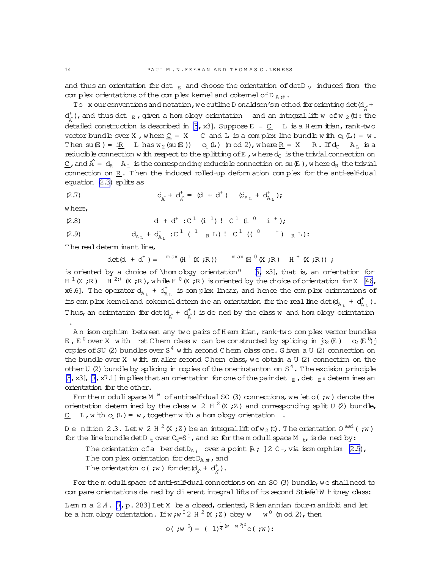and thus an orientation for det  $_{E}$  and choose the orientation of det D<sub>V</sub> induced from the com plex orientations of the complex kemel and cokemel of D  $_A$ ...

To x our conventions and notation, we outline D onaldson's method for orienting det  $(d_{\gamma} +$  $d^*_{x^*}$ ), and thus det  $_E$ , given a hom ology orientation and an integral lift w of w  $_2$  (t): the detailed construction is described in [5, x3]. Suppose  $E = C$  L is a Herm itian, rank-two vector bundle over X, where  $C = X$  C and L is a complex line bundle with  $C_1(L) = w$ . Then  $su(E) = iR$  L has  $w_2(su(E))$  C<sub>1</sub>(L) (m od 2), where <u>R</u> = X  $R.$  If  $d_C$   $A_L$  is a reducible connection with respect to the splitting of E, where  $d_C$  is the trivial connection on  $C$ , and  $\hat{A} = d_R$   $A_L$  is the corresponding reducible connection on su  $E$  ), where  $d_R$  the trivial connection on  $\underline{R}$ . Then the induced rolled-up deformation complex for the anti-self-dual equation (2.3) splits as

(2.7) 
$$
d_{\hat{\Lambda}} + d_{\hat{\Lambda}}^+ = (d + d^+) (d_{A_L} + d_{A_L}^+);
$$

where,

(2.8) 
$$
d + d^{+} : C^{1} (i^{1}) : C^{1} (i^{0} i^{+})
$$
;

(2.9) 
$$
d_{A_L} + d_{A_L}^+
$$
 :  $C^1$  ( $^1$   ${}_R$  L) !  $C^1$  ((  $^0$   $^+$  )  ${}_R$  L):

The real determ inant line,

$$
\det(\mathbf{d} + \mathbf{d}^+) = \mathbf{M} \exp\left(\mathbf{H}^{-1}(\mathbf{X}^\top \mathbf{R})\right) \mathbf{M} \exp\left(\mathbf{H}^{-1}(\mathbf{X}^\top \mathbf{R})\mathbf{R}\right)
$$

is oriented by a choice of \hom ology orientation"  $[5, x3]$ , that is, an orientation for  $H^{-1}(X; R)$   $H^{-2,*}(X; R)$ , while  $H^{0}(X; R)$  is oriented by the choice of orientation for X [46, x6.6]. The operator  $d_{A_L} + d_{A_L}^+$  is complex linear, and hence the complex orientations of its complex kemel and cokemel determine an orientation for the real line det  $(d_{A_1} + d_{A_2}^+)$ . Thus, an orientation for det  $(d_1 + d_2^+)$  is de ned by the class w and hom ology orientation

An isom orphism between any two pairs of Herm itian, rank-two complex vector bundles E,  $E^0$  over X with rst Chem class w can be constructed by splicing in  $j_2(E)$   $c_2(E^0)j$ copies of SU (2) bundles over  $S<sup>4</sup>$  with second C hem class one. G iven a U (2) connection on the bundle over X with smaller second Chem class, we obtain a U (2) connection on the other U (2) bundle by splicing in copies of the one-instanton on  $S<sup>4</sup>$ . The excision principle [5, x3], [7, x7.1] in plies that an orientation for one of the pair det  $_{E}$ , det  $_{E}$  determ ines an orientation for the other.

For the moduli space M  $^w$  of anti-self-dual SO (3) connections, we let o(; w) denote the orientation determ ined by the class w 2 H  $^2$  (X ; Z) and corresponding split U (2) bundle, C L, with  $c_1(L) = w$ , together with a hom ology orientation.

Denition 2.3. Let w 2 H  $^2$  (X; Z) be an integral lift of w<sub>2</sub> (t). The orientation 0<sup>asd</sup> (; w) for the line bundle det D  $_{t}$  over  $C_{t}=S^{1}$ , and so for the m oduli space M  $_{t}$ , is de ned by:

The orientation of a berdet  $D_A$ , over a point  $A$ ;  $]2C_t$ , via isom orphism  $(2.5)$ , The complex orientation for  $detD_A$ <sub>;#</sub>, and

The orientation o(; w) for det $(d_{\hat{A}} + d_{\hat{A}}^+)$ .

For the m oduli space of anti-self-dual connections on an SO (3) bundle, we shall need to com pare orientations de ned by di erent integral lifts of its second Stiefel-W hitney class:

Lem m a 2.4. [7, p. 283] Let X be a cbsed, oriented, R iem annian four-m anifold and let be a hom oboy orientation. If w; w<sup>0</sup> 2 H <sup>2</sup> (X; Z) obey w w<sup>0</sup> (m od 2), then

$$
\circ (\mathbf{w}^0) = (1)^{\frac{1}{4}(w-w^0)^2} \circ (\mathbf{w}^1)
$$

<span id="page-13-0"></span> $14$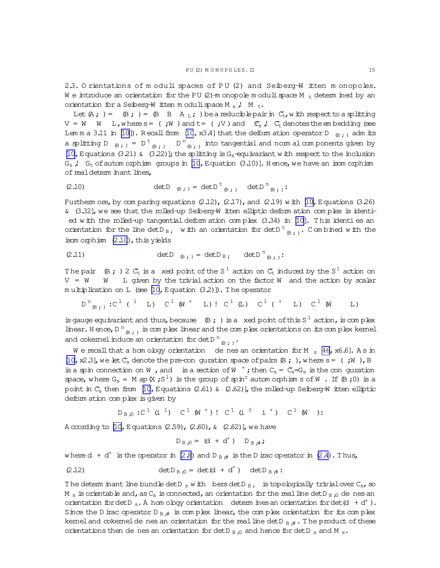<span id="page-14-0"></span>2.3. O rientations of m oduli spaces of PU (2) and Seiberg-W itten m onopoles. We introduce an orientation for the PU  $(2)$ -m onopole moduli space M  $_{+}$  determined by an orientation for a Seiberg-W itten moduli space M  $_{\rm s}$ , M  $_{\rm t}$ .

Let  $(A; ) = (B; ) = (B \ B \ A_L; )$  be a reducible pair in  $C_t$ , w ith respect to a splitting  $V = W \t W$  L, where  $s = (W; W)$  and  $t = (W; V)$  and  $C_s$ ,  $C_t$  denotes the embedding (see Lemma 3.11 in [10]). Recall from [10, x3.4] that the deformation operator D  $_{\oplus}$ , adm its a splitting D<sub>(B;)</sub> = D<sup>t</sup><sub>(B;)</sub> D<sup>n</sup><sub>(B;)</sub> into tangential and norm al components given by [10, Equations (3.21) & (3.22)]; the splitting is  $G_s$ -equivariant with respect to the inclusion  $G_s$ ,  $G_t$  of autom orphism groups in [10, Equation (3.10)]. Hence, we have an isom orphism of real determ inant lines,

$$
(2.10) \qquad \qquad \det D \quad_{\text{B};\,} = \det D^{\text{t}}_{\text{B};\,} \quad \det D^{\text{n}}_{\text{B};\,}:
$$

Furtherm ore, by comparing equations  $(2.12)$ ,  $(2.17)$ , and  $(2.19)$  with  $[10$ , Equations  $(3.26)$  $\kappa$  (3.32], we see that the rolled-up Seiberg-W itten elliptic deform ation complex is identied with the rolled-up tangential deformation complex (3.34) in [10]. This identies an orientation for the line det D<sub>B</sub>, with an orientation for det D<sup>t</sup><sub>B.</sub>, Combined with the isom orphism (2.10), this yields

$$
\text{(2.11)} \quad \text{detD}_{B} \, , \quad \text{detD}_{B} \, , \quad \text{detD}_{B} \, .
$$

The pair (B; ) 2  $C_t$  is a xed point of the S<sup>1</sup> action on  $C_t$  induced by the S<sup>1</sup> action on  $V = W$  W L given by the trivial action on the factor W and the action by scalar multiplication on L (see [10, Equation  $(3.2)$ ]). The operator

$$
D^{n}_{(B)}
$$
;  $C^{1}(1 L) C^{1}(W^{+} L): C^{1}(L) C^{1}(t^{+} L) C^{1}(W L)$ 

is gauge equivariant and thus, because  $\(\mathbb{B} \; \mathbf{r})$  is a xed point of this S<sup>1</sup> action, is complex linear. Hence,  $D^{n}_{B_{1,1}}$  is complex linear and the complex orientations on its complex kemel and cokemel induce an orientation for det<br>D  $^{\rm n}{}_{\scriptscriptstyle\left(\!\lbrack\! \lbrack\right. \!\lbrack}$  ,

We recall that a homology orientation denes an orientation for M  $_{\rm s}$  [46, x6.6]. As in [10, x2.3], we let  $C_s$  denote the pre-con quration space of pairs  $(B; )$ , where  $s = ($ ; W, B is a spin connection on W, and is a section of W<sup>+</sup>; then  $C_s = C_s = G_s$  is the conguration space, where  $G_s = M$  ap  $(X ; S^1)$  is the group of spin<sup>c</sup> automorphism s of W. If  $(B ; 0)$  is a point in  $C_5$  then from [10, Equations (2.61) & (2.62)], the rolled-up Seiberg-W itten elliptic deform ation complex is given by

$$
D_{B:0}:C^{1}(i^{1})C^{1}(W^{+}):C^{1}(i^{0}i^{+})C^{1}(W^{-})
$$
:

A ccording to [10, Equations (2.59), (2.60),  $\alpha$  (2.62)], we have

$$
D_{B,0} = (d + d^{+}) D_{B,\#}
$$

where  $d + d^+$  is the operator in (2.8) and  $D_{B,\#}$  is the D irac operator in (2.4). Thus,

(2.12) 
$$
\det D_{B,0} = \det(d + d^{+}) \quad \det D_{B,\#}.
$$

The determ inant line bundle det D s with bers det D B; is topologically trivial over  $C_s$ , so M  $_{\rm s}$  is orientable and, as C<sub>s</sub> is connected, an orientation for the real line det D<sub>B,0</sub> de nes an orientation for det D<sub>s</sub>. A hom obgy orientation determ ines an orientation for det (d + d<sup>+</sup>). Since the D irac operator D<sub>B</sub> # is complex linear, the complex orientation for its complex kemel and cokemel de nes an orientation for the real line det  $D_{B#}$ . The product of these orientations then de nes an orientation for detD  $_B$ , and hence for detD  $_S$  and M  $_S$ .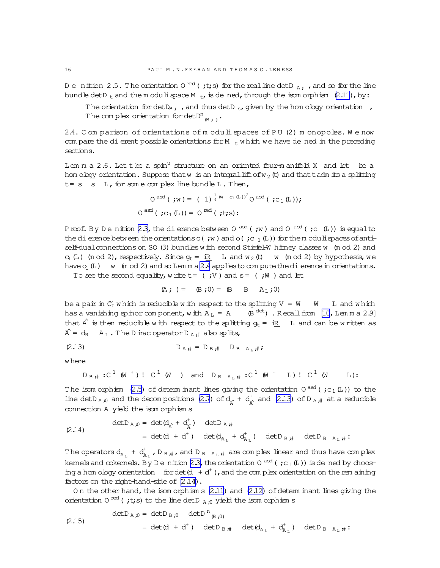Denition 2.5. The orientation 0  $^{\text{red}}$  (; t;s) for the real line det D  $_{\text{A}}$ ; , and so for the line bundle det D<sub>t</sub> and the m oduli space M<sub>t</sub>, is dened, through the isom orphism  $(2.11)$ , by:

The orientation for det  $D_B$ , , and thus det  $D_S$ , given by the hom ology orientation, The complex orientation for det  $D^n_{R+1}$ .

2.4. Com parison of orientations of moduli spaces of PU (2) monopoles. We now com pare the di erent possible orientations for M  $_t$  which we have dened in the preceding sections.

Lem m a 2.6. Let t be a spin<sup>u</sup> structure on an oriented four-manifold X and let be a hom oboy orientation. Suppose that w is an integral lift of w<sub>2</sub> (t) and that t adm its a splitting  $t = s$  s L, for some complex line bundle L. Then,

$$
O^{asd} ( ;w) = ( 1) ^{\frac{1}{4} (w - c_1 (L))^2} O^{asd} ( ;c_1 (L)) ;
$$
  

$$
O^{asd} ( ;c_1 (L)) = O^{red} ( ;t;s) :
$$

Proof. By Denition 2.3, the dierence between 0<sup>asd</sup> (; w) and 0<sup>asd</sup> (; c<sub>1</sub>(L)) is equal to the dierence between the orientations o(;  $w$ ) and o(;  $c_1(L)$ ) for the moduli spaces of antiself-dual connections on SO (3) bundles with second Stiefel-W hitney classes w (m od 2) and  $c_1$  (L) (m od 2), respectively. Since  $g_t = iR$  L and  $w_2$  (t) w (m od 2) by hypothesis, we have  $c_1(L)$  w (m od 2) and so Lemma 2.4 applies to compute the dierence in orientations.

To see the second equality, write  $t = ($ ; V  $)$  and  $s = ($ ; W  $)$  and let

$$
(A; ) = (B; 0) = (B B B AL; 0)
$$

be a pair in  $C_t$  which is reducible with respect to the splitting  $V = W$  W L and which has a vanishing spinor component, with  $A_L = A$  (B<sup>det</sup>). Recall from [10, Lemma 2.9] that  $\hat{A}$  is then reducible with respect to the splitting  $g_t = iR$  L and can be written as  $\hat{A} = d_R$   $A_L$ . The D irac operator D  $_{A}$  # also splits,

$$
D_{A,i} = D_{B,i} \qquad D_{B,A_{i},i} \qquad D_{B,A_{i},i} \qquad D_{C}
$$

w here

$$
D_{B,\#}:C^1(W^+):C^1(W)
$$
 and  $D_{B_{A_L,\#}}:C^1(W^+L):C^1(W-L):$ 

The isom orphism (2.5) of determ inant lines giving the orientation  $O^{asd}$  (;  $C_1(L)$ ) to the line det D<sub>A</sub>, and the decompositions (2.7) of  $d_{\hat{A}} + d_{\hat{A}}^+$  and (2.13) of D<sub>A</sub>, at a reductible connection A yield the isom orphism s

(2.14) 
$$
\det D_{A,0} = \det (d_{A^{\hat{A}}} + d_{A^{\hat{B}}}^{\dagger}) \quad \det D_{A,\#}
$$

$$
= \det (d + d^{\dagger}) \quad \det (d_{A_{\hat{A}}} + d_{A^{\hat{B}}}^{\dagger}) \quad \det D_{B,\#} \quad \det D_{B^{\hat{A}} \bar{A}}.
$$

The operators  $d_{A_L}$  +  $d_{A_L}^*$ ,  $D_{B,H}$ , and  $D_{B-A_L,H}$  are complex linear and thus have complex kemels and cokemels. By Denition 2.3, the orientation 0<sup>asd</sup> (;c<sub>1</sub>(L)) is dened by choosing a hom ology orientation for det  $(d + d^{+})$ , and the complex orientation on the rem aining factors on the right-hand-side of (2.14).

On the other hand, the isom orphism  $s(2.11)$  and  $(2.12)$  of determ inant lines giving the orientation 0<sup>red</sup> (; i; s) to the line det D<sub>A;0</sub> yield the isom orphism s

(2.15) 
$$
\det D_{A,0} = \det D_{B,0} \quad \det D^{n}_{B,0}
$$

$$
= \det(d + d^{+}) \quad \det D_{B,\#} \quad \det (d_{A_{L}} + d_{A_{L}}^{+}) \quad \det D_{B_{A_{L},\#}};
$$

<span id="page-15-0"></span> $16$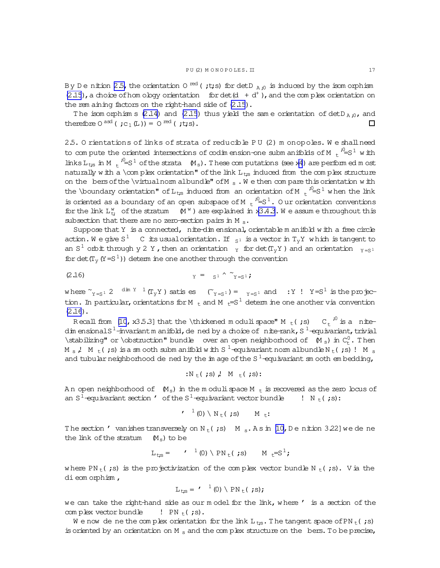<span id="page-16-0"></span>By De nition [2.5,](#page-14-0) the orientation O  $^{\rm red}$  ( ;t;s) for detD  $_{\rm A}$  ;0 is induced by the isom orphism  $(2.15)$  $(2.15)$ , a choice of hom ology orientation for det $(d + d^+)$ , and the complex orientation on the rem aining factors on the right-hand side of  $(2.15)$  $(2.15)$ .

The isom orphism s [\(2.14\)](#page-15-0) and [\(2.15](#page-15-0)) thus yield the same orientation of detD<sub>A</sub>, $_{0}$ , and therefore  $0^{asd}$  ( ;c<sub>1</sub>(L)) =  $0^{red}$  ( ;t;s).  $\Box$ 

2.5. O rientations of links of strata of reducible P U (2) m onopoles. W e shallneed to compute the oriented intersections of codimension-one submanifolds of M  $_{\rm t}$   $^{j0}_{\rm =S}$   $^{1}$  with links  $L_{ts}$  in M  $t^{0.0}$  = S<sup>1</sup> of the strata  $(M_s)$ . These computations (see x[4](#page-42-0)) are performed most naturally w ith a  $\complement$  orientation" of the link  $L_{ts}$  induced from the complex structure on the bers of the \virtualnorm albundle" of M  $_{\rm s}$ . We then compare this orientation with the \boundary orientation" of L<sub>t;s</sub> induced from an orientation of M  $_{\rm t}$  <sup>;0</sup>=S<sup>1</sup> when the link is oriented as a boundary of an open subspace of M  $t^{-1}$ =S<sup>1</sup>. Our orientation conventions for the link  $L_t^w$  of the stratum  $(M^w)$  are explained in  $x3.4.3$ . We assume throughout this subsection that there are no zero-section pairs in M  $_{\rm s}$ .

Suppose that Y is a connected,  $n$  ite-dim ensional, orientable m anifold with a free circle action. We give S  $^1$  C its usual orientation. If  $\,{}_{S^1}$  is a vector in  ${\tt T}_{{\tt y}}{\tt Y}$  which is tangent to an S<sup>1</sup> orbit through y 2 Y, then an orientation  $_Y$  for det(T<sub>y</sub>Y) and an orientation  $_{Y=S^1}$ for det( $T_y(Y=S^1)$ ) determ ine one another through the convention

$$
\gamma = s^1 \wedge \gamma_{=S^1};
$$

where  $\tilde{Y}_{Y=S^1}$  2  $\dim Y^{-1}(T_yY)$  satis es  $(\tilde{Y}_{Y=S^1}) = \tilde{Y}_{S^1}$  and  $Y'$  !  $Y=S^1$  is the projection. In particular, orientations for M  $_{\rm t}$  and M  $_{\rm t}$ =S<sup>1</sup> determ ine one another via convention  $(2.16)$ .

Recall from [\[10](#page-63-0),x3.5.3] that the \thickened modulispace" M  $_{\rm t}$  (;s)  $\,$  C  $_{\rm t}$   $^{j0}$  is a  $\,$  nitedim ensionals $^1$ -invariantm anifold,de ned by a choice of nite-rank,S  $^1$ -equivariant,trivial \stabilizing" or \obstruction" bundle over an open neighborhood of  $(M_s)$  in  $C_t^0$ . Then M  $_{\rm s}$  ,! M  $_{\rm t}$  ( ;s) is a sm ooth subm anifold with S  $^1$  -equivariant norm albundle N  $_{\rm t}$  ( ;s) ! M  $_{\rm s}$ and tubular neighborhood de ned by the im age of the S  $^1$ -equivariant sm ooth em bedding,

$$
:N_{t}( ; s) , M_{t}( ; s)
$$
:

An open neighborhood of  $(M_s)$  in the m odulispace M  $_t$  is recovered as the zero locus of an  $S^1$ -equivariant section ' of the  $S^1$ -equivariant vector bundle ! N <sub>t</sub> (;s):

$$
r^{-1}(0) \setminus N_{t}( ; s) \qquad M_{t}:
$$

The section ' vanishes transversely on  $N_t$  (;s)  $M_s$ . As in [\[10,](#page-63-0) De nition 3.22] we de ne the link of the stratum  $(M_s)$  to be

$$
L_{\mathsf{t};\mathsf{s}} = \qquad \qquad ^{1} (0) \setminus \text{PN}_{\mathsf{t}}(\mathsf{t}; \mathsf{s}) \qquad \text{M}_{\mathsf{t}} = \text{S}^{1};
$$

where PN<sub>t</sub>(;s) is the projectivization of the complex vector bundle N<sub>t</sub>(;s). V ia the dieom orphism,

$$
L_{\mathsf{t};\mathsf{s}} = \mathsf{'}^{-1}(0) \setminus \mathsf{PN}_{\mathsf{t}}(\mathsf{'};\mathsf{s})\mathsf{;}
$$

we can take the right-hand side as our model for the link, where ' is a section of the com plex vector bundle  $\qquad$  ! PN  $_t$  (;s).

We now de ne the complex orientation for the link  $L_{ts}$ . The tangent space of PN<sub>t</sub>(;s) is oriented by an orientation on M  $_{\rm s}$  and the complex structure on the bers. To be precise,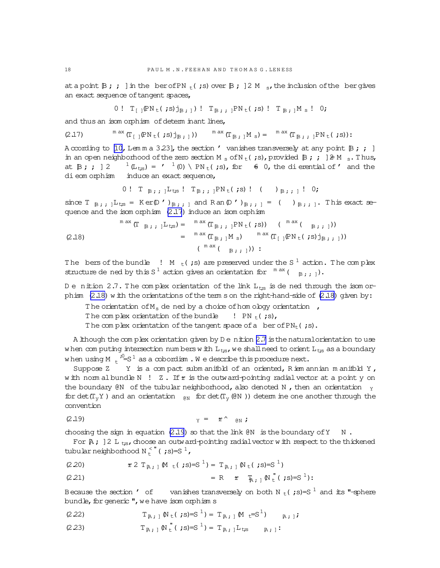<span id="page-17-0"></span>at a point  $\mathbb{B}$ ; j in the ber of PN  $_t$  (;s) over  $\mathbb{B}$ ; 12 M s, the inclusion of the bergives an exact sequence of tangent spaces,

0! 
$$
T_{[]} \rho N_t(i) j_{B;1}
$$
!  $T_{B;1} \rho N_t(i) = T_{B;1} M_s$ ! 0;

and thus an isom orphism of determ inant lines,

$$
(2.17) \qquad \qquad {}^{\mathfrak{m}\text{ ax}}\left(\Gamma_{[\ ]}\mathbb{P}\mathrm{N}_{\mathsf{t}}(\ ;s)\mathtt{j}_{\mathbb{B}\ ;\ ]}\right)) \qquad {}^{\mathfrak{m}\text{ ax}}\left(\Gamma_{\mathbb{B}\ ;\ ]}\mathrm{M}_{\mathsf{s}}\right)=\qquad {}^{\mathfrak{m}\text{ ax}}\left(\Gamma_{\mathbb{B}\ ;\ ;\ ]}\mathbb{P}\mathrm{N}_{\mathsf{t}}(\ ;s)\right):
$$

A ccording to [\[10](#page-63-0), Lem m a 3.23], the section ' vanishes transversely at any point  $\mathbb{B}$ ; ; ] in an open neighborhood of the zero section M<sub>s</sub> of N<sub>t</sub>(;s), provided  $\beta$ ; ;  $\beta \geq M_{s}$ . Thus, at  $\beta$ ; ; ] 2  $^{-1}$  (L<sub>ts</sub>) = '  $^{1}$  (0) \ PN<sub>t</sub>(;s), for  $\theta$  0, the dierential of ' and the dieom orphism induce an exact sequence,

0! T 
$$
_{B}
$$
;  $_{1}L_{ts}$ ! T $_{B}$ ;  $_{1}PN_{t}(s)$ ! ( )  $_{B}$ ;  $_{1}$ ! 0;

since  $T_{B}$ ; ;  $L_{ts} = K \text{er}(D'')_{B}$ ; ;  $\Box$  and R an(D')<sub>B;</sub> ;  $\Box$  = ( )<sub>B;</sub> ;  $\Box$ . This exact sequence and the isom orphism (2.17) induce an isom orphism

(2.18) 
$$
\begin{array}{rcl}\n\mathbf{M} \text{ as } (\mathbf{T} \mathbf{B}; \mathbf{B}; \mathbf{B}) = & \mathbf{M} \text{ as } (\mathbf{T}_{\mathbf{B}}; \mathbf{B}; \mathbf{B}) \text{ is } (\mathbf{M} \mathbf{B}; \mathbf{B}; \mathbf{B})) \\
= & \mathbf{M} \text{ as } (\mathbf{T}_{\mathbf{B}}; \mathbf{B}; \mathbf{B}) \text{ is } (\mathbf{M} \mathbf{B}; \mathbf{B}; \mathbf{B}; \mathbf{B}; \mathbf{B}; \mathbf{B}; \mathbf{B})) \\
= & (\mathbf{M} \mathbf{A}; (\mathbf{B}; \mathbf{B}; \mathbf{B}; \mathbf{B}); \mathbf{B}; \mathbf{B}))\n\end{array}
$$

The bers of the bundle  $\blacksquare$   $\blacksquare$   $\blacksquare$   $\blacksquare$  (; s) are preserved under the S  $^1$  action. The complex structure de ned by this S<sup>1</sup> action gives an orientation for  $\mathbb{R}^{n}$  ( $\mathbb{R}_{\geq 1}$ ).

D e nition 2.7. The complex orientation of the link  $L_{ts}$  is de ned through the isom orphism  $(2.18)$  w ith the orientations of the term s on the right-hand-side of  $(2.18)$  given by:

The orientation of  $M_s$  de ned by a choice of hom ology orientation  $\prime$ ,

The complex orientation of the bundle  $\left( \begin{array}{cc} P\end{array} \right)$ .

The complex orientation of the tangent space of a ber of  $PN_t$  (;s).

A lthough the complex orientation given by D e nition 2.7 is the natural orientation to use w hen com puting intersection num bers w ith  $L_{t;s}$ , we shall need to orient  $L_{t;s}$  as a boundary when using M  $\mathrm{t}$   $^{\mathrm{i0}_{\mathrm{e}}\mathrm{S}^{\mathrm{1}}}$  as a cobordism . We describe this procedure next.

Suppose  $Z$  Y is a compact subm anifold of an oriented, R iem annian m anifold Y, w ith norm albundle N ! Z. If  $r$  is the outward-pointing radial vector at a point y on the boundary  $\&N$  of the tubular neighborhood, also denoted N, then an orientation  $_Y$ for det(T<sub>y</sub>Y) and an orientation  $_{\mathfrak{g}_N}$  for det(T<sub>y</sub>( $\mathfrak{g}_N$ )) determ ine one another through the convention

$$
\gamma = \mathscr{L} \setminus \mathscr{C} \setminus \mathscr{C} \setminus \mathscr{C} \setminus \mathscr{C} \setminus \mathscr{C} \setminus \mathscr{C} \setminus \mathscr{C} \setminus \mathscr{C} \setminus \mathscr{C} \setminus \mathscr{C} \setminus \mathscr{C} \setminus \mathscr{C} \setminus \mathscr{C} \setminus \mathscr{C} \setminus \mathscr{C} \setminus \mathscr{C} \setminus \mathscr{C} \setminus \mathscr{C} \setminus \mathscr{C} \setminus \mathscr{C} \setminus \mathscr{C} \setminus \mathscr{C} \setminus \mathscr{C} \setminus \mathscr{C} \setminus \mathscr{C} \setminus \mathscr{C} \setminus \mathscr{C} \setminus \mathscr{C} \setminus \mathscr{C} \setminus \mathscr{C} \setminus \mathscr{C} \setminus \mathscr{C} \setminus \mathscr{C} \setminus \mathscr{C} \setminus \mathscr{C} \setminus \mathscr{C} \setminus \mathscr{C} \setminus \mathscr{C} \setminus \mathscr{C} \setminus \mathscr{C} \setminus \mathscr{C} \setminus \mathscr{C} \setminus \mathscr{C} \setminus \mathscr{C} \setminus \mathscr{C} \setminus \mathscr{C} \setminus \mathscr{C} \setminus \mathscr{C} \setminus \mathscr{C} \setminus \mathscr{C} \setminus \mathscr{C} \setminus \mathscr{C} \setminus \mathscr{C} \setminus \mathscr{C} \setminus \mathscr{C} \setminus \mathscr{C} \setminus \mathscr{C} \setminus \mathscr{C} \setminus \mathscr{C} \setminus \mathscr{C} \setminus \mathscr{C} \setminus \mathscr{C} \setminus \mathscr{C} \setminus \mathscr{C} \setminus \mathscr{C} \setminus \mathscr{C} \setminus \mathscr{C} \setminus \mathscr{C} \setminus \mathscr{C} \setminus \mathscr{C} \setminus \mathscr{C} \setminus \mathscr{C} \setminus \mathscr{C} \setminus \mathscr{C} \setminus \mathscr{C} \setminus \mathscr{C} \setminus \mathscr{C} \setminus \mathscr{C} \setminus \mathscr{C} \setminus \mathscr{C} \setminus \mathscr{C} \setminus \mathscr{C} \setminus \mathscr{C} \setminus \
$$

choosing the sign in equation  $(2.19)$  so that the link  $(0)$  is the boundary of Y N.

For  $A$ ; ] 2 L  $_{ts}$ , choose an outward-pointing radial vector w ith respect to the thickened tubular neighborhood N $_{t}^{<}$ " (;s)=S $^{1}$ ,

(2.20) 
$$
\mathscr{Z} 2 T_{\mathbb{R} ; 1} \mathbb{M} _{t} (\mathbf{1} ; s) = S^{-1} = T_{\mathbb{R} ; 1} \mathbb{N} _{t} (\mathbf{1} ; s) = S^{-1} )
$$

(2.21) = R 
$$
\tau
$$
  $\bar{F}_{A,i} \mathbb{N}^{\top}(s) = S^1$ :

Because the section ' of vanishes transversely on both N  $_t$  (;s)=S<sup>1</sup> and its "-sphere bundle, for generic ", we have isom orphism s

(2.22) 
$$
T_{A;1} N_t(js) = S^1 = T_{A;1} M_t = S^1
$$

(2.23)  $T_{A}$ ;  $N_t^{\prime\prime}($ ;  $s)=S^1$ ) =  $T_{A}$ ;  $L_{ts}$   $R$ ;  $\vdots$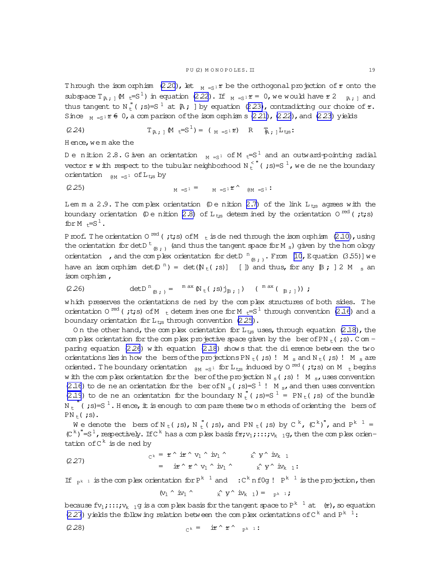<span id="page-18-0"></span>Through the isom orphism [\(2.20\)](#page-17-0), let  $_{M = S1}r$  be the orthogonal projection of  $r$  onto the subspace  $T_{A}$ ;  $(M_t=S^1)$  in equation [\(2.22](#page-17-0)). If  $M_{A} = S^1 \mathcal{F} = 0$ , we would have  $\mathcal{F}$  2  $M_{A}$ ; and thus tangent to  $N_L^{\pi}$  (;s)=S<sup>1</sup> at  $\beta$ ; ] by equation ([2.23\)](#page-17-0), contradicting our choice of  $r$ . Since  $M = S1 F 6$ , a com parison of the isom orphism s[\(2.21\)](#page-17-0),[\(2.22](#page-17-0)), and [\(2.23\)](#page-17-0) yields

(2.24) 
$$
T_{R;1} M_t = S^1 = (M_{S^1} \cdot R) R_{R;1} L_{t,s}
$$

H ence, we m ake the

D e nition 2.8. G iven an orientation  $M_{\text{H}}=S^{1}$  of M  $_{\text{t}}=S^{1}$  and an outward-pointing radial vector  $\bm r$  with respect to the tubular neighborhood N  $_{{\rm t}}^{<}$  " ( ;s)=S  $^1$  , we de ne the boundary orientation  $_{\text{AM} = S^1}$  of L<sub>t;s</sub> by

(2.25) 
$$
M = S^1 = M = S^1 \mathfrak{C}^{\wedge}
$$
  $\mathfrak{M} = S^1$ 

Lem m a 2.9. The complex orientation  $($ D e nition [2.7\)](#page-17-0) of the link L<sub>ts</sub> agrees with the boundary orientation (Denition 2.8) of  $L_{ts}$  determined by the orientation O  $^{\rm red}$  ( ;t;s) for  $M \div S^1$ .

Proof. The orientation O  $^{\rm red}$  ( ;t;s) of M  $_{\rm t}$  is de ned through the isom orphism [\(2.10\)](#page-14-0),using the orientation for detD  $^{\rm t}$   $_{\rm \oplus}$  ;  $_{\rm )}$  (and thus the tangent space for M  $_{\rm s})$  given by the hom ology orientation, and the complex orientation for det D  $^{n}$   $_{\beta}$  , From [\[10](#page-63-0), E quation (3.55)] we have an isom orphism  $det(\mathbb{D}^n) = det(\mathbb{N}_t(j; s))]$  []) and thus, for any  $\mathbb{B}$ ; 12 M  $_s$  an isom orphism ,

(2.26) 
$$
\det D^{n}_{(B;1)} = {^{m}ax} N_{t}( ;s)j_{B;1} ) (^{max} ( _{B;1} ) ) ;
$$

which preserves the orientations de ned by the complex structures of both sides. The orientation 0  $^{red}$  (;t;s) of M  $_{t}$  determ ines one for M  $_{t}$ =S<sup>1</sup> through convention [\(2.16\)](#page-16-0) and a boundary orientation for  $L_{ts}$  through convention (2.25).

On the other hand, the complex orientation for  $L_{ts}$  uses, through equation [\(2.18\)](#page-17-0), the com plex orientation for the complex projective space given by the ber of PN  $_t$  (;s). C om paring equation  $(2.26)$  with equation  $(2.18)$  show s that the dierence between the two orientations lies in how the bers of the projections PN  $_t$  (;s)! M s and N  $_t$  (;s)! M s are oriented. The boundary orientation  $_{\rm \,\otimes M\,\, =S^1}\,$  for  ${\rm L_{ts}}$  induced by 0  $^{\rm red}$  ( ;t;s) on M  $_{\rm \,\, t}$  begins w ith the complex orientation for the ber of the projection N<sub>s</sub>(;s)! M<sub>s</sub>, uses convention [\(2.16](#page-16-0)) to de ne an orientation for the ber of N  $_{\rm s}$  (;s)=S<sup>1</sup>! M  $_{\rm s}$ , and then uses convention [\(2.19](#page-17-0)) to de ne an orientation for the boundary N  $_t^{\bullet}$  (;s)=S  $^1$  = PN  $_t$  (;s) of the bundle N  $_{\rm t}$  "( ;s)=S  $^1$  . Hence, it is enough to compare these two methods of orienting the bers of  $PN_+$ (;s).

We denote the bers of N  $_{\rm t}$  (;s), N  $_{\rm t}^{\rm u}$  (;s), and PN  $_{\rm t}$  (;s) by C  $^{\rm k}$ , (C  $^{\rm k}$ )", and P $^{\rm k-1}$  =  $(C<sup>k</sup>)''=S<sup>1</sup>$ , respectively. If C<sup>k</sup> has a complex basis f $r;v_1;...;v_{k-1}$ g, then the complex orientation of  $C^k$  is dened by

$$
\begin{array}{lcl}\n\text{(2.27)} \\
\text{(2.27)} \\
\text{(2.28)} \\
\text{(2.29)} \\
\text{(2.20)} \\
\text{(2.21)} \\
\text{(2.21)} \\
\text{(2.22)} \\
\text{(2.23)} \\
\text{(2.24)} \\
\text{(2.25)} \\
\text{(2.27)} \\
\text{(2.29)} \\
\text{(2.20)} \\
\text{(2.21)} \\
\text{(2.21)} \\
\text{(2.22)} \\
\text{(2.23)} \\
\text{(2.23)} \\
\text{(2.24)} \\
\text{(2.25)} \\
\text{(2.27)} \\
\text{(2.27)} \\
\text{(2.29)} \\
\text{(2.29)} \\
\text{(2.20)} \\
\text{(2.21)} \\
\text{(2.21)} \\
\text{(2.22)} \\
\text{(2.23)} \\
\text{(2.23)} \\
\text{(2.25)} \\
\text{(2.25)} \\
\text{(2.27)} \\
\text{(2.29)} \\
\text{(2.29)} \\
\text{(2.20)} \\
\text{(2.21)} \\
\text{(2.21)} \\
\text{(2.22)} \\
\text{(2.23)} \\
\text{(2.23)} \\
\text{(2.23)} \\
\text{(2.23)} \\
\text{(2.23)} \\
\text{(2.23)} \\
\text{(2.23)} \\
\text{(2.23)} \\
\text{(2.23)} \\
\text{(2.23)} \\
\text{(2.23)} \\
\text{(2.23)} \\
\text{(2.23)} \\
\text{(2.23)} \\
\text{(2.23)} \\
\text{(2.23)} \\
\text{(2.23)} \\
\text{(2.23)} \\
\text{(2.23)} \\
\text{(2.23)} \\
\text{(2.23)} \\
\text{(2.23)} \\
\text{(2.23)} \\
\text{(2.23)} \\
\text{(2.23)} \\
\text{(2.23)} \\
\text{(2.23)} \\
\text{(2.23)} \\
\text{(2.23)} \\
\text{(2.23)} \\
\text{(2.23)} \\
\text{(2.23)} \\
\text{(2.23)} \\
\text{(2.23)} \\
\text{(2.23)} \\
\text{(2.23)} \\
\text{(2.23)} \\
\text{(2.23)} \\
\text{(2.23)} \\
\text{(2.23)} \\
\text{(2.23)} \\
\text{(2.23)} \\
\text{(2.23)} \\
\text{(2
$$

If  $_{p^k-1}$  is the complex orientation for  $P^{k-1}$  and  $C^k$  nf0g!  $P^{k-1}$  is the projection, then

$$
(v_1 \wedge \text{ iv}_1 \wedge \text{ iv}_k \wedge \text{ iv}_{k-1}) = \text{ p}_{k-1} \text{ ; }
$$

because fv $_1$ ;::; $\rm{v}_{k-1}$ g is a com plex basis for the tangent space to P $^{\rm k-1}$  at  $\>$  (r), so equation (2.27) yields the follow ing relation between the complex orientations of  $C<sup>k</sup>$  and  $P<sup>k-1</sup>$ :

$$
{}_{C^k} = i\mathbf{r} \uparrow \mathbf{r} \uparrow \mathbf{r} \uparrow \mathbf{r} \uparrow \mathbf{r} \uparrow \mathbf{r} \uparrow \mathbf{r} \uparrow \mathbf{r} \uparrow \mathbf{r} \uparrow \mathbf{r} \uparrow \mathbf{r} \uparrow \mathbf{r} \uparrow \mathbf{r} \uparrow \mathbf{r} \uparrow \mathbf{r} \uparrow \mathbf{r} \uparrow \mathbf{r} \uparrow \mathbf{r} \uparrow \mathbf{r} \uparrow \mathbf{r} \uparrow \mathbf{r} \uparrow \mathbf{r} \uparrow \mathbf{r} \uparrow \mathbf{r} \uparrow \mathbf{r} \uparrow \mathbf{r} \uparrow \mathbf{r} \uparrow \mathbf{r} \uparrow \mathbf{r} \uparrow \mathbf{r} \uparrow \mathbf{r} \uparrow \mathbf{r} \uparrow \mathbf{r} \uparrow \mathbf{r} \uparrow \mathbf{r} \uparrow \mathbf{r} \uparrow \mathbf{r} \uparrow \mathbf{r} \uparrow \mathbf{r} \uparrow \mathbf{r} \uparrow \mathbf{r} \uparrow \mathbf{r} \uparrow \mathbf{r} \uparrow \mathbf{r} \uparrow \mathbf{r} \uparrow \mathbf{r} \uparrow \mathbf{r} \uparrow \mathbf{r} \uparrow \mathbf{r} \uparrow \mathbf{r} \uparrow \mathbf{r} \uparrow \mathbf{r} \uparrow \mathbf{r} \uparrow \mathbf{r} \uparrow \mathbf{r} \uparrow \mathbf{r} \uparrow \mathbf{r} \uparrow \mathbf{r} \uparrow \mathbf{r} \uparrow \mathbf{r} \uparrow \mathbf{r} \uparrow \mathbf{r} \uparrow \mathbf{r} \uparrow \mathbf{r} \uparrow \mathbf{r} \uparrow \mathbf{r} \uparrow \mathbf{r} \uparrow \mathbf{r} \uparrow \mathbf{r} \uparrow \mathbf{r} \uparrow \mathbf{r} \uparrow \mathbf{r} \uparrow \mathbf{r} \uparrow \mathbf{r} \uparrow \mathbf{r} \uparrow \mathbf{r} \uparrow \mathbf{r} \uparrow \mathbf{r} \uparrow \mathbf{r} \uparrow \mathbf{r} \uparrow \mathbf{r} \uparrow \mathbf{r} \uparrow \mathbf{r} \uparrow \mathbf{
$$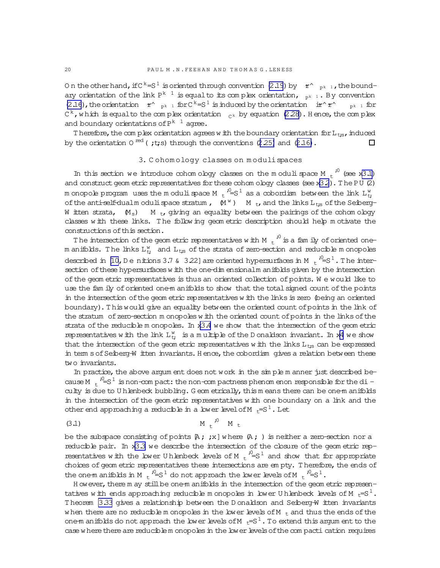<span id="page-19-0"></span>0 n the other hand, if C  $^{\rm k}$  =S  $^{\rm l}$  is oriented through convention [\(2.19](#page-17-0)) by  $\;$  r^  $\;$   $_{\rm p}$ k  $\;$  1, the bound– ary orientation of the link  $\text{P}^{\text{k}-1}$  is equalto its complex orientation,  $\text{P}_{\text{P}^{\text{k}-1}}$  . By convention [\(2.16](#page-16-0)), the orientation  $r^{\wedge}$   $_{p^k}$  1 for C<sup>k</sup>=S<sup>1</sup> is induced by the orientation ir^r^  $r^{\wedge}$   $_{p^{k-1}}$  for C<sup>k</sup>,which is equalto the complex orientation  $\frac{1}{C}$ k by equation [\(2.28\)](#page-18-0). Hence,the complex and boundary orientations of  $\text{P}^{\text{k}-1}$  agree.

T herefore, the complex orientation agrees w ith the boundary orientation for  $L_{ts}$ , induced by the orientation 0  $^{\text{red}}$  ( ;t;s) through the conventions ([2.25\)](#page-18-0) and [\(2.16\)](#page-16-0).  $\Box$ 

## 3. C ohom ology classes on m odulispaces

In this section we introduce cohomology classes on the moduli space M  $t^{0}$  (see x[3.1\)](#page-20-0) and construct geom etric representatives for these cohom ology classes (see  $x3.2$  $x3.2$ ). The PU (2) m onopole program uses the modulispace M  $_{\rm t}$   $^{j_{\rm u}}$  =  $\rm s^1$  as a cobordism between the link  $\rm L^w_{t_f}$ of the anti-self-dualm odulispace stratum ,  $\mathbb{M}^{\mathbb{W}}$  )  $\mathbb{M}$  <sub>t</sub>, and the links  $\mathtt{L_{ts}}$  of the Seiberg-W itten strata,  $(M_s)$  M t, giving an equality between the pairings of the cohom ology classes w ith these links. T he follow ing geom etric description should help m otivate the constructions ofthis section.

The intersection of the geom etric representatives with M  $\mathrm{_{t}}^{\mathrm{^{\prime0}}}$  is a fam ily of oriented onem anifolds. The links  $\text{L}^{\text{w}}_{\text{t};i}$  and  $\text{L}_{\text{t;s}}$  of the strata of zero-section and reducible m onopoles described in [\[10,](#page-63-0) D e nitions 3.7 & 3.22] are oriented hypersurfaces in M  $\mathrm{_{t}}$   $\mathrm{^{10}\! =} \mathrm{S}^{\mathrm{1}}$  . The intersection of these hypersurfaces w ith the one-dim ensionalm anifolds given by the intersection ofthe geom etric representatives is thus an oriented collection ofpoints. W e would like to use the fam ily of oriented one-m anifolds to show that the total signed count of the points in the intersection of the geom etric representatives w ith the links is zero (being an oriented boundary).T hiswould give an equality between the oriented countofpointsin the link of the stratum of zero-section m onopoles w ith the oriented count of points in the links of the strata of the reducible m onopoles. In  $x3.4$  $x3.4$  we show that the intersection of the geom etric representatives with the link  $L_t^w$  is a multiple of the D onaldson invariant. In x[4](#page-42-0) we show that the intersection of the geom etric representatives w ith the links  $L_{ts}$  can be expressed in term s of Seiberg-W itten invariants. Hence, the cobordism gives a relation between these two invariants.

In practice, the above argum ent does not work in the sim ple m anner just described because M  $t^{-1}$  is non-com pact: the non-com pactness phenom enon responsible for the diculty is due to U hlenbeck bubbling. G eom etrically, this m eans there can be one-m anifolds in the intersection of the geom etric representatives w ith one boundary on a link and the other end approaching a reducible in a lower level of M  $_{t}=S^{1}$ . Let

$$
(3.1) \t\t\t M_t^2 \t\t M_t
$$

be the subspace consisting of points  $A$ ; ;x] where  $A$ ; ) is neither a zero-section nor a reducible pair. In x[3.3](#page-26-0) we describe the intersection of the closure of the geom etric representatives with the lower U hlenbeck levels of M  $t^{-1}$  = S<sup>1</sup> and show that for appropriate choices of geom etric representatives these intersections are em pty. Therefore, the ends of the one-m anifolds in M  $t^{-1/2} = S^1$  do not approach the lower levels of M  $t^{-1/2} = S^1$ .

H ow ever, there m ay still be one-m anifolds in the intersection of the geom etric representatives w ith ends approaching reducible m onopoles in lower U hlenbeck levels of M  $E^{-S^1}$ . Theorem [3.33](#page-40-0) gives a relationship between the D onaldson and Seiberg-W itten invariants w hen there are no reducible m onopoles in the lower levels of M  $_{t}$  and thus the ends of the one-m anifolds do not approach the lower levels of M  $_{t}=S^{1}$ . To extend this argum ent to the case w here there are reducible m onopoles in the low er levels of the compacti cation requires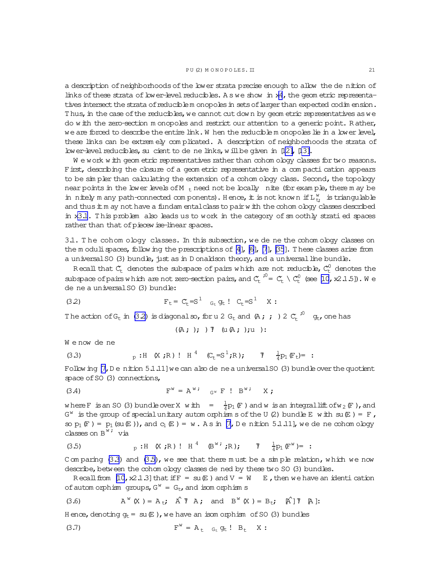<span id="page-20-0"></span>a description of neighborhoods of the lower strata precise enough to allow the de nition of links of these strata of lower-level reducibles. A s we show in x[4](#page-42-0), the geom etric representatives intersect the strata of reduciblem onopoles in sets of larger than expected codim ension. T hus, in the case of the reducibles, we cannot cut down by geom etric representatives as we do w ith the zero-section m onopoles and restrict our attention to a generic point. Rather, we are forced to describe the entire link. W hen the reduciblem onopoles lie in a lower level, these links can be extrem ely com plicated. A description of neighborhoods the strata of lower-level reducibles, su cient to de ne links, w ill be given in  $[12]$ ,  $[13]$ .

W e work w ith geom etric representatives rather than cohom ology classes for two reasons. First, describing the closure of a geom etric representative in a compacti cation appears to be sim pler than calculating the extension of a cohom ology class. Second, the topology near points in the lower levels of M  $_t$  need not be locally nite (for example, there m ay be in nitely m any path-connected com ponents). Hence, it is not known if  $L_t^w$  is triangulable and thus  $\pm$  m ay not have a fundam ental class to pair w  $\pm$ h the cohom ology classes described in x3.1. This problem also leads us to work in the category of smoothly strati ed spaces rather than that of piecew ise-linear spaces.

3.1. The cohom ology classes. In this subsection, we de ne the cohom ology classes on the m oduli spaces, follow ing the prescriptions of  $[4]$  $[4]$ ,  $[6]$ ,  $[7]$  $[7]$ ,  $[35]$  $[35]$ . T hese classes arise from a universal SO (3) bundle, just as in D onaldson theory, and a universal line bundle.

Recall that  $\mathcal{C}_{\mathrm{t}}$  denotes the subspace of pairs which are not reducible,  $\mathcal{C}_{\mathrm{t}}^{0}$  denotes the subspace of pairs w hich are not zero-section pairs, and  $C_t^{-10} = C_t \setminus C_t^0$  (see [\[10,](#page-63-0) x2.1.5]). We de ne a universal SO (3) bundle:

(3.2) 
$$
F_t = C_t = S^1 \quad G_t \, g_t \, \, \mathbf{C}_t = S^1 \quad X \, \, \mathbf{C}
$$

The action of  $G_t$  in (3.2) is diagonalso, for u 2  $G_t$  and (A ; ;)2  $C_t$   $\overset{.0}{\sim}$   $g_t$ , one has

$$
((A; ); ) \mathcal{L} (U(A; ); u) :
$$

We now de ne

(3.3) 
$$
p : H (X; R) ! H^{4} (C_{t} = S^{1}; R); T \frac{1}{4} p_{1} (F_{t}) = :
$$

Follow ing  $[7, D e$  nition  $5.1.11$ ] we can also de ne a universal SO (3) bundle over the quotient space of SO (3) connections,

$$
F^w = A^{w_i} \quad \text{or} \quad F^w = I^w
$$

where F is an SO (3) bundle over X with  $=$   $\frac{1}{4}$  $\frac{1}{4}$ p<sub>1</sub> (F) and w is an integrallift of w<sub>2</sub> (F), and  $G^w$  is the group of special unitary autom or phism s of the U (2) bundle E with su $(E) = F$ , so  $p_1(F) = p_1(su(E))$ , and  $c_1(E) = w$ . As in [\[7,](#page-63-0) Denition 5.1.11], we dene cohom ology  $classes$  on  $B^{\overline{w}}$  via

(3.5) 
$$
p : H(X; R) ! H^4 (\mathbb{B}^{W}; R); T \frac{1}{4} p_1(\mathbb{F}^{W}) = :
$$

C om paring  $(3.3)$  and  $(3.5)$ , we see that there must be a simple relation, which we now describe, between the cohom ology classes de ned by these two SO (3) bundles.

Recall from  $[10, x2.1.3]$  that if  $F = su(E)$  and  $V = W$   $E$ , then we have an identication of autom orphism groups,  $G^W = G_t$ , and isom orphism s

(3.6) 
$$
A^{\mathbf{w}}(X) = A_t; \quad \hat{A}^{\mathbf{T}} A; \quad \text{and} \quad B^{\mathbf{w}}(X) = B_t; \quad \hat{A}^{\mathbf{T}} \mathbf{R}].
$$

H ence, denoting  $q_t = su(E)$ , we have an isom orphism of SO (3) bundles

$$
F^w = A_t \quad G_t \, g_t \, \colon B_t \quad X \, : \,
$$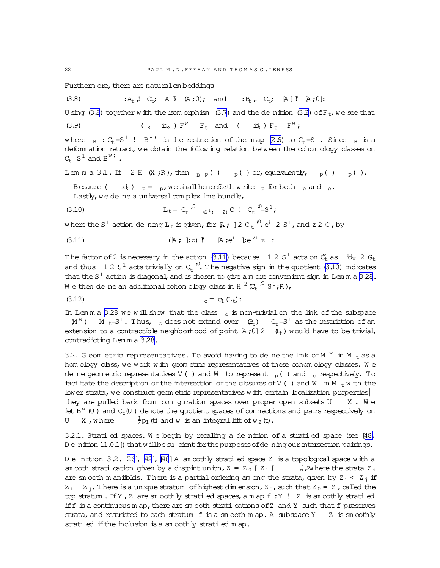<span id="page-21-0"></span>Furtherm ore, there are natural em beddings

$$
(3.8) \qquad \qquad :A_t \text{, } C_t \text{, } A \text{ } \text{T} \text{ } (A \text{ ; } 0) \text{, and } \qquad :B_t \text{, } C_t \text{, } [A] \text{ } \text{T} \text{ } (A \text{ ; } 0) \text{:}
$$

U sing (3.8) together w ith the isom orphism [\(3.7](#page-20-0)) and the denition [\(3.2\)](#page-20-0) of  $F_t$ , we see that

(3.9) 
$$
(\begin{array}{cc} B & \text{id}_X \end{array}) \quad F^W = F_t \quad \text{and} \quad (\begin{array}{cc} \text{id}_k \end{array}) \quad F_t = F^W;
$$

where  $_B : C_t = S^1$  !  $B^{W_i}$  is the restriction of the map [\(2.6\)](#page-12-0) to  $C_t = S^1$ . Since  $_B$  is a deform ation retract, we obtain the following relation between the cohom ology classes on  $C_t = S^1$  and  $B^w$ ; .

Lem m a 3.1. If 2 H  $(X;R)$ , then  $B_{B, p}$  ( ) = p( ) or, equivalently, p( ) = p( ).

Because (  $i\dot{x}$ )  $_p = p$ , we shall henceforth write p for both p and p. Lastly, we de ne a universal complex line bundle,

(3.10) 
$$
L_t = C_t \stackrel{i^0}{\sim} (s^1; 2) C \stackrel{i}{\sim} C_t \stackrel{i^0}{\sim} S^1;
$$

where the S  $^1$  action de ning  $\tt L_t$  is given, for [A ; ] 2 C  $_t$   $^{j0}_{\cdot}$  e  $^{i}$  2 S  $^{1}$  , and z 2 C , by

(3.11) 
$$
(A; j; z) T \quad A; e^{i} j e^{2i} z :
$$

The factor of 2 is necessary in the action (3.11) because 12  $S<sup>1</sup>$  acts on  $C_{t}$  as  $i d_{V}$  2  $G_{t}$ and thus 12 S<sup>1</sup> acts trivially on  $C_t^{-10}$ . The negative sign in the quotient (3.10) indicates that the  $S^1$  action is diagonal, and is chosen to give a m ore convenient sign in Lem m a [3.28.](#page-38-0) We then de ne an additional cohom ology class in H  $^2$  (C<sub>t</sub>  $^{\cdot0}$ =S<sup>1</sup>;R),

$$
(3.12) \t\t\t c = c_1(L_t):
$$

In Lem m a [3.28](#page-38-0) we will show that the class c is non-trivial on the link of the subspace  $(M^W)$  M t=S<sup>1</sup>. Thus, c does not extend over  $(R_t)$  C<sub>t</sub>=S<sup>1</sup> as the restriction of an extension to a contractible neighborhood of point  $[A;0]$  2  $(B_t)$  would have to be trivial, contradicting Lem m a [3.28.](#page-38-0)

32. G eom etric representatives. To avoid having to de ne the link of M  $^{W}$  in M  $_{t}$  as a hom ology class, we work w ith geom etric representatives of these cohom ology classes. We de ne geom etric representatives V() and W to represent  $_{\rm p}$ () and c respectively. To facilitate the description of the intersection of the closures of V( ) and W in M  $_{+}$  w ith the lower strata, we construct geom etric representatives w ith certain localization properties they are pulled back from con guration spaces over proper open subsets  $U$   $X$ . We let  $B^w$  (U) and  $C_t$  (U) denote the quotient spaces of connections and pairs respectively on U X, where =  $\frac{1}{4}$  $\frac{1}{4}$  $p_1$  (t) and w is an integral lift of w<sub>2</sub> (t).

 $32.1$ . Strati ed spaces. We begin by recalling a de nition of a strati ed space (see  $48$ , De nition 11.0.1]) that will be sucient for the purposes of de ning our intersection pairings.

D e nition 3.2. [\[26](#page-63-0)], [\[42](#page-64-0)], [\[48](#page-64-0)] A sm oothly strati ed space Z is a topological space with a sm ooth stration diversion by a disjoint union,  $Z = Z_0 [Z_1 [$   $\frac{1}{N} \lambda$  here the strata  $Z_1$ are sm ooth m anifolds. There is a partial ordering am ong the strata, given by  $Z_i < Z_i$  if  $Z_i$   $Z_i$ . There is a unique stratum of highest dim ension,  $Z_0$ , such that  $Z_0 = Z$ , called the top stratum. If Y, Z are sm oothly stratied spaces, a m ap f: Y ! Z is sm oothly stratied if  $f$  is a continuous m ap, there are sm ooth strati cations of Z and Y such that  $f$  preserves strata, and restricted to each stratum f is a sm ooth m ap. A subspace  $Y \times Z$  is sm oothly stratied ifthe inclusion is a sm oothly stratied m ap.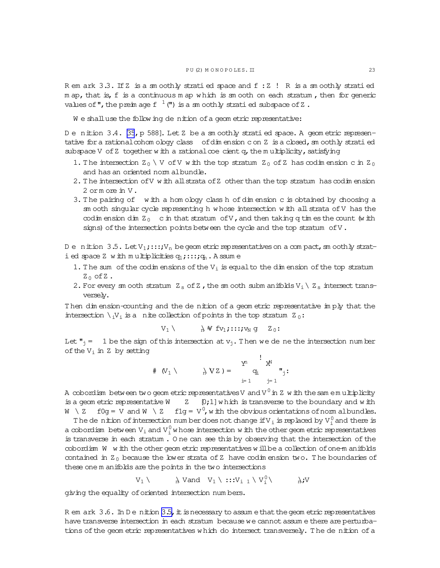<span id="page-22-0"></span>Rem ark 3.3. If Z is a sm oothly stratied space and f: Z ! R is a sm oothly stratied m ap, that is, f is a continuous m ap which is sm ooth on each stratum, then for generic values of ", the preim age  $f^{-1}$  (") is a sm oothly stratied subspace of Z.

We shall use the following denition of a geometric representative:

Denition 3.4. [35, p 588]. Let Z be a smoothly stratied space. A geometric representative for a rational cohom ology class of dimension con Z is a closed, sm oothly stratied subspace V of Z together with a rational coe cient  $q$ , the multiplicity, satisfying

- 1. The intersection  $Z_0 \setminus V$  of V with the top stratum  $Z_0$  of Z has codimension c in  $Z_0$ and has an oriented norm albundle.
- 2. The intersection of V with all strata of Z other than the top stratum has codimension 2 ormore in V.
- 3. The pairing of with a hom ology class h of dimension c is obtained by choosing a sm ooth singular cycle representing h whose intersection with all strata of V has the codim ension dim  $Z_0$  c in that stratum of V, and then taking q tim es the count (with signs) of the intersection points between the cycle and the top stratum of V.

Denition 3.5. Let  $V_1$ ;::; $V_n$  be geometric representatives on a compact, smoothly strati ed space Z with multiplicities  $q_1$ ;::; $q_n$ . A ssume

- 1. The sum of the  $\infty$ dim ensions of the  $V_i$  is equal to the dim ension of the top stratum  $Z_0$  of  $Z$ .
- 2. For every sm ooth stratum  $Z_s$  of Z, the sm ooth subm anifolds  $V_i \setminus Z_s$  intersect transversely.

Then dimension-counting and the de nition of a geometric representative imply that the intersection  $\setminus_i V_i$  is a nite collection of points in the top stratum  $Z_0$ :

$$
V_1\setminus \qquad \quad \text{and}\quad V_1\mathop{;\text{if}} V_1\mathop{;\text{if}} V_N\mathop{g} Z_0\mathop{:\text{if}} V_N\mathop{g} Z_0\mathop{:\text{if}} V_N\mathop{g} Z_0\mathop{:\text{if}} V_N\mathop{g} Z_0\mathop{:\text{if}} V_N\mathop{g} Z_0\mathop{:\text{if}} V_N\mathop{g} Z_0\mathop{:\text{if}} V_N\mathop{g} Z_0\mathop{:\text{if}} V_N\mathop{g} Z_0\mathop{:\text{if}} V_N\mathop{g} Z_0\mathop{:\text{if}} V_N\mathop{g} Z_0\mathop{:\text{if}} V_N\mathop{g} Z_0\mathop{:\text{if}} V_N\mathop{g} Z_0\mathop{:\text{if}} V_N\mathop{g} Z_0\mathop{:\text{if}} V_N\mathop{g} Z_0\mathop{:\text{if}} V_N\mathop{g} Z_0\mathop{:\text{if}} V_N\mathop{g} Z_0\mathop{:\text{if}} V_N\mathop{g} Z_0\mathop{:\text{if}} V_N\mathop{g} Z_0\mathop{:\text{if}} V_N\mathop{g} Z_0\mathop{:\text{if}} V_N\mathop{g} Z_0\mathop{:\text{if}} V_N\mathop{g} Z_0\mathop{:\text{if}} V_N\mathop{g} Z_0\mathop{:\text{if}} V_N\mathop{g} Z_0\mathop{:\text{if}} V_N\mathop{g} Z_0\mathop{:\text{if}} V_N\mathop{g} Z_0\mathop{:\text{if}} V_N\mathop{g} Z_0\mathop{:\text{if}} V_N\mathop{g} Z_0\mathop{:\text{if}} V_N\mathop{g} Z_0\mathop{:\text{if}} V_N\mathop{g} Z_0\mathop{:\text{if}} V_N\mathop{g} Z_0\mathop{:\text{if}} V_N\mathop{g} Z_0\mathop{:\text{if}} V_N\mathop{g} Z_0\mathop{:\text{if}} V_N\mathop{g} Z_0\mathop{:\text{if}} V_N\mathop{g} Z_0\mathop{:\text{if}} V_N\mathop{g} Z_0\mathop{:\text{if}} V_N\mathop{g} Z_0\mathop{:\text{
$$

Let  $\mathbf{r}_1 = 1$  be the sign of this intersection at  $\mathbf{v}_1$ . Then we de ne the intersection number of the  $V_i$  in Z by setting

$$
\# (V_1 \setminus \cdots \setminus \setminus VZ) = \sum_{i=1}^{Y^1} q_i \sum_{j=1}^i \cdot
$$

A cobordism between two geom etric representatives V and V  $^0$  in Z w ith the sam emultiplicity is a geom etric representative  $W$   $Z$   $[0,1]$  which is transverse to the boundary and with  $W \setminus Z$  $f0g = V$  and  $W \setminus Z$  flg =  $V^0$ , w ith the obvious orientations of nom albundles.

The dentrian of intersection number does not change if  $V_i$  is replaced by  $V_i^0$  and there is a cobordism between  $V_i$  and  $V_i^0$  whose intersection with the other geom etric representatives is transverse in each stratum. One can see this by observing that the intersection of the cobordism W with the other geometric representatives will be a collection of one-manifolds contained in  $Z_0$  because the lower strata of Z have codimension two. The boundaries of these one m anifolds are the points in the two intersections

> $N$  Vand  $V_1 \setminus :::V_{i-1} \setminus V_i^0 \setminus V_i^0$  $V_1 \setminus$  $\lambda$ ;V

giving the equality of oriented intersection numbers.

R em ark  $3.6$ . In D e nition  $3.5$ , it is necessary to assume that the geometric representatives have transverse intersection in each stratum because we cannot assume there are perturbations of the geometric representatives which do intersect transversely. The de nition of a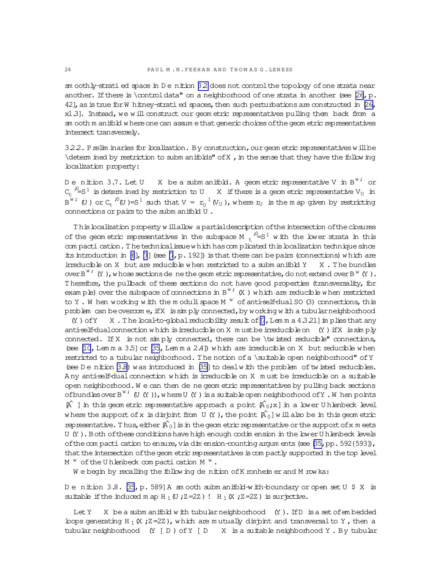sm oothly-strati ed space in D e nition 32 does not control the topology of one strata near another. If there is  $\mathrm{data}$ " on a neighborhood of one strata in another (see  $\mathrm{26}, \mathrm{p}$ . 42], as is true for W hitney-strati ed spaces, then such perturbations are constructed in  $[26$ , x1.3]. Instead, we will construct our geom etric representatives pulling them back from a sm ooth m anifold w here one can assum e that generic choices of the geom etric representatives intersect transversely.

3.2.2. Prelim inaries for localization. By construction,ourgeom etric representativesw illbe  $\det$  in the sense that they have the following localization property:

Denition 3.7. Let U  $\;$  X be a submanifold. A geometric representative V in B $\rm{^w}$  or  $C_t$  <sup>10</sup>=S<sup>1</sup> is determ ined by restriction to U ax if there is a geometric representative V<sub>U</sub> in B<sup>w;</sup> (U ) or C<sub>t</sub> <sup>;0</sup>(U )=S<sup>1</sup> such that V =  $r_U^{-1}$  (V<sub>U</sub> ), where  $r_U$  is the m ap given by restricting connections or pairs to the subm anifold U .

This localization property w illallow a partial description of the intersection of the closures of the geom etric representatives in the subspace  $M_{t}$   $i^{0}=S^{1}$  with the lower strata in this com pacti cation. The technicalissue w hich has complicated this localization technique since its introduction in [\[6](#page-63-0)], [\[7](#page-63-0)] (see [\[7](#page-63-0), p. 192]) is that there can be pairs (connections) w hich are irreducible on X but are reducible when restricted to a subm anifold  $Y = X$ . The bundles over B<sup>w;</sup> (Y), whose sections de ne the geom etric representative, do not extend over B<sup>w</sup> (Y). T herefore, the pullback of these sections do not have good properties (transversality, for exam ple) over the subspace of connections in  $B^w$ ; (X) which are reducible when restricted to Y. W hen working with the modulispace M  $W$  of anti-self-dual SO (3) connections, this problem can be overcom e, if X is simply connected, by working w ith a tubular neighborhood (Y) of Y X . The local-to-global reducibility result of  $[7, L$  $[7, L$  em m a  $4.3.21$ ] im plies that any anti-self-dualconnection w hich is inreducible on X m ust be inreducible on  $(Y)$  if X is simply connected. If X is not  $\sin py$  connected, there can be  $\forall w$  isted reducible" connections, (see  $[10, Lem \, m \, a \, 3.5]$  or  $[35, Lem \, m \, a \, 2.4]$ ) which are irreducible on X but reducible when restricted to a tubular neighborhood. The notion of a \suitable open neighborhood" of Y (see D e nition 3.8) was introduced in [\[35\]](#page-64-0) to dealw ith the problem of tw isted reducibles. A ny anti-self-dualconnection w hich is irreducible on X m ust be irreducible on a suitable open neighborhood. We can then de ne geom etric representatives by pulling back sections ofbundlesoverB<sup>w;</sup> (U (Y )), where U (Y ) is a suitable open neighborhood of Y. W hen points  $A^{\hat{}}$  ] in this geom etric representative approach a point  $A^{\hat{}}_0;x$  ] in a lower U hlenbeck level where the support of x is disjoint from U (Y), the point  $\hat{A_0}$ ] w illalso be in this geom etric representative. Thus, either  $\hat{A_0}$ ] is in the geom etric representative or the support of x m eets U (Y). Both of these conditions have high enough codim ension in the lower U hlenbeck levels of the com pacti cation to ensure, via dim ension-counting argum ents (see [\[35,](#page-64-0)pp. 592{593]),

that the intersection of the geom etric representatives is compactly supported in the top level M  $^{\text{w}}$  of the U h lenbeck compactication M  $^{\text{w}}$  .

We begin by recalling the follow ing de nition of K ronheim er and M row ka:

D e nition 3.8. [\[35](#page-64-0), p. 589] A sm ooth subm anifold-w ith-boundary or open set U \$ X is suitable if the induced m ap H  $_1$  (U ; Z=2Z) ! H  $_1$  (X ; Z=2Z) is surjective.

Let Y X be a subm anifold with tubular neighborhood (Y). If D is a set of embedded loops generating H  $_1$  (X ; Z=2Z), which are m utually disjoint and transversal to Y, then a tubular neighborhood (Y [ D ) of Y [ D X is a suitable neighborhood Y . By tubular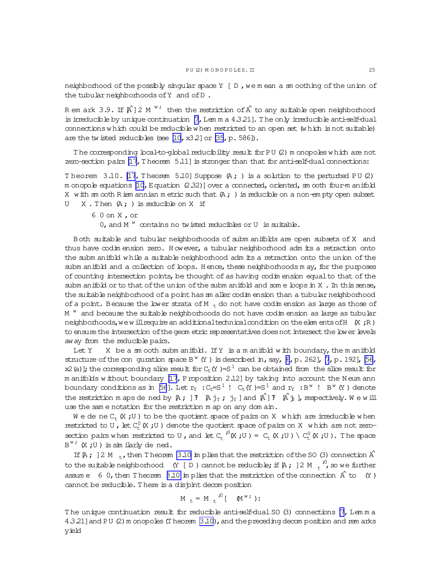<span id="page-24-0"></span>neighborhood of the possibly singular space  $Y \mid D$ , we mean a sm oothing of the union of the tubular neighborhoods of Y and of D.

R em ark 3.9. If  $\hat{A}^{\dagger}$  2 M  $^{\text{w}}$  ; then the restriction of  $\hat{A}$  to any suitable open neighborhood is irreducible by unique continuation  $[7, L$ em m a  $4.3.21]$ . The only irreducible anti-self-dual  $\text{connections}$  w hich  $\text{could}$  be reducible w hen restricted to an open set (w hich is not suitable) are the twisted reducibles (see  $[10, x3.2]$  or  $[35, p.586]$ ).

The corresponding local-to-global reducibility result for PU (2) m onopoles w hich are not zero-section pairs  $[17,$  Theorem  $5.11$ ] is stronger than that for anti-self-dual connections:

Theorem 3.10. [\[17](#page-63-0), Theorem 5.10] Suppose  $(A; )$  is a solution to the perturbed PU (2) m onopole equations  $[10, E$  $[10, E$ quation  $(2.32)$ ] over a connected, oriented, sm ooth four-m anifold X with sm ooth Riem annian m etric such that  $(A; )$  is reducible on a non-em pty open subset  $U$  X. Then  $(A; )$  is reducible on X if

6 0 on X ,or 0, and  $M$ <sup>w</sup> contains no twisted reducibles or U is suitable.

Both suitable and tubular neighborhoods of subm anifolds are open subsets of X and thus have codim ension zero. H owever, a tubular neighborhood adm its a retraction onto the subm anifold w hile a suitable neighborhood adm its a retraction onto the union ofthe subm anifold and a collection of loops. Hence, these neighborhoods m ay, for the purposes of counting intersection points, be thought of as having codim ension equal to that of the subm anifold or to that of the union of the subm anifold and some bops in  $X$ . In this sense, the suitable neighborhood of a point has sm aller codim ension than a tubular neighborhood of a point. Because the lower strata of M  $<sub>t</sub>$  do not have codim ension as large as those of</sub> M  $\mathrm{^w}\,$  and because the suitable neighborhoods do not have codim ension as large as tubular neighborhoods, we will require an additional technical condition on the elem ents of  $H$  (X ; R) to ensure the intersection of the geom etric representatives does not intersect the lower levels away from the reducible pairs.

Let Y  $X$  be a sm ooth subm anifold. If Y is a m anifold with boundary, the m anifold structure of the conguration space  $B^W(Y)$  is described in, say, [\[6](#page-63-0), p. 262], [\[7](#page-63-0), p. 192], [\[56,](#page-64-0) x2(a)]; the corresponding slice result for  $C_t(Y) = S^1$  can be obtained from the slice result for m anifolds w ithout boundary [\[17](#page-63-0), Proposition 2.12] by taking into account the N eum ann boundary conditions as in [\[56](#page-64-0)]. Let  ${\rm r_Y~:C_t\!\!=\!\!S}^1$  !  ${\rm C_t(Y)}\!\!=\!\!{\rm S}^1$  and  ${\rm r_Y~:B}^{\rm w}$  !  ${\rm B}^{\rm w}$  (Y ) denote the restriction m aps de ned by  $A$ ;  $]$   $T$   $A$   $j_Y$ ;  $j_Y$  ] and  $A^{\hat{}}$ ]  $T$   $A^{\hat{}}$  $j_Y$  ], respectively. W e w ill use the sam e notation for the restriction m ap on any dom ain.

We dene  $C_{t}$  (X;U) to be the quotient space of pairs on X which are irreducible when restricted to U, let  $C^0_L(X;U)$  denote the quotient space of pairs on X w hich are not zerosection pairs when restricted to U, and let  $C_t \big( X \cup Y \big) = C_t (X \cup Y) \setminus C_t^0 (X \cup Y)$ . The space  $B^{\text{w}}$ ;  $(X, U)$  is similarly dened.

If  $[A; ]2 M_+$ , then T heorem 3.10 im plies that the restriction of the SO (3) connection  $A^{\hat{}}$ to the suitable neighborhood (Y [D ) cannot be reducible; if  $\beta$ ,  $\beta$  ) 2 M  $\frac{1}{t}$ , so we further assum e 6 0, then T heorem 3.10 in plies that the restriction of the connection  $\hat{A}$  to  $(Y)$ cannot be reducible. There is a disjoint decom position

$$
M_t = M_t^{\bullet 0} [M^{\mathbf{w}}]
$$
:

The unique continuation result for reducible anti-self-dual SO (3) connections [\[7,](#page-63-0) Lemma 4.3.21] and PU (2) m onopoles (T heorem 3.10), and the preceding decom position and rem arks yield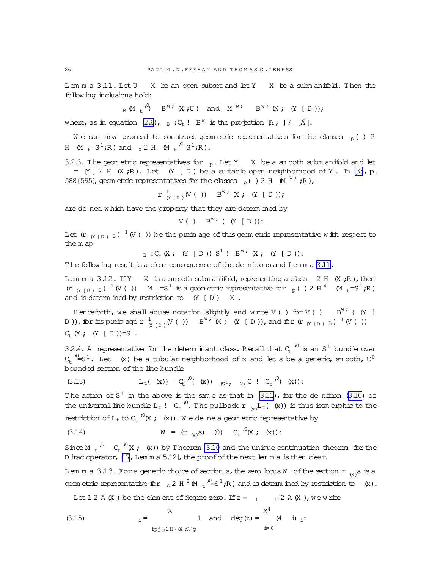Lem m a 3.11. Let U X be an open subset and let Y X be a subm anifold. Then the following inclusions hold:

$$
B \times B^{\vee} \times B^{\vee} \times B^{\vee} \times B^{\vee} \times B^{\vee} \times B^{\vee} \times B^{\vee} \times B^{\vee} \times B^{\vee} \times D^{\vee}
$$

where, as in equation [\(2.6\)](#page-12-0),  $_B :C_t : B^W$  is the projection  $A$ ; ]  $\overline{I}$  [A^].

We can now proceed to construct geometric representatives for the classes  $p( ) 2$ H  $(M_{t}=S^{1};R)$  and  $_{c}$  2 H  $(M_{t}$ <sup>io</sup>=S<sup>1</sup>;R).

3.2.3. The geom etric representatives for  $p$ . Let Y X be a sm ooth subm anifold and let  $=$  [Y ] 2 H (X ;R). Let (Y [ D ) be a suitable open neighborhood of Y. In [\[35](#page-64-0), p. 588{595], geom etric representatives for the classes  $_{p}$  ( ) 2 H  $_{M}$  <sup>w;</sup> ;R),

> $r \frac{1}{\alpha}$  $\begin{array}{ccc} \mathbf{1} & \mathbf{1} \\ \mathbf{1} & \mathbf{1} \\ \mathbf{1} & \mathbf{1} \end{array} \left( \begin{array}{ccc} \mathbf{1} & \mathbf{1} \\ \mathbf{1} & \mathbf{1} \end{array} \right) \quad \quad \mathbf{B}^{\text{w}} \quad \quad \mathbf{X} \quad ; \quad \mathbf{X} \quad \quad \mathbf{Y} \quad \mathbf{I} \quad \mathbf{D} \quad ) \mathbf{y} \, ;$

are de ned w hich have the property that they are determ ined by

$$
V(\ )\quad B^{w\,i}(\left( Y\ [\ D\ )\right) :
$$

Let (r  $_{(Y~[D~)~B} )^{-1}$  (V ( )) be the preim age of this geom etric representative with respect to the m ap

 $B : C_{t}(X ; (Y | D)) = S^{1} : B^{w} (X ; (Y | D))$ :

The follow ing result is a clear consequence of the denitions and Lemma [3.11.](#page-24-0)

Lem m a  $3.12$ . If Y X is a sm coth subm anifold, representing a class 2 H  $(X;R)$ , then  $(r_{(Y[D) B})^{-1} (V(T)))$   $M_{t}=S^{1}$  is a geometric representative for  $p( ) 2 H^{4} (M_{t}=S^{1};R)$ and is determ ined by restriction to  $(Y | D)$  X.

H enceforth, we shall abuse notation slightly and write V( ) for V( )  $B^{W'}$  (  $(Y \mid$ D )), for its preim age r  $\frac{1}{\alpha}$  $_{\left( Y\ \left[ \begin{array}{l} 1\\ \end{array} \right) }(V\ (\ ))\ \ B^{w\ ;}\ (X\ ;\ \ (Y\ [\ D\ ))\ ,\ {\rm and\ for\ (r\ _{\left( Y\ \left[ \begin{array}{l} D\ \end{array} \right) }\ B\ )}^{-1}\ (V\ (\ ))\ )$  $C_{+}$  (X ; (Y [ D ))=S<sup>1</sup>.

32.4. A representative for the determ inant class. Recall that  $C_t^{-1/0}$  is an  $S^1$  bundle over  $C_t \stackrel{i_0}{\sim} S^1$ . Let (x) be a tubular neighborhood of x and let s be a generic, smooth,  $C^0$ bounded section ofthe line bundle

(3.13) 
$$
L_{t}(\kappa) = C_{t}^{0}(\kappa) \quad (s^{1}, 2) C ! C_{t}^{0}(\kappa);
$$

The action of  $S^1$  in the above is the same as that in [\(3.11\)](#page-21-0), for the de nition [\(3.10\)](#page-21-0) of the universal line bundle  $L_t$  !  $C_t \stackrel{i^0}{\sim} T$  he pullback  $r_{(x)}L_t$  ( $(x)$ ) is thus isom orphic to the restriction of  $L_t$  to  $C_t \overset{,}{\cdot} (X; k(x))$ . We de ne a geometric representative by

(3.14) 
$$
W = (r_{(x)}s)^{-1}(0) C_t^{-10}(X; (x))
$$
:

Since M  $t^{00}$  C<sub>t</sub><sup>i0</sup>(X; (x)) by Theorem [3.10](#page-24-0) and the unique continuation theorem for the D irac operator, [\[17](#page-63-0), Lem m a 5.12], the proof of the next lem m a is then clear.

Lem m a 3.13. For a generic choice of section  $s$ , the zero locus W  $\,$  of the section  $\,$ r  $\,$   $_{\rm (x)}$ s is a geom etric representative for  $_{c}$  2 H  $^{2}$  (M  $_{t}$   $^{70}_{-}$ S  $^{11}_{}$ ;R) and is determ ined by restriction to (x).

Let 1 2 A  $(X)$  be the elem ent of degree zero. If  $z = 1 - r^2 A(X)$ , we write

(3.15) 
$$
i = \begin{cases} X & 1 \text{ and } \deg(z) = \begin{cases} X^4 & 1 \end{cases} i.
$$

<span id="page-25-0"></span>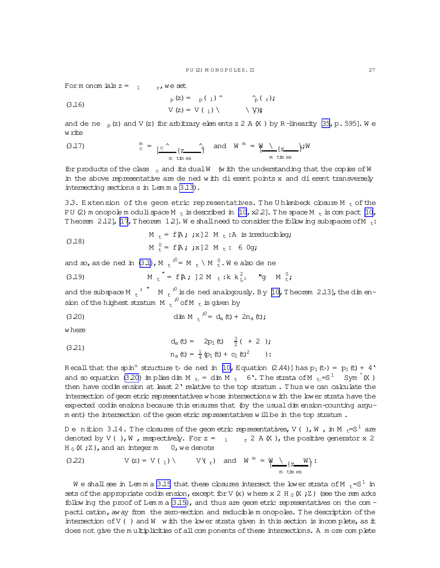<span id="page-26-0"></span>For m onomials  $z = 1$  r, we set

(3.16) 
$$
P_{p}(z) = P_{p}(1) \wedge \gamma_{p}(r);
$$

$$
V_{p}(z) = V_{p}(1) \wedge \gamma_{p}(r);
$$

and de ne  $_D(z)$  and V (z) for arbitrary elements z 2 A (X) by R-linearity [35, p. 595]. We w rite

(3.17) 
$$
\int_{C}^{m} = \int_{C}^{R} \frac{1}{\pi \tan \omega} \int_{\omega}^{R} \omega \, dW \, dW = \frac{W \cdot \mu}{\pi \tan \omega} \int_{C} W
$$

for products of the class  $_{c}$  and its dual W (w ith the understanding that the copies of W in the above representative are de ned with di erent points x and di erent transversely intersecting sections s in Lemma 3.13).

3.3. Extension of the geom etric representatives. The Uhlenbeck closure M  $_{\rm t}$  of the PU (2) m onopole m oduli space M  $_{t}$  is described in [10, x22]. The space M  $_{t}$  is compact [10, Theorem 2.12], [17, Theorem 1.2]. We shall need to consider the following subspaces of M  $_t$ :

(3.18) 
$$
M_t = f[k; jx] 2 M_t : A \text{ is irreducible}
$$

$$
M_t^0 = f[k; jx] 2 M_t : 6 0gj
$$

and so, as de ned in (3.1), M  $_L^{\hspace{0.1cm}j0}$  = M  $_L \setminus$  M  $_L^0$ . We also de ne

(3.19) 
$$
M_t = f[A; ]2 M_t : k k_{L^2}^2
$$
 "g M  $t$ ;

and the subspace M  $\mu$ <sup>, "</sup> M  $\mu$ <sup>0</sup> is de ned analogously. By [10, Theorem 2.13], the dimension of the highest stratum M  $t^{30}$  of M  $t$  is given by

(3.20) 
$$
\dim M + i^0 = d_a(t) + 2n_a(t);
$$

w here

(3.21) 
$$
d_{a} (t) = 2p_{1} (t) \frac{3}{2} ( + 2 )
$$

$$
n_{a} (t) = \frac{1}{4} (p_{1} (t) + c_{1} (t)^{2} )
$$

Recall that the spin<sup>u</sup> structure to de ned in [10, Equation (2.44)] has  $p_1$  (to) =  $p_1$  (t) + 4' and so equation (3.20) in plies din M  $_{\rm t}$  = din M  $_{\rm t}$  6. The strata of M  $_{\rm t}$  = S<sup>1</sup> Sym<sup>1</sup> (X) then have  $\infty$ dim ension at least 2' relative to the top stratum. Thus we can calculate the intersection of geom etric representatives whose intersections with the lower strata have the expected codim ensions because this ensures that (by the usual dim ension-counting argum ent) the intersection of the geom etric representatives will be in the top stratum.

Denition 3.14. The closures of the geometric representatives, V(), W, in M<sub>t</sub>=S<sup>1</sup> are denoted by V(), W, respectively. For  $z = 1 - r^2 A(X)$ , the positive generator x 2  $H_0(X;Z)$ , and an integer m 0, we denote

(3.22) 
$$
V(z) = V(\underline{1}) \setminus V(\underline{r})
$$
 and  $W^m = W \setminus \underline{z \subseteq W}$ :  
\n $m \text{ times}$ 

We shall see in Lemma 3.15 that these closures intersect the lower strata of M  $_{+}$ =S $^{\rm l}$  in sets of the appropriate codim ension, except for V (x) where x 2 H  $_0$  (X; Z) (see the rem arks follow ing the proof of Lemma  $3.15$ ), and thus are geometric representatives on the compacti cation, away from the zero-section and reducible monopoles. The description of the intersection of  $V$  () and  $W$  with the lower strata given in this section is incomplete, as it does not give the multiplicities of all components of these intersections. A more complete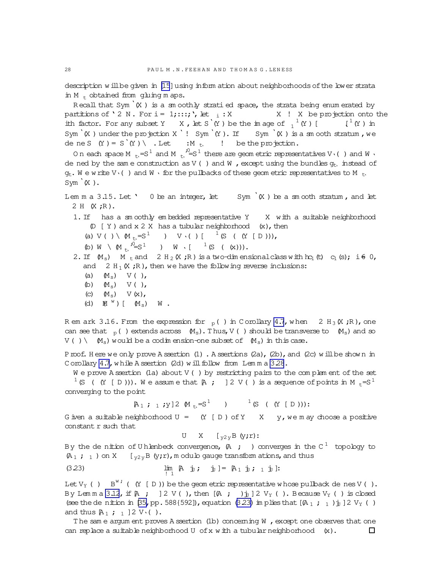description w ill be given in [\[15](#page-63-0)] using inform ation about neighborhoods of the lower strata in M  $_+$  obtained from gluing m aps.

Recall that Sym  $(K)$  is a sm oothly stratied space, the strata being enum erated by partitions of ' 2 N . For i =  $1; \ldots;$  ', let  $\frac{1}{1} : X$  - X . X be projection onto the ith factor. For any subset Y X, let S'(Y) be the image of  $_1^1$  (Y) [  $_1^1$  (Y) in Sym  $(K)$  under the projection X '! Sym  $(K)$ . If Sym  $(K)$  is a sm ooth stratum, we de ne S  $(Y) = S'(Y) \setminus L$  et :M t, ! be the projection.

On each space M  $_{t}$ ,=S<sup>1</sup> and M  $_{t}$ ,<sup>jo</sup>=S<sup>1</sup> there are geometric representatives V $\cdot$ () and W  $\cdot$ de ned by the sam e construction as V() and W, except using the bundles  $q_t$ , instead of  $q_t$ . We write V $\cdot$  () and W  $\cdot$  for the pullbacks of these geometric representatives to M  $_{t_1}$ ,  $Sym^{\lambda}(X)$ .

Lem m a  $3.15$ . Let ' 0 be an integer, let Sym<sup>'</sup>(X ) be a sm ooth stratum, and let 2 H (X ;R).

1. If has a sm cothly em bedded representative Y X with a suitable neighborhood  $(D [Y] and x 2 X has a tubular neighborhood  $(x)$ , then$ 

- (a) V( ) \  $\mathbb{M}_{t} = S^{1}$  ) V \( ) [  $^{-1}$  (S ( (Y [ D ))),
- (b)  $W \setminus M_t$ ,  $^{0.5} = S^1$  )  $W \setminus [1, 0.5]$  ((k))).

2. If  $(M_s)$  M t and 2 H<sub>2</sub> (X;R) is a two-dim ensional class with  $h c_1(t)$   $c_1(s)$ ; i  $\neq 0$ , and  $2 H_1(X;R)$ , then we have the following reverse inclusions:

- (a)  $(M<sub>s</sub>)$  V( ),
- (b)  $(M<sub>s</sub>)$  V( ),
- (c)  $(M<sub>s</sub>)$  V(x),
- (d)  $\mathbb{M}^{\ w}$  ) [  $\mathbb{M}_{\ s})$   $\ \mathbb{W}$  .

R em ark 3.16. From the expression for  $_p( )$  in C orollary [4.7](#page-46-0), when 2 H<sub>3</sub> (X;R), one can see that  $_p( )$  extends across  $(M_s)$ . Thus, V( ) should be transverse to  $(M_s)$  and so  $V( ) \setminus \mathcal{M}_s$  would be a codim ension-one subset of  $(M_s)$  in this case.

Proof. Here we only prove A ssertion (1) . A ssertions (2a), (2b), and (2c) will be shown in C orollary [4.7](#page-46-0), while A ssertion (2d) will follow from Lemma [3.28](#page-38-0).

 $W$  e prove A ssertion (1a) about  $V$  ( ) by restricting pairs to the complem ent of the set <sup>1</sup> (S (  $(Y | D))$ ). We assume that  $A$  ; 12 V( ) is a sequence of points in M  $_E=S^1$ converging to the point

[A<sup>1</sup> ; <sup>1</sup> ;y]2 (M <sup>t</sup>' =S<sup>1</sup> ) <sup>1</sup>(S ( (Y [ D ))):

G iven a suitable neighborhood  $U = (Y [ D ) of Y X y$ , we m ay choose a positive constant r such that

U X  $[y_2yB(y;r):$ 

By the de nition of U hlenbeck convergence, (A ; ) converges in the C  $^{\rm 1}$  topology to  $(A_1; 1)$  on X  $[y_2yB(y;r),m$  odulo gauge transform ations, and thus

$$
\lim_{i \to 1} \mathbb{A} \quad \text{in} \quad \lim_{i \to 1} \mathbb{A} \quad \text{in} \quad \lim_{i \to 1} \mathbb{B} \quad \text{in} \quad \lim_{i \to 1} \mathbb{B} \quad \text{in} \quad \text{in} \quad \text{in} \quad \text{in} \quad \text{in} \quad \text{in} \quad \text{in} \quad \text{in} \quad \text{in} \quad \text{in} \quad \text{in} \quad \text{in} \quad \text{in} \quad \text{in} \quad \text{in} \quad \text{in} \quad \text{in} \quad \text{in} \quad \text{in} \quad \text{in} \quad \text{in} \quad \text{in} \quad \text{in} \quad \text{in} \quad \text{in} \quad \text{in} \quad \text{in} \quad \text{in} \quad \text{in} \quad \text{in} \quad \text{in} \quad \text{in} \quad \text{in} \quad \text{in} \quad \text{in} \quad \text{in} \quad \text{in} \quad \text{in} \quad \text{in} \quad \text{in} \quad \text{in} \quad \text{in} \quad \text{in} \quad \text{in} \quad \text{in} \quad \text{in} \quad \text{in} \quad \text{in} \quad \text{in} \quad \text{in} \quad \text{in} \quad \text{in} \quad \text{in} \quad \text{in} \quad \text{in} \quad \text{in} \quad \text{in} \quad \text{in} \quad \text{in} \quad \text{in} \quad \text{in} \quad \text{in} \quad \text{in} \quad \text{in} \quad \text{in} \quad \text{in} \quad \text{in} \quad \text{in} \quad \text{in} \quad \text{in} \quad \text{in} \quad \text{in} \quad \text{in} \quad \text{in} \quad \text{in} \quad \text{in} \quad \text{in} \quad \text{in} \quad \text{in} \quad \text{in} \quad \text{in} \quad \text{in} \quad \text{in} \quad \text{in} \quad \text{in} \quad \text{in} \quad \text{in} \quad \text{in} \quad \text{in} \quad \text{in} \quad \text{in} \quad \text{in} \quad \text{in} \quad \text{in} \quad \text{in} \quad \text{in} \
$$

Let  $V_Y$  ( ) B<sup>w;</sup> (  $(Y \mid D)$ ) be the geom etric representative whose pullback denes V(). By Lem m a [3.12](#page-25-0), if  $[A; j]$   $\in$   $[A; j]$ , then  $[A; j]$   $\in$   $V_Y$  ( ). Because  $V_Y$  ( ) is closed (see the denition in [\[35,](#page-64-0)pp.588{592]), equation (3.23) im plies that  $[(A_1; 1)j]$   $2 \nV_Y$  () and thus  $A_1$  ; 1 ] 2 V · ( ).

The same argum ent proves A ssertion (1b) concerning  $W$ , except one observes that one can replace a suitable neighborhood U of x w ith a tubular neighborhood  $(x)$ .  $\Box$ 

<span id="page-27-0"></span>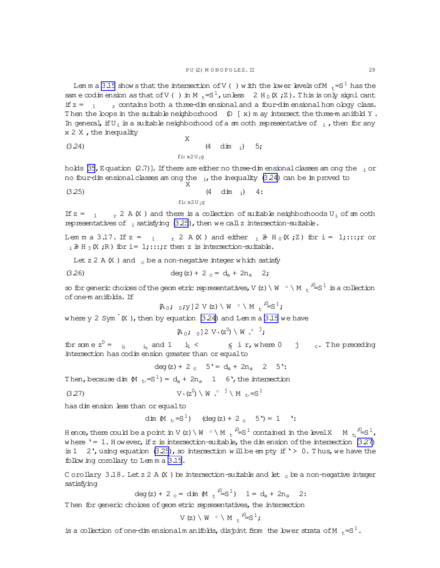<span id="page-28-0"></span>Lem m a [3.15](#page-27-0) show sthat the intersection of V( ) with the lower levels of M  $_{r}$ =S<sup>1</sup> has the sam e codim ension as that of V() in M<sub>t</sub>=S<sup>1</sup>, unless 2 H<sub>0</sub>(X;Z). This is only signicant if  $z = 1 - r$  contains both a three-dim ensional and a four-dim ensional hom ology class. Then the loops in the suitable neighborhood  $(D \mid x)$  m ay intersect the three-m anifold Y. In general, if U<sub>i</sub> is a suitable neighborhood of a sm ooth representative of  $\,$ <sub>i</sub>, then for any  $x 2 X$ , the inequality

(3.24)   
 
$$
X
$$
   
  $(4 \dim i) 5;$    
  $f_{i}: x2U_{i}g$ 

holds [\[35](#page-64-0), Equation (2.7)]. If there are either no three-dim ensional classes am ong the  $\,$ <sub>i</sub> or no four-dim ensional classes am ong the  $_{1}$ , the inequality (3.24) can be im proved to

(3.25)   
 
$$
X
$$
  $(4 \text{ dim } i)$  4:  
  $f i: x2U_{i}g$ 

If  $z = 1 - r^2 A(X)$  and there is a collection of suitable neighborhoods  $U_i$  of sm ooth representatives of  $\frac{1}{1}$  satisfying (3.25), then we call z intersection-suitable.

Lem m a 3.17. If  $z = 1 + z^2 A(X)$  and either  $i \geq H_0(X; Z)$  for  $i = 1; \ldots; r$  or  $i \geq H_3(X;R)$  for i= 1;:::;r then z is intersection-suitable.

Let  $z$  2 A  $(X)$  and  $c$  be a non-negative integer w hich satisfy

(3.26) 
$$
\deg(z) + 2_c = d_a + 2n_a \quad 2;
$$

so for generic choices of the geom etric representatives, V (z) \ W  $\cdot$  \ M  $\cdot$   $^2$   $\leq$   $^1$  is a collection ofone-m anifolds. If

 $[A_0; 0;y]$  2 V(z) \ W  $\circ$  \ M  $\circ$   $\circ$   $\frac{1}{2}$ ;

where y 2 Sym<sup> $\cdot$ </sup>(X), then by equation (3.24) and Lem m a [3.15](#page-27-0) we have

 $[A_0; 0]$  2 V  $(z^0) \setminus W$   $C^{\dagger}$ ;

for some  $z^0 = i_1 \t i_q$  and  $1 \t i_1 < \t q$  i r, where  $0 \t j \t c$ . The preceding intersection has codim ension greater than or equalto

deg(z) + 2 c  $5' = d_a + 2n_a$  2 5':

Then, because dim  $(M_{t} = S^1) = d_a + 2n_a$  1 6, the intersection

$$
V \cdot (z^0) \setminus W \cdot^{c} \dot{J} \setminus M \cdot_{c} = S^1
$$

has dim ension less than or equalto

dim  $(M_{t} = S^{1})$  (deg(z) + 2 c 5') = 1 ':

Hence, there could be a point in V (z) \ W  $\circ$  \ M  $_{\rm t}$   $\sqrt[3]{=}$  s<sup>1</sup> contained in the level X  $\,$  M  $\,$   $_{\rm t}$   $\sqrt[3]{=}$  s<sup>1</sup>, w here '= 1. H owever, if z is intersection-suitable, the dim ension of the intersection  $(3.27)$ is 1 2', using equation (3.25), so intersection will be empty if ' > 0. Thus, we have the follow ing corollary to Lem m a [3.15.](#page-27-0)

C orollary 3.18. Let  $z$  2 A  $(X$  ) be intersection-suitable and let  $c$  be a non-negative integer satisfying

deg(z) + 2  $_c$  = dim (M  $_t$  <sup>i</sup> = S<sup>1</sup>) 1 = d<sub>a</sub> + 2n<sub>a</sub> 2:

Then for generic choices of geom etric representatives, the intersection

$$
V(z) \setminus W \circ \setminus M_{t} \circ S^{1};
$$

is a collection of one-dim ensionalm anifolds, disjoint from the lower strata of M  $_{+}$ =S<sup>1</sup>.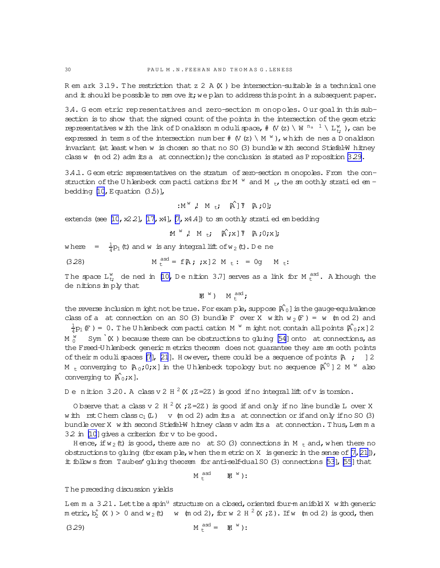R em ark  $3.19$ . The restriction that  $z$  2 A  $(X)$  be intersection-suitable is a technical one and  $#$  should be possible to rem ove  $#$ ; we plan to address this point  $#$  a subsequent paper.

3.4. G eom etric representatives and zero-section m onopoles. O ur goalin this subsection is to show that the signed count of the points in the intersection of the geometric representatives with the link of D onaldson m oduli space, #  $\vee$  (z)  $\vee$  W  $^{\text{n}_a-1}$   $\vee$  L<sub>V</sub><sub>t</sub>; ), can be expressed in term s of the intersection number  $\#$  (V(z) \ M  $^{\mathrm{w}}$  ), which de nes a D onaldson invariant (at least w hen w is chosen so that no SO (3) bundle w ith second Stiefel-W hitney class w  $(m od 2)$  adm its a at connection); the conclusion is stated as P roposition  $3.29$ .

3.4.1. G eom etric representatives on the stratum of zero-section m onopoles. From the construction of the U h lenbeck compacti cations for M  $^{w}$  and M  $_{t}$ , the sm oothly stratied em bedding  $[10,$  Equation  $(3.5)$ ],

$$
: M^{\vee} \downarrow M_{t} \circ M_{t} \circ M
$$

extends (see  $[10, x22]$ ,  $[17, x4]$  $[17, x4]$ ,  $[7, x4.4]$  $[7, x4.4]$ ) to sm oothly stratied em bedding

 $M^W$ ,  $M_{t}$ ;  $\hat{A}$ ;  $X$ ]  $\bar{Y}$   $A$ ;  $0$ ;  $X$ ];

where  $=\frac{1}{4}$  $\frac{1}{4}$ p<sub>1</sub> (t) and w is any integral lift of w<sub>2</sub> (t). De ne

(3.28) 
$$
M_t^{asd} = f[A; x] 2 M_t: = 0g M_t:
$$

The space  $L^w_{t}$  de ned in [\[10,](#page-63-0) D e nition 3.7] serves as a link for M  $^{\rm asd}_{\rm t}$ . Although the denitions im ply that

$$
\mathbb{M}^{\mathbb{W}}\ )\quad \, \mathbb{M}^{\text{ asd}}_{\text{t}};
$$

the reverse inclusion m ight not be true. For exam ple, suppose  $[\hat{A}^0_0]$  is the gauge-equivalence class of a at connection on an SO (3) bundle F over X with  $w_2(F) = w$  (m od 2) and

1  $\frac{1}{4}p_1(F) = 0$ . The Uhlenbeck compactication M  $^w$  m ight not contain all points  $\hat{\text{A}}_0(x)$  2 M  $_0^{\text{w}}$  Sym `(X ) because there can be obstructions to gluing [\[54\]](#page-64-0) onto at connections, as the Freed-U hlenbeck generic m etrics theorem does not guarantee they are sm ooth points of their m oduli spaces [\[7](#page-63-0)], [\[21](#page-63-0)]. H owever, there could be a sequence of points  $[A, j]$  ] 2 M  $_{\rm t}$  converging to [A<sub>0</sub>;O;x] in the U hlenbeck topology but no sequence [A^<sup>0</sup> ] 2 M  $^{\rm w}$  also converging to  $\hat{A}_0; x$ .

De nition 3.20. A classv2 H  $^2$  (X ; Z=2Z) is good if no integral lift of v is torsion.

O bserve that a class v 2 H  $^2$  (X ; Z=2Z ) is good if and only if no line bundle L over X w ith rst Chern class  $c_1(L)$  v (m od 2) adm its a at connection or if and only if no SO (3) bundle over X w ith second Stiefel-W hitney class v adm its a at connection. Thus, Lemma 3.2 in [\[10](#page-63-0)] gives a criterion for v to be good.

H ence, if  $w_2$  (t) is good, there are no at SO (3) connections in M  $_t$  and, when there no obstructions to gluing (for example, when the m etric on X is generic in the sense of  $[7,21]$ ), it follow s from Taubes' gluing theorem for anti-self-dual SO (3) connections [\[53](#page-64-0)], [\[55](#page-64-0)] that

$$
M \stackrel{\text{asd}}{t} \qquad M^{w} :
$$

T he preceding discussion yields

Lem m a  $3.21$ . Lettbe a spin<sup>u</sup> structure on a cbsed, oriented four-m anifold X with generic metric,  $b_2^+$  (X ) > 0 and w<sub>2</sub> (t) w (m od 2), for w 2 H <sup>2</sup> (X ; Z). If w (m od 2) is good, then

$$
(3.29) \t\t\t Mtasd = M1w):
$$

<span id="page-29-0"></span>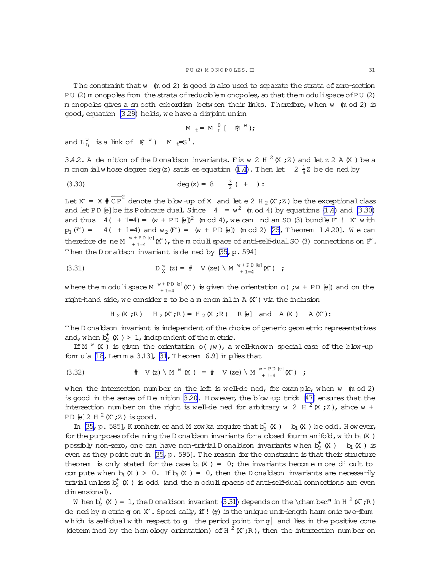<span id="page-30-0"></span>The constraint that w (m od 2) is good is also used to separate the strata of zero-section PU (2) m onopoles from the strata of reducible m onopoles, so that the m oduli space of PU (2) m onopoles gives a sm ooth cobordism between their links. Therefore, when w (m od 2) is good, equation (3.29) holds, we have a disjoint union

$$
M_t = M_t^0 [M^W;
$$

and  $L_t^w$  is a link of  $M^w$ )  $M_t = S^1$ .

3.42. A de nition of the D onaldson invariants. Fix w 2 H  $^2$  (X; Z) and let z 2 A (X) be a m onom ialwhose degree deg (z) satis es equation (1.4). Then let  $2\frac{1}{4}$ Z be de ned by

$$
deg(z) = 8 \frac{3}{2}(t + 1)
$$

Let X<sup>x</sup> = X  $\# \overline{CP}^2$  denote the blow-up of X and let e 2 H<sub>2</sub> (X<sup>x</sup>; Z) be the exceptional class and let PD [e] be its Poincare dual. Since  $4 = w^2$  (m od 4) by equations (1.4) and (3.30) and thus  $4( + 1=4) = (w + PD \epsilon)^2$  (m od 4), we can nd an SO (3) bundle  $F'$  ! X with  $p_1(F') = 4( + 1=4)$  and  $w_2(F') = (w + PD)$  (m od 2) [25, Theorem 1.4.20]. We can therefore de ne M  $_{+1=4}^{w+PD [e]}(X)$ , the m oduli space of anti-self-dual SO (3) connections on F. Then the Donaldson invariant is de ned by [35, p. 594]

(3.31) 
$$
D_X^W(z) = # V(ze) \setminus M_{+1=4}^{W+PD(e)}(X)
$$
 ;

where the moduli space  $M_{+1=4}^{W+PD [e]}(X')$  is given the orientation o(;  $W + PD [e]$ ) and on the right-hand side, we consider z to be a m onom ial in  $A(X')$  via the inclusion

$$
H_2(K; R)
$$
  $H_2(K; R) = H_2(K; R)$   $R[e]$  and  $A(K)$   $A(K)$ :

The D onaldson invariant is independent of the choice of generic geom etric representatives and, when  $b_2^+(X) > 1$ , independent of the metric.

If M  $^W$  (X) is given the orientation o(; w), a well-known special case of the blow-up formula  $[18, 1$  em m a 3.13],  $[31, 11]$  heorem 6.9] in plies that

$$
(3.32) \t\t\t\t# V(z) \setminus M^{W}(X) = # V(ze) \setminus M^{W+PD(e)}(X) ;
$$

when the intersection number on the left is well-de ned, for example, when w  $(m \text{ od } 2)$ is good in the sense of D e nition  $3.20$ . However, the blow-up trick [47] ensures that the intersection number on the right is well-de ned for arbitrary w 2 H  $^2$  (X; Z), since w + PD [e] 2 H  $^2$  (X ; Z) is good.

In [35, p. 585], K ronheim er and M row ka require that  $b_2^+(X)$  b<sub>[</sub> $(X)$  be odd. H owever, for the purposes of de ning the D onaldson invariants for a closed four-m anifold, with  $b_1(K)$ possibly non-zero, one can have non-trivial D onaldson invariants when  $b_2^+$  (X )  $b_1$  (X ) is even as they point out in  $[35, p. 595]$ . The reason for the constraint is that their structure theorem is only stated for the case  $b_1(X) = 0$ ; the invariants become m ore di cult to com pute when  $b_1(X) > 0$ . If  $b_1(X) = 0$ , then the D onaldson invariants are necessarily trivial unless  $b_2^+(X)$  is odd (and the moduli spaces of anti-self-dual connections are even dimensional).

W hen  $b_2^+(X) = 1$ , the D onaldson invariant (3.31) depends on the \chamber" in H  $^2(X;R)$ de ned by m etric  $g$  on  $X$ . Speci cally, if !  $(g)$  is the unique unit-length ham onic two-form which is self-dual with respect to  $g$  the period point for  $g$  and lies in the positive cone (determ ined by the hom ology orientation) of H  $^2$  (X;R), then the intersection number on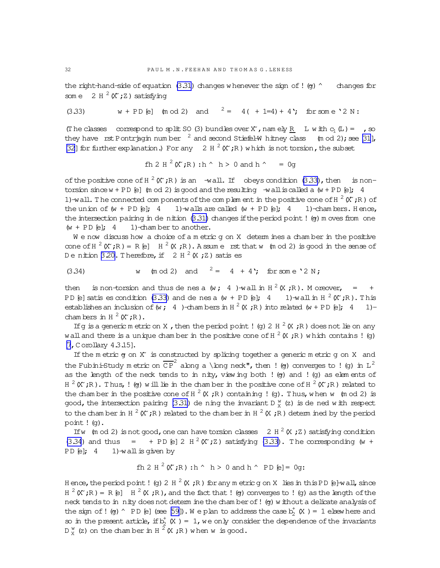<span id="page-31-0"></span>the right-hand-side of equation (3.31) changes whenever the sign of ! (g)  $\degree$  changes for some  $2 H^2(X;Z)$  satisfying

 $w + PD [e]$  (mod 2) and  $2 = 4( +1=4) + 4$ ; for some '2 N:  $(3,33)$ 

(The classes correspond to split SO (3) bundles over X, namely R L with  $c_1(L) =$ , so they have rst Pontriagin number  $^2$  and second Stiefel-W hitney class (m od 2); see [31], [32] for further explanation.) For any 2 H  $^2$  (X;R) which is not torsion, the subset

$$
f h 2 H^2(X';R): h^ h > 0
$$
 and  $h^* = 0$ g

of the positive cone of H  $^2$  (X, R) is an -wall. If obeys condition (3.33), then is nontorsion since  $w + PD$  [e] (m od 2) is good and the resulting  $-w$  all is called a  $(w + PD)$  [e]; 4 1)-wall. The connected com ponents of the complement in the positive cone of H  $^2$  (X;R) of 1)-walls are called  $(w + PD \; [e]; \; 4)$ the union of  $(w + PD \; [e]; \; 4)$ 1)-chambers. Hence, the intersection pairing in de nition  $(3.31)$  changes if the period point ! (g) m oves from one  $(w + PD \; \epsilon);$  4 1)-chamber to another.

 $W$  e now discuss how a choice of a m etric q on X determ ines a chamber in the positive cone of  $H^2(X;R) = R[\epsilon]$   $H^2(X;R)$ . A ssume rst that w (m od 2) is good in the sense of De nition 3.20. Therefore, if  $2 H^2(X;Z)$  satis es

(m od 2) and  $2 = 4 + 4$ ; for some '2 N;  $(3.34)$  $W$ 

is non-torsion and thus de nes a (w; 4) wall in  $H^2(X;R)$ . Moreover, = then  $+$ PD [e] satis es condition (3.33) and de nes a (w + PD [e]; 4 1)-wall in H  $^2$  (X;R). This establishes an inclusion of (w; 4)-chambers in H  $^2$  (X; R) into related (w + PD [e]; 4  $1)$ chambers in H  $^2$  (X  $;R$ ).

If g is a generic m etric on X, then the period point ! (g) 2 H  $^2$  (X; R) does not lie on any wall and there is a unique chamber in the positive cone of H  $^2$  (X ; R) which contains ! (q)  $[7, C$  orollary  $4.3.15]$ .

If the metric  $g$  on  $X'$  is constructed by splicing together a generic metric  $g$  on  $X$  and the Fubini-Study metric on  $\overline{CP}^2$  along a \long neck", then ! (g) converges to ! (g) in L<sup>2</sup> as the length of the neck tends to in nity, view ing both ! (g) and ! (g) as elements of  $H^2(K,R)$ . Thus, ! (or) will lie in the chamber in the positive cone of  $H^2(K,R)$  related to the chamber in the positive cone of H  $^2$  (X;R) containing ! (g). Thus, when w (m od 2) is good, the intersection pairing (3.31) de ning the invariant D  $_{x}^{w}$  (z) is de ned with respect to the chamber in H  $^2$  (X ; R) related to the chamber in H  $^2$  (X ; R) determined by the period point ! (g).

If w (m od 2) is not good, one can have torsion classes 2 H  $^2$  (X; Z) satisfying condition (3.34) and thus = + PD [e] 2 H<sup>2</sup> ( $\chi$ <sup>2</sup>) satisfying (3.33). The corresponding (w + PD [e];  $4$  1)-wall is given by

$$
fh 2 H^{2}(X^{*}; R): h^{\wedge} h > 0 \text{ and } h^{\wedge} PD [e] = 0g:
$$

Hence, the period point ! (g) 2 H  $^2$  (X; R) for any metric g on X lies in this PD [e]-wall, since  $H^2(K, R) = R$  [e]  $H^2(K, R)$ , and the fact that ! (g) converges to ! (g) as the length of the neck tends to in nity does not determ ine the chamber of! (g) without a delicate analysis of the sign of ! (g) ^ PD [e] (see [59]). We plan to address the case  $b^+_y(X) = 1$  elsewhere and so in the present article, if  $b_2^+$  (X) = 1, we only consider the dependence of the invariants  $D_y^W$  (z) on the chamber in H  $^2$  (X; R) when w is good.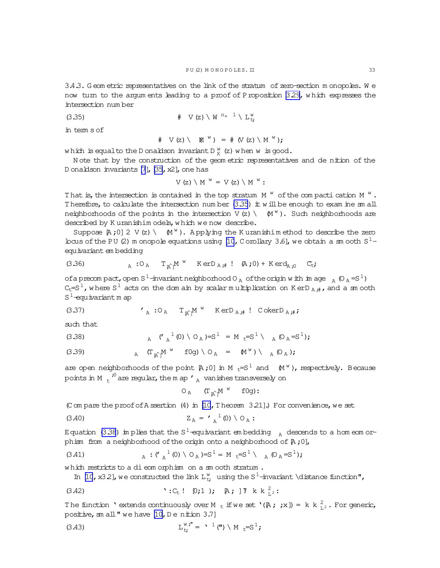<span id="page-32-0"></span>3.4.3. G eom etric representatives on the link of the stratum of zero-section m onopoles. W e now turn to the argum ents leading to a proof of Proposition 329, which expresses the intersection num ber

# V(z)\ W <sup>n</sup><sup>a</sup> <sup>1</sup> \ L <sup>w</sup> (3.35) <sup>t</sup>;

in term s of

$$
\# \quad \vee \text{ (z)} \setminus \quad \mathbb{M}^{\wedge} \text{ )} \ = \ \# \text{ (V (z) \setminus M^{\wedge} \text{ )};}
$$

which is equal to the D onaldson invariant D  $^{\text{\tiny W}}_{\text{\tiny X}}$  (z) when w is good.

N ote that by the construction of the geom etric representatives and de nition of the D onaldson invariants [\[7](#page-63-0)], [\[35](#page-64-0), x2], one has

$$
V(Z) \setminus M^{w} = V(Z) \setminus M^{w}:
$$

That is, the intersection is contained in the top stratum  $M^{w}$  of the compacti cation M  $^{w}$ . Therefore, to calculate the intersection num ber  $(3.35)$  it will be enough to exam ine sm all neighborhoods of the points in the intersection  $V(z) \setminus (M^W)$ . Such neighborhoods are described by K uranishim odels, w hich we now describe.

Suppose  $[A;0]$  2 V(z) \  $(M^W)$ . A pplying the K uranishim ethod to describe the zero bous of the PU (2) m onopole equations using [\[10](#page-63-0), C orollary 3.6], we obtain a sm ooth  $S^1$ equivariant em bedding

(3.36) 
$$
{}_{A} : O_{A} T_{\hat{K}} M^{w} \text{ Ker} D_{A, \#} ! \quad (A, 0) + K \text{ erd}_{A, 0} C_{t}.
$$

of a precompact, open S<sup>1</sup>-invariant neighborhood O<sub>A</sub> of the origin with image  $_A$  (O<sub>A</sub>=S<sup>1</sup>)  $C_t = S^1$ , where  $S^1$  acts on the dom ain by scalar multiplication on K erD  $_{A}$  ;#, and a sm ooth  $S^1$ -equivariant m ap

(3.37) 
$$
\boldsymbol{\zeta}_{A} : O_{A} \quad T_{\hat{\mathbb{R}}^n} \boldsymbol{M}^{\mathbb{W}} \quad \text{K} \exp_{A, \#} \boldsymbol{\zeta} \text{ Oker} D_{A, \#} \boldsymbol{\zeta}
$$

such that

(3.38) 
$$
A \quad (A)^{1} (0) \setminus O_A) = S^{1} = M + S^{1} \setminus A (O_A = S^{1});
$$

(3.39) 
$$
{}_{A} \quad (\Gamma_{\mathbb{A}})^{M} \quad \text{f0g)} \setminus O_{A} = \mathbb{M}^{W} \setminus \mathbb{A} (O_{A})
$$

are open neighborhoods of the point  $[A;0]$  in M  $_t=S^1$  and  $(M^W)$ , respectively. Because points in M  $\mathrm{_{t}}^{\mathrm{^{\prime0}}}$  are regular, the m ap  $\mathrm{^{\prime}}$   $\mathrm{_{A}}$  vanishes transversely on

 $O_A$  (T<sub>[A^]</sub>M<sup>w</sup> f0g):

(C om pare the proof of A ssertion  $(4)$  in [\[10](#page-63-0), T heorem 3.21].) For convenience, we set

(3.40) 
$$
Z_A = I_A^{-1}(0) \setminus O_A
$$
:

Equation (3.38) im plies that the S<sup>1</sup>-equivariant embedding  $_{\rm A}$  descends to a hom eom orphism from a neighborhood of the origin onto a neighborhood of  $A$ ;0],

(3.41) 
$$
A: (C_A^{-1}(0) \setminus O_A) = S^1 = M + S^1 \setminus A (O_A = S^1);
$$

which restricts to a dieom orphism on a sm ooth stratum.

In [\[10](#page-63-0), x32], we constructed the link  $L_{t}^{w}$  using the S<sup>1</sup>-invariant \distance function",

(3.42) 
$$
':C_t!
$$
 [0;1); [A; ]T k k  $_{L^2}^2$ :

The function 'extends continuously over M  $_t$  if we set '( $\upbeta$ ; ;x]) = k k  ${}_{L^2}^2$ . For generic, positive,  $\text{sn all}$ " we have [\[10,](#page-63-0) D e nition 3.7]

(3.43) 
$$
L_{t}^{w}i'' = \gamma^{1} (T) \ N_{t} = S^{1};
$$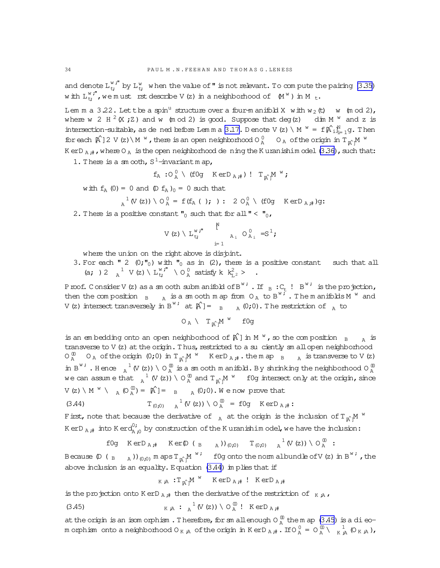<span id="page-33-0"></span>and denote  $L_{t}^{w}$ ," by  $L_{t}^{w}$  when the value of " is not relevant. To com pute the pairing [\(3.35\)](#page-32-0) with  $L_{t}^{w,''}$ , we must rst describe V(z) in a neighborhood of  $(M^w)$  in M<sub>t</sub>.

Lem m a 3.22. Let the a spin<sup>u</sup> structure over a four-manifold X with  $w_2(t)$  w (m od 2), where w 2 H  $^2$  (X; Z) and w (m od 2) is good. Suppose that deg(z) dim M  $^w$  and z is intersection-suitable, as de ned before Lemma [3.17.](#page-28-0) D enote V(z) \ M  $^w = f[\hat{A}]_{i=1}^N g$ . Then for each  $A^{2}$ ] 2 V(z) \ M  $^{w}$ , there is an open neighborhood O  $^{0}_{A}$  O  $_{A}$  of the origin in T<sub> $A^{w}$ </sub>M  $^{w}$ K erD  $_A$  #, where O  $_A$  is the open neighborhood de ning the K uranishim odel [\(3.36\)](#page-32-0), such that:

1. There is a sm ooth,  $S^1$ -invariantm ap,

$$
f_{A} : O_{A}^{\;0} \;\setminus\; (f0g \quad \text{K} \, \text{er} D_{A\;\text{;}\#}) \; ! \quad T_{[\hat{A}]}M \; ``\text{;}
$$

with  $f_A$  (0) = 0 and  $(D f_A)_{0} = 0$  such that

$$
A^{1} (V (z)) \setminus O_{A}^{0} = f(f_{A} (t); ) : 2 O_{A}^{0} \setminus (f0g \quad Ker D_{A;#})g:
$$

2. There is a positive constant  $\mathbf{v}_0$  such that for all  $\mathbf{v} < \mathbf{v}_0$ ,

$$
V(z) \setminus L_{t}^{w, r} \qquad \begin{matrix} N \\ & N \\ & & N \\ & & N \end{matrix} \qquad Q_{A_i}^0 = S^1;
$$

where the union on the right above is disjont.

3. For each " 2  $(0; \cdot\cdot\cdot)$  with  $\cdot\cdot\cdot$  as in (2), there is a positive constant such that all (a; ) 2  $a^{1}$  $A^1$  V(z) \ L<sup>w</sup>;" \ O  $^0$  satisfy k  $k_{L^2}^2$  > .

Proof. Consider V (z) as a sm ooth subm anifold of B<sup>w;</sup> . If  $_B: C_t$  ! B<sup>w;</sup> is the projection, then the composition  $B_{A}$  is a sm ooth m ap from  $O_{A}$  to  $B^{W\ddot{f}}$ . The m anifolds M  $^{W}$  and V(z) intersect transversely in B<sup>w;</sup> at  $\hat{A}$ ]=  $_{B}$   $_{A}$  (0;0). The restriction of  $_{A}$  to

$$
O_A\ \backslash\ \ T_{\textrm{in}}\text{M}^{\textrm{w}}\ \textrm{f0g}
$$

is an embedding onto an open neighborhood of  $\hat{A}$ ] in M  $^w$ , so the composition  $B$   $_A$  is transverse to  $V(z)$  at the origin. Thus, restricted to a suciently  $sm$  allopen neighborhood  $\overline{O_A}^{\,0}$   $O_A$  of the origin  $(0;0)$  in  $T_{\uparrow}^{\,0}$ <sup>M</sup> K erD<sub>A</sub>  $#$ . the m ap  $_B$  A is transverse to V(z) in B<sup>w;</sup>. Hence  $\chi^1$  (V(z)) \ O  $^{\textcirc}_{\text{A}}$  is a sm ooth m anifold. By shrinking the neighborhood O  $^{\textcirc}_{\text{A}}$ we can assume that  $\frac{1}{A}$  (V(z)) \ O  $\frac{0}{A}$  and  $T_{\alpha}$ <sup>M</sup> if 0g intersect only at the origin, since  $V(z) \setminus M^{w} \setminus A^{(0)}(Q_{A}^{(0)}) = A^{(0)}(Q_{A}^{(0)}, Q_{A}^{(0)})$  and  $A^{(0)}(Q_{A}^{(0)}, Q_{A}^{(0)})$ 

(3.44) 
$$
T_{(0,0)} \t A^1 (V(z)) \setminus O_A^{00} = f 0 g \t Ker D_{A,i}.
$$

First, note that because the derivative of  $_{\rm A}$  at the origin is the inclusion of T  $_{\rm A^{\wedge}}$  M  $^{\rm w}$ K erD  $_{\rm A}$  ;# into K erd $_{\rm A}^{0}$ ;  $\frac{10!}{\lambda_{1,0}}$  by construction of the K uranishim odel, we have the inclusion:

$$
\text{f0g} \quad \text{K} \text{erD}_{A, \#} \quad \text{K} \text{er}(\text{D} \left( B \right)_{A}) \right)_{(0, 0)} \quad \text{T}_{(0, 0)} \quad \frac{1}{A} \left( V(z) \right) \setminus \text{O}_{A}^{0} \; : \\
$$

Because  $(\mathbb{D} \left( \begin{array}{cc} B & A \end{array} \right))_{(0,0)}$  maps  $T_{\upharpoonright M}^W$  , fog onto the norm albundle of V(z) in B $^{W \, \prime}$  , the above inclusion is an equality. Equation (3.44) im plies that if

$$
K A : T_A^M M^W \quad \text{K} e D_{A; \#} ! \quad \text{K} e D_{A; \#}
$$

is the projection onto K erD  $_A$  ;# then the derivative of the restriction of  $K$  ;A,

(3.45) 
$$
K A : A^{1} (V (z)) \setminus O_{A}^{00} : K e r D_{A} A
$$

at the origin is an isom orphism. Therefore, for sm allenough O  $_{\text{A}}^{\text{0}}$  the m ap (3.45) is a dieom orphism onto a neighborhood O<sub>K ;A</sub> of the origin in KerD <sub>A ;#</sub> . If O  $^0_A$  = O  $^0_A \setminus \frac{1}{K}$  (O  $_K$  ;A ),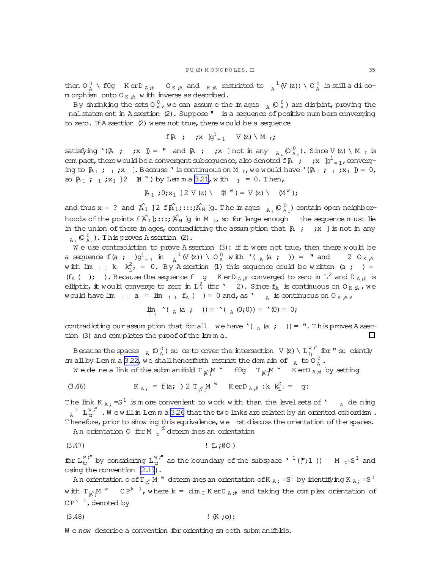<span id="page-34-0"></span>then  $O_A^0 \setminus f$  og  $K$  er $D_{A,\#}$  or  $_A$  and  $_K$   $_A$  restricted to  $_A^{-1}$  (V(z))  $\setminus O_A^0$  is stilladieom orphism onto  $O_{K, A}$  w ith inverse as described.

By shrinking the sets O  $_{\rm A}^0$  , we can assume the images  $_{\rm A}$  (O  $_{\rm A}^0$  ) are disjoint, proving the nal statem ent in A ssertion (2). Suppose " is a sequence of positive num bers converging to zero. If  $A$  ssertion  $(2)$  were not true, there would be a sequence

$$
\texttt{f}\, \mathbb{A} \quad ; \quad \texttt{f}\, \mathbb{X} \quad \texttt{g}^1_{\, = \, 1} \quad \texttt{V}\,(\texttt{z}) \,\setminus\, \texttt{M}\, \mathsf{t} \, ;
$$

satisfying  $\{A ; j(x) = n \text{ and } A ; j(x) \text{ not in any } A_i (O_{A_i}^0)$ . Since  $V(z) \setminus M_t$  is com pact, there would be a convergent subsequence, also denoted  $\mathrm{f}\,\mathbb{A}$   $\,$   $\,$   $\,$   $\,$   $\mathrm{xd}$   $\mathrm{xd}$   $\mathrm{yd}$   $\mathrm{d}_\mathrm{d}$   $\mathrm{d}_\mathrm{d}$ ing to  $A_1$ ;  $_1$ ;  $x_1$  ]. Because ' is continuous on M  $_t$ , we would have '( $A_1$ ;  $_1$ ;  $x_1$  ]) = 0, so  $A_1$ ; 1;  $x_1$  ] 2  $M$   $W$ ) by Lemma [3.21,](#page-29-0) with  $1 = 0$ . Then,

$$
\mathbb{A}_1 ; 0 ; x_1 \; ] 2 \; \vee (z) \; \backslash \quad \mathbb{M}^{\ w} \; ) = \; \vee (z) \; \backslash \quad \mathbb{M}^{\ w} \; ) \; ;
$$

and thus  $x = ?$  and  $\hat{A}_1$  ] 2  $f\hat{A}_1$ ;:::; $\hat{A}_N$   $g$ . The im ages  $A_i$  ( $O_{A_i}^0$ ) contain open neighborhoods of the points  $f[A^0_1];\ldots;A^N_N$  ]g in M  $_t$ , so for large enough the sequence m ust lie in the union of these im ages, contradicting the assum ption that  $A$  ; ; x ] is not in any  $_{A_i}$  (O $_{A_i}^0$ ). This proves A ssertion (2).

We use contradiction to prove A ssertion (3): if it were not true, then there would be a sequence  $f(a ; )g_{=1}^{1}$  in  $_A^{-1}(V(z)) \setminus O_A^{0}$  with  $'(A(a ; )) =$  "and 2  $O_{K,A}$ with  $\lim_{1 \to 1} k$   $k_{L^2}^2 = 0$ . By Assertion (1) this sequence could be written (a ; ) =  $(f_A \cap \mathfrak{f})$ . Because the sequence  $f \circ g$  KerD  $_A \#$  converged to zero in  $L^2$  and  $D_{A \#}$  is elliptic, it would converge to zero in  $L^2$  (for ' 2). Since  $f_A$  is continuous on  $O_{K, A}$ , we would have lim  $_{1}$  a = lim  $_{1}$  f<sub>A</sub> ( ) = 0 and, as '  $_{A}$  is continuous on O<sub>K ;A</sub>,

$$
\lim_{i \to 1} \, {}^{\circ}(\,{}_{A} (a ; \,{}^{\circ})\,) = {}^{\circ}(\,{}_{A} (0; 0)) = {}^{\circ} (0) = 0;
$$

contradicting our assum ption that for all we have  $\binom{\alpha}{A}$  (a ; ) = ". This proves A ssertion (3) and completes the proof of the lem m a.  $\Box$ 

Because the spaces  $\frac{}{\rm A}$  (O  $\frac{\rm 0}{{\rm A}}$  ) suce to cover the intersection V (z) \  ${\rm L}^{\rm w\,\textit{i}''}_{\rm t\textit{j}}$  for " suciently sm all by Lem m a 322, we shall henceforth restrict the dom ain of  $\overline{A}$  to  $\overline{O}^0_A$ .

We de ne a link of the submanifold T  $_{\hat{K}}$  M  $^w$  f0g  $\;$  T  $_{\hat{K}}$  M  $^w$   $\;$  K erD  $_{\rm A}$  ;# by setting

(3.46) 
$$
K_{A}
$$
; = f(a; ) 2 T<sub>î</sub>M<sup>w</sup> KerD<sub>A#</sub> : k k<sub>L2</sub><sup>2</sup> = g:

The link K  $_A$  ; = S<sup>1</sup> is m ore convenient to work with than the level sets of '  $_A$  de ning 1  $\mathbb{R}^1$   $\mathbb{L}_t^{w}$ ,  $w$  ew ill in Lemma [3.26](#page-36-0) that the two links are related by an oriented cobordism. Therefore, prior to show ing this equivalence, we rst discuss the orientation of the spaces.

An orientation 0 for M  $t^{30}$  determ ines an orientation

$$
(3.47) \qquad \qquad \downarrow \qquad (\perp; @ \circlearrowleft)
$$

for  $L_t^{w}$ ," by considering  $L_t^{w}$ ," as the boundary of the subspace  $\lambda^{-1}(\mathbb{r};1)$ ) M  $_t=S^1$  and using the convention [\(2.19](#page-17-0)).

An orientation o of T  $_{\rm l \! A}^{\rm c}$  M  $^{\rm w}$  determ ines an orientation of K  $_{\rm A}$  ;  $=$  S  $^1$  by identifying K  $_{\rm A}$  ;  $=$  S  $^1$ with T<sub>iA^]</sub>M  $^w$  C P<sup>k 1</sup>, where k = dim <sub>C</sub> K erD <sub>A ;#</sub> and taking the com plex orientation of  $\mathbb{CP}^{k-1}$ , denoted by

$$
(3.48) \qquad \qquad \vdots \qquad \qquad \text{(K ; 0)}:
$$

We now describe a convention for orienting sm ooth subm anifolds.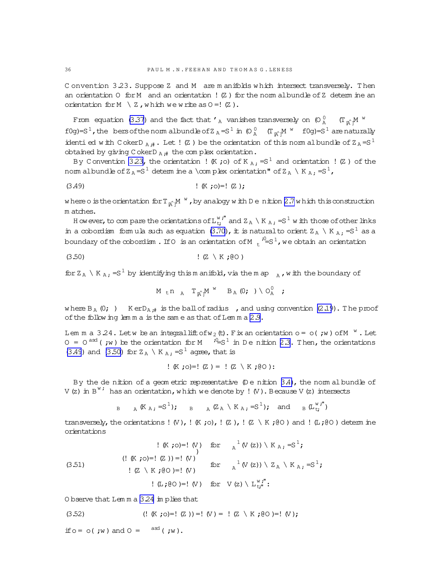Convention 3.23. Suppose Z and M are manifolds which intersect transversely. Then an orientation  $0$  for M and an orientation !  $(Z)$  for the norm albundle of Z determ ine an orientation for  $M \setminus Z$ , which we write as  $0 = ! (Z)$ .

From equation (3.37) and the fact that  $'$ <sub>A</sub> vanishes transversely on  $\left(0\right)_{A}^{0}$  (T<sub>n<sup>o</sup></sub>M<sup>w</sup>) f0g)= $S^1$ , the bers of the norm albundle of  $Z_A = S^1$  in  $\left(0 \right)_{A}^{0}$   $(T_{\hat{R}})^{M}$   $^{W}$  f0g)= $S^1$  are naturally identi ed with CokerD<sub>A</sub><sup>#</sup>. Let ! (Z) be the orientation of this normal bundle of  $Z_A = S^1$ obtained by giving C okerD  $_A$  # the complex orientation.

By Convention 3.23, the orientation ! (K ;o) of K  $_A$  ; =S<sup>1</sup> and orientation ! (Z ) of the nom albundle of  $Z_A = S^1$  determ ine a \complex orientation" of  $Z_A \setminus K_A$ , = $S^1$ ,

where o is the orientation for  $T_{\alpha}M^W$ , by analogy with D e nition 2.7 which this construction m atches.

H ow ever, to compare the orientations of  $L_t^{w}$ ," and  $Z_A \setminus K_A$ , =S<sup>1</sup> w ith those of other links in a cobordism formula such as equation (3.70), it is natural to orient  $Z_A \setminus K_A$ , =  $S^1$  as a boundary of the  $\infty$ bordism . If 0 is an orientation of M  $_{+}$   $^{0}=$  S  $^{1}$ , we obtain an orientation

$$
(3.50) \t\t (Z \setminus K ; @0)
$$

for  $Z_A \setminus K_A$ , =S<sup>1</sup> by identifying this m anifold, via the m ap  $_A$ , with the boundary of

$$
M_{t} n_{A} T_{\uparrow} M^{W} B_{A} (0; ) \setminus O_{A}^{0} ;
$$

where  $B_A(0; )$  Ker $D_{A,\#}$  is the ball of radius , and using convention (2.19). The proof of the following lemma is the same as that of Lemma 2.9.

Lemma 3.24. Letw be an integral lift of  $w_2$  (t). Fix an orientation  $o = o(jw)$  of  $M^W$ . Let  $0 = 0^{asd}$  (;w) be the orientation for M  $i^2 = S^1$  in Denition 2.3. Then, the orientations (3.49) and (3.50) for  $Z_A \setminus K_A$ . = S<sup>1</sup> agree, that is

$$
(K;0)=:(Z) = :(Z \setminus K;00):
$$

By the de nition of a geom etric representative  $(D e \text{ n} \text{ it}$ ion 3.4), the norm albundle of V(z) in  $B^{W}$  has an orientation, which we denote by ! (V). Because V(z) intersects

B  $_{\text{B}}$   $_{\text{A}}$  (K<sub>A</sub>: =S<sup>1</sup>); B  $_{\text{A}}$  (Z<sub>A</sub> \ K<sub>A</sub>: =S<sup>1</sup>); and  $_{\text{B}}$  (L<sup>w</sup>;<sup>"</sup>)

transversely, the orientations ! (V), ! (K ; o), ! (Z), ! (Z \ K ; (O) and ! (L; (O) determ ine orientations

O bserve that Lemma 3.24 implies that

if  $o = o(jw)$  and  $o = {^{ast}(jw)}$ .

<span id="page-35-0"></span> $36$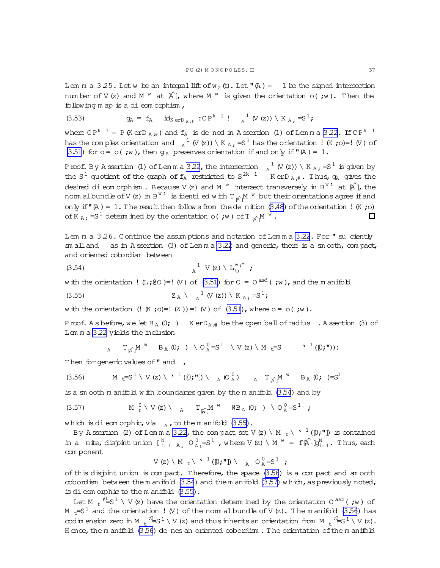<span id="page-36-0"></span>Lem m a 3.25. Let w be an integral lift of  $w_2$  (t). Let  $w(A) = 1$  be the signed intersection number of V (z) and M  $^w$  at  $[\hat{A}]$ , where M  $^w$  is given the orientation o(; w). Then the following m ap is a di eom orphism,

(3.53) 
$$
g_{A} = f_{A} \quad id_{K e r D_{A,i}} : C P^{k}{}^{1} : A^{1} (V (z)) \setminus K_{A,i} = S^{1};
$$

where CP<sup>k 1</sup> = P (KerD<sub>A;#</sub>) and  $f_A$  is de ned in Assertion (1) of Lemma 3.22. If CP<sup>k 1</sup> has the complex orientation and  $\frac{1}{A}$  (V(z)) \ K  $\frac{1}{A}$ ; =S<sup>1</sup> has the orientation ! (K; o)=! (V) of (3.51) for  $o = o(jw)$ , then  $g_A$  preserves orientation if and only if  $(\mathbb{A}) = 1$ .

Proof. By Assertion (1) of Lemma 3.22, the intersection  $\alpha_A^{-1}$  (V(z)) \ K<sub>A;</sub> = S<sup>1</sup> is given by the S<sup>1</sup> quotient of the graph of  $f_A$  restricted to S<sup>2k 1</sup> KerD<sub>A;#</sub>. Thus,  $g_A$  gives the desired dieomorphism. Because V(z) and M<sup>w</sup> intersect transversely in B<sup>w;</sup> at  $\hat{A}$ ], the norm albundle of V(z) in B<sup>w</sup><sup>i</sup> is identi ed with  $T_{\alpha}$ <sup>M</sup> w but their orientations agree if and only if  $(\mathbb{A}) = 1$ . The result then follows from the denition (3.48) of the orientation ! (K; o) of K  $_A$ , = S<sup>1</sup> determined by the orientation o(; w) of T  $_A$ <sup>M</sup>  $^W$ .  $\Box$ 

Lem m a 3.26. Continue the assum ptions and notation of Lem m a 3.22. For " su ciently  $\text{cm}$  all and as in A ssertion (3) of Lemma 3.22 and generic, there is a  $\text{cm}$  ooth,  $\text{cm}$  pact, and oriented cobordism between

$$
(3.54) \qquad \qquad \mathbf{a}^1 \ \ \mathbf{V} \ (\mathbf{z}) \ \ \mathbf{L}_{\mathbf{t}}^{\mathbf{w}^{\mathbf{r}^{\mathbf{m}}}} \ \ \mathbf{z}
$$

with the orientation ! (L;(e) = ! (V) of (3.51) for  $0 = 0^{ax}$  (;w), and the m anifold

(3.55) 
$$
Z_A \setminus {}_a^1 (V(z)) \setminus K_A = S^1;
$$

with the orientation  $(! K ; o)=! (Z ))=! (V )$  of  $(3.51)$ , where  $o = o( ; w ).$ 

Proof. A s before, we let  $B_A(0; )$  Ker $D_{A,\#}$  be the open ball of radius . A ssertion (3) of Lemma 3.22 yields the inclusion

$$
\text{A} \quad \text{T}_{\hat{\mathbb{A}}^1} M^{\text{W}} \quad \text{B}_{\text{A}} \text{ (0; ) } \setminus \text{O}_{\text{A}}^0 = S^1 \quad \setminus \text{V (z) } \setminus \text{M }_{\text{t}} = S^1 \quad \text{'} \quad \text{'} \quad \text{'} \quad \text{(0; '')}:
$$

Then for generic values of " and ,

$$
(3.56) \t\t M \t t=S1 \setminus V(z) \setminus \cdot \t1(D; "I]) \setminus A(O_A^0) \t A T_{A^c} M^W B_A (0; )=S1
$$

is a sm ooth m anifold with boundaries given by the m anifold  $(3.54)$  and by

$$
(3.57) \t\t\t M0t \vee V(z) \vee A0A TgA Mw \t\t\t  $\theta B_A (0; ) \vee O_A^0 = S^1 ;$
$$

which is dieomorphic, via  $_{A}$ , to the manifold (3.55).

By Assertion (2) of Lemma 3.22, the compact set V(z) \ M <sub>t</sub> \  $\cdot$  <sup>1</sup>( $[0;"]$ ) is contained in a nite, disjoint union  $\begin{bmatrix} N \\ i=1 & A_i \end{bmatrix}$ ,  $O_{A_i}^0 = S^1$ , where  $V(z) \setminus M^W = f[\hat{A}_i]g_{i=1}^N$ . Thus, each com ponent

$$
V(z) \setminus M_{t} \setminus \cdot^1([0;"]) \setminus A_{t} O_{A}^0 = S^1 ;
$$

of this disjoint union is compact. Therefore, the space  $(3.56)$  is a compact and smooth cobordism between the m anifold  $(3.54)$  and the m anifold  $(3.57)$  which, as previously noted, is dieomorphic to the manifold  $(3.55)$ .

Let M  $\mu^2 = S^1 \setminus V(z)$  have the orientation determined by the orientation 0<sup>asd</sup> (; w) of M  $_{\rm t}$ =S $^1$  and the orientation ! (V) of the norm albundle of V (z). The m anifold (3.56) has codim ension zero in M  $_+$   $i^0 = S^1 \setminus V$  (z) and thus inherits an orientation from M  $_+$   $i^0 = S^1 \setminus V$  (z). Hence, the manifold  $(3.56)$  de nes an oriented cobordism. The orientation of the manifold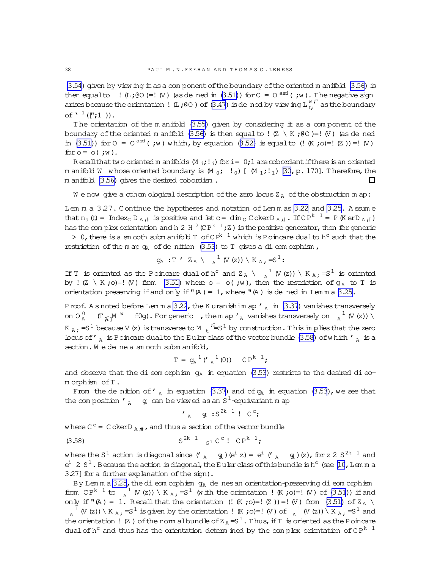(3.54) given by view ing it as a component of the boundary of the oriented m anifold (3.56) is then equal to  $\,$  ! (L;(0) = ! (V) (as dened in (3.51)) for  $0 = 0$  and (;w). The negative sign arises because the orientation ! (L; @ 0) of (3.47) is dened by view ing  $L_{t}^{w,t}$  as the boundary of  $\mathbf{C}$ <sup>1</sup> (['';1).

The orientation of the manifold  $(3.55)$  given by considering it as a component of the boundary of the oriented m anifold (3.56) is then equal to ! (Z \ K ; @O )=! (V) (as de ned in (3.51)) for  $0 = 0$  and (; w) which, by equation (3.52) is equal to (! (K; o)=! (Z)) =! (V) for  $o = o($ ; w).

Recall that two oriented m anifolds  $(M_{i},j_{i})$  for  $i = 0,1$  are cobordant if there is an oriented m anifold W whose oriented boundary is  $(M_0; 1_0)$  [  $(M_1; 1_1)$  [30, p. 170]. Therefore, the m anifold (3.56) gives the desired cobordism.  $\Box$ 

We now give a cohom obogical description of the zero locus  $Z_A$  of the obstruction m ap:

Lem m a 3.27. Continue the hypotheses and notation of Lem m as 3.22 and 3.25. A ssum e that  $n_a$  (t) = Index<sub>c</sub> D<sub>A</sub><sup>#</sup> is positive and let c = dim<sub>c</sub> C okerD<sub>A</sub><sup>#</sup>. If CP<sup>k 1</sup> = P (K erD<sub>A</sub><sup>#</sup>) has the complex orientation and h 2 H  $^2$  (CP<sup>k 1</sup>; Z) is the positive generator, then for generic > 0, there is a sm coth submanifold T of  $CP^{k-1}$  which is Poincare dual to h<sup>c</sup> such that the

restriction of the m ap  $q_A$  of de nition (3.53) to T gives a di eom orphism,

$$
g_{A} : T \wedge Z_{A} \setminus A^{1} (V (z)) \setminus K_{A} ; =S^{1} :
$$

If T is oriented as the Poincare dual of h<sup>c</sup> and  $Z_A \setminus \frac{1}{A} (V(z)) \setminus K_A$ , =S<sup>1</sup> is oriented by !  $(Z \setminus K$ ;0)=! (V) from (3.51) where  $o = o($ ; w), then the restriction of  $g_A$  to T is orientation preserving if and only if  $(\mathbb{A}) = 1$ , where  $(\mathbb{A})$  is dened in Lemma 3.25.

P roof. A s noted before Lemma 3.22, the K uranishim ap  $r_A$  in (3.37) vanishes transversely on  $O_A^0$   $(T_{\alpha}M^W$  f0g). For generic , the m ap  $\prime_A$  vanishes transversely on  $A^1$  (V (z)) \ K A ; = S<sup>1</sup> because V (z) is transverse to M  $\frac{1}{t}$   $\frac{9}{t}$  S<sup>1</sup> by construction. This in plies that the zero bous of  $\prime$ <sub>n</sub> is Poincare dual to the Euler class of the vector bundle (3.58) of which  $\prime$ <sub>n</sub> is a section. We de ne a smooth submanifold,

$$
T = g_A^{-1}('A^1(0)) CP^{k-1};
$$

and observe that the di eom orphism  $q_A$  in equation (3.53) restricts to the desired di eomorphism of T.

From the denition of  $\prime$ <sub>A</sub> in equation (3.37) and of  $g_A$  in equation (3.53), we see that the composition  $\prime$   $\alpha$  g can be viewed as an S<sup>1</sup>-equivariant m ap

$$
\mathbf{a} \quad \mathbf{g} \quad \mathbf{s}^{2k-1} \quad \mathbf{C}^c
$$

where  $C^c = CokerD_{A,\#}$ , and thus a section of the vector bundle

$$
S^{2k-1} S^{2k-1} S^{2k-1} C^c! C P^{k-1};
$$

where the S<sup>1</sup> action is diagonal since  $\binom{r}{A}$   $\infty$   $(e^{i} z) = e^{i}$   $\binom{r}{A}$   $\infty$   $\infty$   $(z)$ , for z 2 S<sup>2k 1</sup> and  $e^i$  2 S<sup>1</sup>. Because the action is diagonal, the Euler class of this bundle is h<sup>c</sup> (see [10, Lemma 3.27] for a further explanation of the sign).

By Lemma 325, the dieomorphism  $g_A$  de nes an orientation-preserving dieomorphism from  $\mathbb{CP}^{k-1}$  to  $\lambda^1$  (V(z)) \ K  $\lambda$ ; = S<sup>1</sup> (w ith the orientation ! (K ; o)=! (V) of (3.51)) if and only if  $(\mathbb{A}) = 1$ . Recall that the orientation (! (K ;o)=! (Z )) =! (V) from (3.51) of  $Z_A \setminus Z$  $_{A}$ <sup>1</sup> (V (z)) \ K <sub>A</sub>; = S<sup>1</sup> is given by the orientation ! (K ; o)=! (V) of  $_{A}$ <sup>1</sup> (V (z)) \ K <sub>A</sub>; = S<sup>1</sup> and the orientation ! (Z) of the norm albundle of  $Z_A = S^1$ . Thus, if T is oriented as the Poincare dual of  $h^c$  and thus has the orientation determ ined by the complex orientation of  $\mathbb{CP}^{k-1}$ 

<span id="page-37-0"></span> $38$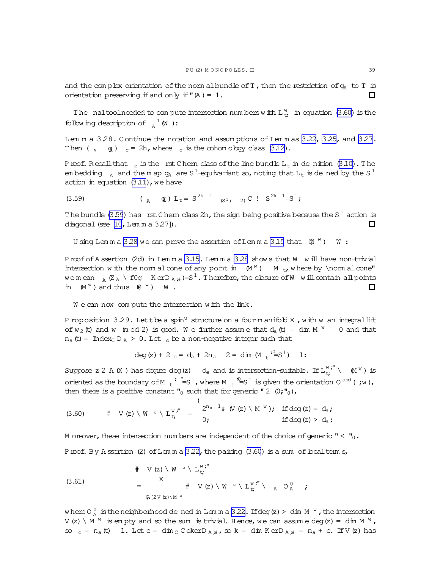<span id="page-38-0"></span>and the complex orientation of the norm albundle of T, then the restriction of  $q_A$  to T is orientation preserving if and only if  $(\mathbb{A}) = 1$ .  $\Box$ 

The naltoolneeded to compute intersection numbers with  $L_{t_{t}}^{w}$  in equation (3.60) is the following description of  $_{A}^{-1}$  (W):

Lem m a 3.28. Continue the notation and assum ptions of Lem m as [3.22,](#page-33-0) [3.25,](#page-35-0) and [3.27.](#page-37-0) Then ( $\alpha$  g)  $c = 2h$ , where c is the cohom ology class [\(3.12\)](#page-21-0).

Proof. Recall that  $\epsilon$  is the rst Chem class of the line bundle L $_{\rm t}$  in denition [\(3.10\)](#page-21-0). The em bedding  $A$  and the m ap  $g_A$  are  $S^1$ -equivariant so, noting that  $L_t$  is de ned by the  $S^1$ action in equation  $(3.11)$ , we have

(3.59) ( $A \ g$ )  $L_t = S^{2k} \ g$ <sub>3</sub>; 2) C !  $S^{2k} \ g^2$ 

The bundle (3.59) has  $\,$  rst Chem class 2h, the sign being positive because the S  $^1$  action is diagonal (see  $[10, Lem \, m \, a \, 3.27]$ ).  $\Box$ 

U sing Lemma 3.28 we can prove the assertion of Lemma [3.15](#page-27-0) that  $(M^W)$   $W$ :

Proof of A ssertion (2d) in Lemma [3.15](#page-27-0). Lemma 3.28 shows that W will have non-trivial intersection with the norm alcone of any point in  $(M^w)$  M<sub>t</sub>, where by \norm alcone" we mean  $_A$  (Z<sub>A</sub> \ f0g K erD <sub>A</sub> ;  $\neq$ )=S<sup>1</sup>. Therefore, the closure of W w ill contain all points in  $(M^w)$  and thus  $M^w$ ) W.  $\Box$ 

We can now compute the intersection with the link.

P roposition 3.29. Let the a spin<sup>u</sup> structure on a four-m anifold X, with w an integral lift of  $w_2$  (t) and w (m od 2) is good. We further assume that  $d_a$  (t) = dim M  $^w$  0 and that  $n_a$  (t) = Index<sub>C</sub> D<sub>A</sub> > 0. Let c be a non-negative integer such that

$$
\deg(z) + 2 c = d_a + 2n_a \quad 2 = \dim \mathbb{M} \cdot \frac{i^0}{s} S^1 \quad 1:
$$

Suppose z 2 A  $(X$  ) has degree deg(z) d<sub>a</sub> and is intersection-suitable. If  $L_{t}^{w,''} \setminus$   $(M^w)$  is oriented as the boundary of M  $_t$ ,  $^{\prime}$   $^{\prime} = S^1$ , where M  $_t$ ,  $^{\prime} = S^1$  is given the orientation 0 <sup>asd</sup> (; w), then there is a positive constant  $\mathbf{r}_0$  such that for generic "2 (0; $\mathbf{r}_0$ ),

(3.60) 
$$
\# \quad V(z) \setminus W \circ \setminus L_{t}^{w, r} = \begin{cases} 2^{n_a} & 1 \# (V(z) \setminus M^{w}), & \text{if deg}(z) = d_a; \\ 0, & \text{if deg}(z) > d_a. \end{cases}
$$

M oreover, these intersection num bers are independent of the choice of generic  $" < "0$ .

Proof. By A ssertion (2) of Lem m a  $3.22$ , the pairing  $(3.60)$  is a sum of boalterm s,

(3.61) 
$$
\begin{array}{ccccccccc}\n & & & \# & \vee(z) \setminus W & ^c \setminus L_{t}^{w} \cdot \text{''} & & & & \\
& & X & & & \# & \vee(z) \setminus W & ^c \setminus L_{t}^{w} \cdot \text{''} \setminus & ^a \circ \bigwedge & ^c \vdots & & \\
& & & \# & \vee(z) \setminus W & ^c \setminus L_{t}^{w} \cdot \text{''} \setminus & ^a \circ \bigwedge & ^c \vdots & & \\
& & & & \# & \vee(z) \setminus W & ^c \setminus L_{t}^{w} \cdot \text{''} \setminus & ^a \circ \bigwedge & ^c \vdots & ^c \vdots & ^c \vdots & ^c \vdots & ^c \vdots & ^c \vdots & ^c \vdots & ^c \vdots & ^c \vdots & ^c \vdots & ^c \vdots & ^c \vdots & ^c \vdots & ^c \vdots & ^c \vdots & ^c \vdots & ^c \vdots & ^c \vdots & ^c \vdots & ^c \vdots & ^c \vdots & ^c \vdots & ^c \vdots & ^c \vdots & ^c \vdots & ^c \vdots & ^c \vdots & ^c \vdots & ^c \vdots & ^c \vdots & ^c \vdots & ^c \vdots & ^c \vdots & ^c \vdots & ^c \vdots & ^c \vdots & ^c \vdots & ^c \vdots & ^c \vdots & ^c \vdots & ^c \vdots & ^c \vdots & ^c \vdots & ^c \vdots & ^c \vdots & ^c \vdots & ^c \vdots & ^c \vdots & ^c \vdots & ^c \vdots & ^c \vdots & ^c \vdots & ^c \vdots & ^c \vdots & ^c \vdots & ^c \vdots & ^c \vdots & ^c \vdots & ^c \vdots & ^c \vdots & ^c \vdots & ^c \vdots & ^c \vdots & ^c \vdots & ^c \vdots & ^c \vdots & ^c \vdots & ^c \vdots & ^c \vdots & ^c \vdots & ^c \vdots & ^c \vdots & ^c \vdots & ^c \vdots & ^c \vdots & ^c \vdots & ^c \vdots & ^c \vdots & ^c \vdots & ^c \vdots & ^c \vdots & ^c \vdots & ^c \vdots & ^c \vdots & ^c \vdots & ^c \vdots & ^c \vdots & ^c \vdots & ^c \vdots & ^c \vdots &
$$

where O  $_{\rm A}^0$  is the neighborhood de ned in Lemma [3.22.](#page-33-0) If deg (z) > dim M  $^{\rm w}$  , the intersection V(z) \  $M^W$  is empty and so the sum is trivial. Hence, we can assume deg(z) = dim M  $^W$ , so  $_{c}$  = n<sub>a</sub>(t) 1. Let c = dim c C okerD  $_{A#}$ , so k = dim K erD  $_{A#}$  = n<sub>a</sub> + c. If V (z) has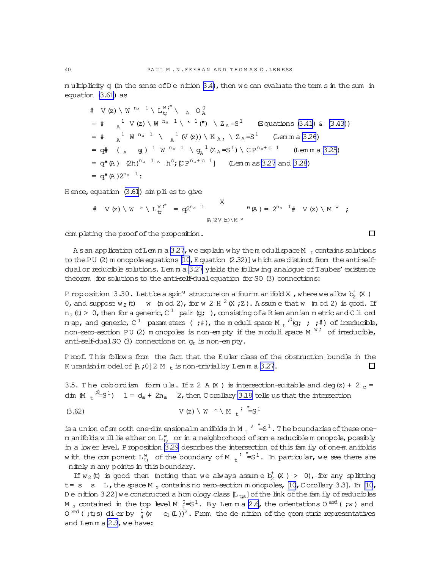<span id="page-39-0"></span>multiplicity  $q$  (in the sense of  $D e$  nition  $3.4$ ), then we can evaluate the term s in the sum in equation [\(3.61\)](#page-38-0) as

# V (z) \ W <sup>n<sub>a</sub></sup> 1 \ L<sub>t</sub><sup>w</sup>,<sup>n</sup> 
$$
\wedge
$$
 A  $O_A^0$   
\n= #  ${}_{A}^{1}$  V (z) \ W <sup>n<sub>a</sub></sup> 1 \ Y <sup>1</sup>(**n**) \ X<sub>A</sub> = S<sup>1</sup> (Equations (3.41) & (3.43))  
\n= #  ${}_{A}^{1}$  W <sup>n<sub>a</sub></sup> 1  $\wedge$  A <sup>1</sup>(V (z)) \ K<sub>A</sub>,  $\wedge$  Z<sub>A</sub> = S<sup>1</sup> (Lemma a 3.26)  
\n= q# ( ${}_{A}$  q) <sup>1</sup> W <sup>n<sub>a</sub></sup> 1  $\wedge$  q<sub>A</sub><sup>1</sup>(Z<sub>A</sub> = S<sup>1</sup>) \ CP<sup>n<sub>a</sub></sup> + c<sup>1</sup> (Lemma a 3.25)  
\n= q<sup>n</sup>(A) (2h)<sup>n<sub>a</sub></sup> 1  $\wedge$  h<sup>c</sup>; [CP<sup>n<sub>a</sub></sup> + c<sup>1</sup>] (Lemma as 3.27 and 3.28)  
\n= q<sup>n</sup>(A) 2<sup>n<sub>a</sub></sup> 1:

 $H$  ence, equation  $(3.61)$  sim pli es to give

# 
$$
V(z) \setminus W
$$
  $\subset \setminus L_{t}^{w, \mathbf{r}} = q2^{n_a} \quad \begin{array}{c} X \\ \downarrow \\ \mathbb{R} \mathbb{P}^{V(z) \setminus M^{w}} \end{array}$  **"**  $(A) = 2^{n_a} \quad \begin{array}{c} 1 \\ \downarrow \\ \mathbb{R} \end{array}$  **"**  $(Z) \setminus M^{w}$  ;

com pleting the proof of the proposition.

A san application of Lem m a [3.27](#page-37-0), we explain why them oduli space M  $<sub>t</sub>$  contains solutions</sub> to the PU  $(2)$  m onopole equations  $[10, E$  $[10, E$  quation  $(2.32)$ ] w hich are distinct from the anti-self-dualor reducible solutions. Lem m a [3.27](#page-37-0) yields the follow ing analogue of Taubes' existence theorem for solutions to the anti-self-dual equation for SO (3) connections:

P roposition 3.30. Lettbea spin $^{\text{u}}$  structure on a four-manifold X , where we allow  $\mathrm{b}_2^+$  (X ) 0, and suppose  $w_2$  (t) w (m od 2), for w 2 H  $^2$  (X; Z). A ssume that w (m od 2) is good. If n<sub>a</sub> (t) > 0, then for a generic, C  $^1\;$  pair (g; ), consisting of a Riem annian m etric and C li ord m ap, and generic, C  $^1$  param eters ( ;#), the m oduli space M  $_{\rm t}$   $^{;0}$ (g; ; ;#) of irreducible, non-zero-section PU (2) m onopoles is non-empty if the moduli space  $M^{W'}$  of irreducible, anti-self-dual SO (3) connections on  $q_t$  is non-empty.

Proof. This follows from the fact that the Euler class of the obstruction bundle in the K uranishim odel of  $A$ ;0]2 M t is non-trivial by Lem m a [3.27](#page-37-0).  $\Box$ 

3.5. The cobordism formula. If z 2 A(X) is intersection-suitable and deg(z) + 2  $_c$  = dim  $(M_t \epsilon^{i0} = S^1)$   $1 = d_a + 2n_a$  2, then C orollary [3.18](#page-28-0) tells us that the intersection

(3.62) 
$$
V(z) \setminus W^c \setminus M_t^j = S^1
$$

is a union of sm ooth one-dim ensionalm anifolds in M  $_{\rm t}$   $^{\prime}$   $\phantom{}^{\text{u}} = S^1$  . The boundaries of these onem anifolds will lie either on  $\mathtt{L}^\mathtt{w}_{\mathtt{t}}$  or in a neighborhood of som e reducible m onopole, possibly in a lower level. Proposition [3.29](#page-38-0) describes the intersection of this fam ily of one-m anifolds with the component  $L^w_{t}$  of the boundary of M  $_t$   $^{\prime}$  "=S $^1.$  In particular, we see there are nitely m any points in this boundary.

If  $w_2$  (t) is good then (noting that we always assume  $b_2^+$  (X ) > 0), for any splitting  $t= s$  s L, the space M  $_s$  contains no zero-section m onopoles, [\[10,](#page-63-0) C orollary 3.3]. In [\[10,](#page-63-0) D e nition 3.22] we constructed a hom ology class  $[L_{ts}]$  of the link of the fam ily of reducibles M  $_{\rm s}$  contained in the top level M  $_{\rm t}^{0}$ =S $^{1}$ . By Lemma [2.6,](#page-15-0) the orientations O  $^{\rm ast}$  ( ;w ) and O<sup>red</sup> (;t;s) dierby  $\frac{1}{4}$  (w c<sub>1</sub>(L))<sup>2</sup>. From the denition of the geometric representatives and Lemma [2.9,](#page-18-0) we have:

 $\Box$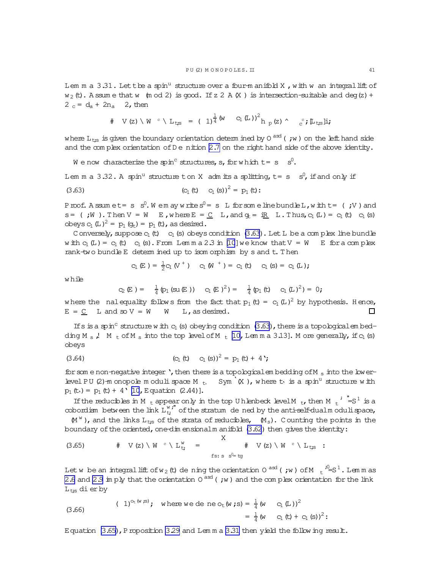$$
\# \quad V(z) \setminus W \quad \text{at} \quad L_{\text{ts}} \ = \ (1)^{\frac{1}{4}} \left( W \quad C_1 \left( L \right) \right)^2 h \, p(z) \, \text{at} \quad c^* \, \text{at} \, L_{\text{ts}} \, \text{li}
$$

<span id="page-40-0"></span>where  ${\rm L_{\,}_{\rm tfs}}$  is given the boundary orientation determ ined by 0  $^{\rm asd}$  ( ;w ) on the left hand side and the complex orientation of  $D e$  nition [2.7](#page-17-0) on the right hand side of the above identity.

We now characterize the spin<sup>c</sup> structures, s, for which t = s  $\,$  s<sup>0</sup>.

Lem m a 3.32. A spin<sup>u</sup> structure ton X adm its a splitting,  $t= s - s^0$ , if and only if

(3.63) 
$$
(c_1(t) \quad c_1(s))^2 = p_1(t)
$$
:

Proof. Assumet= s  $s^0.$  We may write  $s^0$ = s L for some line bundle L, with t= (;V) and  $s = (i)$  , Then  $V = W$  E, where  $E = C$  L, and  $q_E = iR$  L. Thus,  $c_1(L) = c_1(t)$   $c_1(s)$ obeys  $c_1(L)^2 = p_1(q_t) = p_1(t)$ , as desired.

C onversely, suppose  $c_1(t)$  c<sub>1</sub> (s) obeys condition (3.63). Let L be a com plex line bundle w ith  $c_1(L) = c_1(t)$  c<sub>1</sub> (s). From Lem m a 2.3 in [\[10](#page-63-0)] we know that  $V = W$  E for a com plex rank-two bundle E determ ined up to isom orphism by s and t. Then

$$
C_1(E) = \frac{1}{2} C_1(V^+) \quad C_1(W^+) = C_1(E) \quad C_1(s) = C_1(L);
$$

w hile

$$
C_2(E) = \frac{1}{4} (p_1 (su(E)) \quad C_1(E)^2) = \frac{1}{4} (p_1 (t) \quad C_1(L)^2) = 0;
$$

where the nalequality follows from the fact that  $p_1$  (t) =  $c_1$  (L)<sup>2</sup> by hypothesis. Hence,  $E = C$  L and so  $V = W$  W L, as desired.  $\Box$ 

If s is a spin<sup>c</sup> structure w ith  $c_1$  (s) obeying condition (3.63), there is a topological embedding M<sub>s</sub>,  $M_{t}$  of M<sub>s</sub> into the top level of M<sub>t</sub> [\[10,](#page-63-0) Lemma 3.13]. More generally, if  $c_1$  (s) obeys

(3.64) 
$$
(C_1(t) \t C_1(s))^2 = p_1(t) + 4
$$
;

for som e non-negative integer', then there is a topological embedding of M  $_{\rm s}$  into the low erlevel PU (2)-m onopole m oduli space M  $_{t}$  Sym  $\cdot$  (X), where the is a spin<sup>u</sup> structure with  $p_1(t) = p_1(t) + 4'$  [\[10](#page-63-0), Equation (2.44)].

If the reducibles in M  $_{\rm t}$  appear only in the top U hlenbeck level M  $_{\rm t}$ , then M  $_{\rm t}$   $^{\prime}$  "=S<sup>1</sup> is a cobordism between the link  $L_{t}^{w}$ ," of the stratum de ned by the anti-self-dualm odulispace,

 $(M^W)$ , and the links  $L_{ts}$  of the strata of reducibles,  $(M_s)$ . Counting the points in the boundary of the oriented, one-dim ensionalm anifold  $(3.62)$  then gives the identity:

$$
(3.65) \t# V(z) \setminus W \t \cdot \setminus L_{t}^{w} = \t\t \begin{array}{c} X \\ \n f \cdot s \cdot s \stackrel{\mathsf{d}}{\longrightarrow} y \end{array} \tV(z) \setminus W \t \cdot \setminus L_{t,s} :
$$

Let w be an integral lift of w  $_2$  (t) de ning the orientation O  $^{\rm asd}$  (  $\,$  ;w ) of M  $_{\rm t}$   $^{\rm 70}_{\rm =S}$   $^{\rm 1}$  . Lemmas [2.6](#page-15-0) and [2.9](#page-18-0) im ply that the orientation  $0^{ad}$  (; w) and the complex orientation for the link  $L_{t,s}$  dierby

(3.66) 
$$
(1)^{O_E(w; s)}; \text{ where } w \in de \text{ ne } O_E(w; s) = \frac{1}{4} (w \quad C_1(L))^2 = \frac{1}{4} (w \quad C_1(t) + C_1(s))^2:
$$

Equation  $(3.65)$ , Proposition [3.29](#page-38-0) and Lem m a [3.31](#page-39-0) then yield the follow ing result.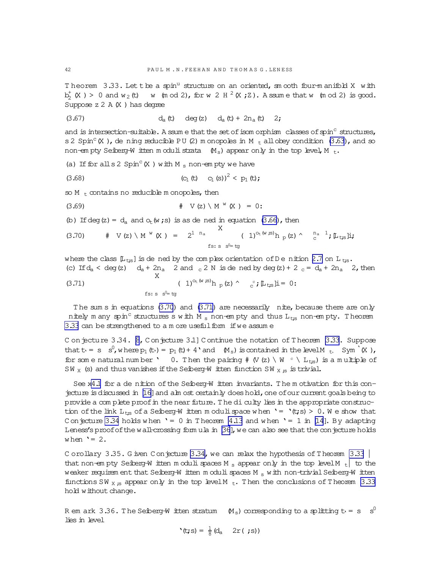<span id="page-41-0"></span>Theorem  $3.33$ . Let the a spin<sup>u</sup> structure on an oriented, sm ooth four-manifold X with  $b_2^{\dagger}$  (X) > 0 and w<sub>2</sub> (t) w (m od 2), for w 2 H <sup>2</sup> (X; Z). A ssume that w (m od 2) is good. Suppose  $z 2 A(X)$  has degree

(3.67) 
$$
d_a(t) \deg(z) \quad d_a(t) + 2n_a(t) \quad 2;
$$

and is intersection-suitable. A ssum e that the set of isom orphism classes of spin<sup>c</sup> structures, s 2 Spin<sup>c</sup> (X), de ning reducible PU (2) m onopoles in M  $_t$  all obey condition [\(3.63\)](#page-40-0), and so non-em pty Seiberg-W itten m oduli strata  $(M_s)$  appear only in the top level, M t.

(a) If for all 
$$
s \geq \text{Spin}^c(X)
$$
 with  $M_s$  non-empty we have

(3.68) 
$$
(c_1(t) \quad c_1(s))^2 < p_1(t)
$$
;

so M  $t_0$  contains no reducible m onopoles, then

# V(z)\ M <sup>w</sup> (3.69) (X ) = 0:

(b) If deg(z) =  $d_a$  and  $o_t(w; s)$  is as de ned in equation [\(3.66\)](#page-40-0), then

(3.70) 
$$
\# \text{ V(z) \setminus M^W(X)} = 2^{1 \text{ n_a}} \qquad (1)^{\circ_{\text{t}}(w \text{ is})} h_p(z) \qquad \frac{\text{ n_a 1}}{\text{c}} \text{!j.}
$$

where the class  $[L_{ts}]$  is de ned by the complex orientation of D e nition [2.7](#page-17-0) on L<sub>ts</sub>. (c) If  $d_a <$  deg(z)  $d_a + 2n_a$  2 and c 2 N is dened by deg(z) + 2 c =  $d_a + 2n_a$  2, then

(3.71) 
$$
X \qquad (1)^{\circ_{t}(\mathsf{w}; \mathsf{s})} \mathsf{h}_{p}(z) \wedge \mathsf{c}^{\circ} \mathsf{F} \mathsf{L}_{\mathsf{t}; \mathsf{s}} \mathsf{I} \mathsf{i} = 0;
$$

The sum s in equations  $(3.70)$  and  $(3.71)$  are necessarily nite, because there are only nitely m any spin<sup>c</sup> structures s w ith M  $_{\rm s}$  non-em pty and thus L<sub>ts</sub> non-em pty. Theorem [3.33](#page-40-0) can be strengthened to a m ore useful form if we assume

C on jecture  $3.34$ .  $\beta$ , C onjecture  $3.1$ ] C ontinue the notation of T heorem  $3.33$ . Suppose that t = s  $s^0$ , where  $p_1$  (t) =  $p_1$  (t) + 4'and  $M_s$ ) is contained in the level M<sub>t</sub>. Sym' (X), for some naturalnum ber ' 0. Then the pairing  $# (V(z) \setminus W \circ \setminus L_{ts})$  is a multiple of SW  $_X$  (s) and thus vanishes if the Seiberg-W itten function SW  $_X$  is trivial.

See  $x4.1$  $x4.1$  for a de nition of the Seiberg-W itten invariants. The m otivation for this conjecture is discussed in  $[16]$  and alm ost certainly does hold, one of our current goals being to provide a com plete proof in the near future. The diculty lies in the appropriate construction of the link  $L_{t:s}$  of a Seiberg-W itten m oduli space when '= '(t;s) > 0. We show that C on jecture 3.34 holds when ' = 0 in Theorem [4.13](#page-50-0) and when ' = 1 in [\[14\]](#page-63-0). By adapting Leness's proof of the wall-crossing form ula in [\[36\]](#page-64-0), we can also see that the conjecture holds when  $' = 2$ .

C orollary 3.35. G iven C on jecture 3.34, we can relax the hypothesis of T heorem  $3.33$ that non-em pty Seiberg-W itten m oduli spaces M s appear only in the top levelM  $_{t}$  to the weaker requirem ent that Seiberg-W itten m oduli spaces M  $_{\rm s}$  with non-trivial Seiberg-W itten functions SW  $_X$  is appear only in the top level M t. Then the conclusions of Theorem [3.33](#page-40-0) hold without change.

R em ark 3.36. The Seiberg-W itten stratum  $\rm \quad M_s)$  corresponding to a splitting t $\rm \cdot = s - s^0$ lies in level

$$
\mathbf{G}(\mathsf{t};\mathsf{s}) = \frac{1}{8} \left( \mathsf{d}_{\mathsf{a}} \quad 2\mathsf{r}(\mathsf{t};\mathsf{s}) \right)
$$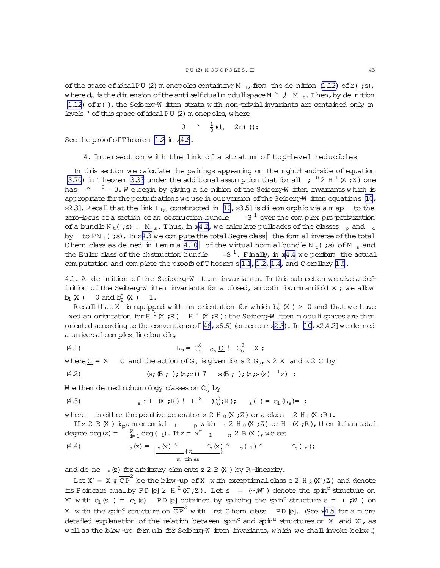<span id="page-42-0"></span>of the space of ideal PU (2) m onopoles containing M  $_{\rm t}$ , from the denition (1.12) of r(;s), where  $d_n$  is the dim ension of the anti-self-dualm oduli space M  $^W$ , M<sub>t</sub>. Then, by de nition  $(1.12)$  of r(), the Seiberg-W itten strata with non-trivial invariants are contained only in levels ' of this space of ideal PU (2) m onopoles, where

0 
$$
\frac{1}{8}
$$
 (d<sub>a</sub> 2r()):

See the proof of Theorem 12 in x4.6.

4. Intersection with the link of a stratum of top-level reducibles

In this section we calculate the pairings appearing on the right-hand-side of equation (3.70) in Theorem 3.33 under the additional assumption that for all ;  $0.2 H^{1}(X; z)$  one has  $\gamma$   $^0$  = 0. We begin by giving a de nition of the Seiberg-W itten invariants which is appropriate for the perturbations we use in our version of the Seiberg-W itten equations  $\mathbb{10}$ , x2.3]. Recall that the link  $L_{ts}$  constructed in [10, x3.5] is dieomorphic via a m ap to the zero-bous of a section of an obstruction bundle  $=$   $5<sup>1</sup>$  over the complex pro-jectivization of a bundle N<sub>t</sub>(;s)! M<sub>s</sub>. Thus, in x42, we calculate pullbacks of the classes p and c by to PN<sub>t</sub> (; s). In x4.3 we compute the total Segre class the form all inverse of the total Chem class as de ned in Lemma 4.10 of the virtual normal bundle  $N_t$  (; s) of M s and the Euler class of the obstruction bundle  $=$   $S<sup>1</sup>$ . Finally, in x4.4 we perform the actual com putation and com plete the proofs of Theorem s 1.1, 1.2, 1.4, and C orollary 1.5.

4.1. A de nition of the Seiberg-W itten invariants. In this subsection we give a definition of the Seiberg-W itten invariants for a closed, smooth four-manifold X; we allow  $b_1(X)$  0 and  $b_2^+(X)$  1.

Recall that X is equipped with an orientation for which  $b_2^{\dagger}$  (X) > 0 and that we have xed an orientation for H  $^1$  (X;R) H  $^+$  (X;R): the Seiberg-W itten moduli spaces are then oriented according to the conventions of  $[46, x6.6]$  (or see our x2.3). In [10, x2.4.2] we de ned a universal complex line bundle,

$$
L_{s} = C_{s}^{0} \quad C_{s} \subseteq I \quad C_{s}^{0} \quad X ;
$$

C and the action of  $G_s$  is given for s 2  $G_s$ , x 2 X and z 2 C by where  $C = X$ 

(4.2) 
$$
(s; \mathbb{B}; \cdot); (x; z))
$$
  $T$   $s \mathbb{B}; \cdot); (x; s(x) -1z)$ 

 $\mathtt{W}$ e then de ned cohom ology classes on  $\mathtt{C}_\mathtt{S}^0$  by

(4.3) 
$$
s : H(X; R) : H^2(C^0_s; R); \quad s( ) = C_1(L_s) = ;
$$

where is either the positive generator x 2 H  $_0$  (X ; Z ) or a class 2 H  $_1$  (X ; R ).

If z 2 B (X) is a monomial  $_1$  p with  $_1$  2 H  $_0$  (X ; Z) or H  $_1$  (X ; R), then it has total degree deg  $(z) = \int_{i=1}^{r} \deg(i)$ . If  $z = x^m$  1 n 2 B (X), we set

(4.4) 
$$
s(z) = \frac{|s(x) \wedge (z - \hat{s}(x))|}{\sin t \sin \theta} \quad s(1) \wedge (s(n))
$$

and de ne  $_s(z)$  for arbitrary elements z 2 B  $(X)$  by R-linearity.

Let X<sup>\*</sup> = X  $\#$  CP<sup>2</sup> be the blow-up of X with exceptional class e 2 H<sub>2</sub> (X<sup>\*</sup>; Z) and denote its Poincare dual by PD [e] 2 H  $^2$  (X; Z). Let s = (~; W) denote the spin<sup>c</sup> structure on X with  $c_1$  (s) =  $c_1$  (s) PD [e] obtained by splicing the spin<sup>c</sup> structure s = (; W) on X with the spin<sup>c</sup> structure on  $\overline{CP}^2$  with rst Chem class PD [e]. (See x4.5 for a more detailed explanation of the relation between spin<sup>c</sup> and spin<sup>u</sup> structures on X and X, as well as the blow-up formula for Seiberg-W itten invariants, which we shall invoke below.)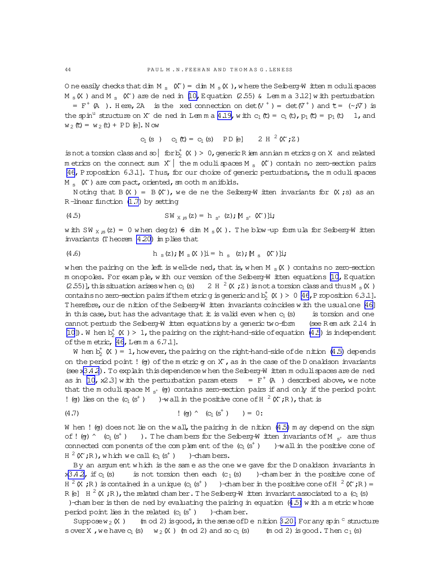<span id="page-43-0"></span>O ne easily checks that dim M<sub>s</sub>  $(X') =$  dim M<sub>s</sub> (X), where the Seiberg-W itten moduli spaces M<sub>s</sub> (X) and M<sub>s</sub> (X) are de ned in [10, Equation (2.55) & Lemma 3.12] with perturbation =  $F^+$  (A). Here, 2A is the xed connection on det (V<sup>+</sup>) = det ( $V^+$ ) and  $\tilde{\tau}$  = ( $\sim$ ; $V$ ) is the spin<sup>11</sup> structure on X<sup>o</sup> de ned in Lemma 4.19, with  $c_1(t) = c_1(t)$ ,  $p_1(t) = p_1(t)$  1, and  $w_2(t) = w_2(t) + PD [e].$  N ow

$$
C_1(S) \quad C_1(\mathbf{t}) = C_1(S) \quad \text{PD}[e] \quad 2 H^2(X^*;Z)
$$

is not a torsion class and so  $\left| \text{ for } b^+ \times \right.$  (X ) > 0, generic R iem annian m etrics g on X and related m etrics on the connect sum X | the m oduli spaces M  $_{\rm s}$  (X ) contain no zero-section pairs [46, P roposition 6.3.1]. Thus, for our choice of generic perturbations, the moduli spaces  $M_{s}$  (X<sup>\*</sup>) are compact, oriented, an ooth m anifolds.

Noting that B  $(X)$  = B  $(X')$ , we de ne the Seiberg-W itten invariants for  $(X; s)$  as an R-linear function (1.7) by setting

$$
\text{(4.5)} \quad \text{SW}_{\text{X, is}}(z) = h_{s^+}(z); \text{M}_{s^+}(X^*)\text{];}
$$

with SW  $_{X, S}(z) = 0$  when deg(z)  $\epsilon$  dim M  $_{S}(X)$ . The blow-up formula for Seiberg-W itten invariants (Theorem 4.20) implies that

(4.6) 
$$
h_s(z); M_s(X)]i = h_s(z); M_s(X)]i;
$$

when the pairing on the left is well-de ned, that is, when M  $_{\rm s}$  (X) contains no zero-section m onopoles. For example, with our version of the Seiberg-W itten equations [10, Equation (2.55)], this situation arises when  $c_1$  (s) 2 H  $^2$  (X; Z) is not a torsion class and thus M  $_S$  (X) contains no zero-section pairs if them etric g is generic and  $b_2^+$  (X) > 0 [46, P roposition 6.3.1]. Therefore, our de nition of the Seiberg-W itten invariants coincides with the usual one [46] in this case, but has the advantage that it is valid even when  $c_1$  (s) is torsion and one cannot perturb the Seiberg-W itten equations by a generic two-form (see Rem ark  $2.14$  in [10]). W hen  $b^+$  (X) > 1, the pairing on the right-hand-side of equation (4.5) is independent of the metric, [46, Lemma 6.7.1].

W hen  $b_2^+$  (X) = 1, however, the pairing on the right-hand-side of denition (4.5) depends on the period point ! (g) of the m etric g on  $X$ , as in the case of the D onaldson invariants (see x3.4.2). To explain this dependence when the Seiberg-W itten moduli spaces are de ned as in [10, x2.3] with the perturbation parameters =  $F^+ (A)$  described above, we note that the moduli space  $M_{st}$  (e) contains zero-section pairs if and only if the period point ! (q) lies on the  $(c_1(s^+))$  -wall in the positive cone of  $H^2(X; R)$ , that is

(4.7) 
$$
(q, \bar{q}) \wedge (q, (s^+)) = 0
$$
:

W hen ! (og) does not lie on the wall, the pairing in de nition  $(4.5)$  m ay depend on the sign of! (g) ^ (c<sub>1</sub>(s<sup>+</sup>) ). The chambers for the Seiberg-W itten invariants of M  $_{S^+}$  are thus connected com ponents of the complement of the  $(c_1 (s^+) )$   $\rightarrow$  wall in the positive cone of  $H^2(X; R)$ , which we call  $(c_1(s^+))$  -chambers.

By an argum ent which is the same as the one we gave for the D onaldson invariants in is not torsion then each  $(c_1(s)$  )-chamber in the positive cone of  $x3.4.2$ , if  $C_1$  (s)  $H^2(K, R)$  is contained in a unique  $(c_1(s^+)$  )-chamber in the positive cone of  $H^2(K, R) =$ R [e]  $H^2(X;R)$ , the related chamber. The Seiberg-W itten invariant associated to a (c<sub>1</sub> (s) )-chamber is then de ned by evaluating the pairing in equation  $(4.5)$  with a metric whose period point lies in the related  $(c_1(s^+)$  )-chamber.

Suppose  $w_2(X)$  (m od 2) is good, in the sense of D e nittion 3.20. For any spin  $\circ$  structure s over X, we have  $c_1$  (s)  $w_2$  (X) (m od 2) and so  $c_1$  (s) (m od 2) is good. Then  $c_1$  (s)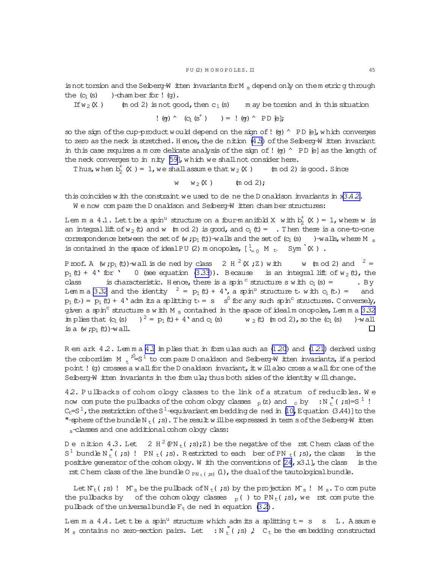<span id="page-44-0"></span>is not torsion and the Seiberg-W itten invariants for M  $_{\rm s}$  depend only on them etric g through the  $(c_1(s)$  )-cham ber for !  $(q)$ .

If  $w_2(X)$  (m od 2) is not good, then  $c_1(s)$  m ay be torsion and in this situation

$$
\hspace{.15cm} ! \hspace{.15cm} (g) \hspace{.15cm} \widehat{\hspace{.1cm}} \hspace{.15cm} (C_{\! \! \: 1} \hspace{.15cm} (S^{^+} \hspace{.15cm}) \hspace{.15cm}) = \hspace{.15cm} ! \hspace{.15cm} (g) \hspace{.15cm} \widehat{\hspace{.1cm}} \hspace{.15cm} \text{PD} \hspace{.15cm} \text{E}];
$$

so the sign of the cup-product would depend on the sign of! ( $g$ ) ^ PD [e], w hich converges to zero as the neck is stretched. Hence, the de nition  $(4.5)$  of the Seiberg-W itten invariant in this case requires a m ore delicate analysis of the sign of ! (g)  $^{\wedge}$  PD [e] as the length of the neck converges to in nity [\[59\]](#page-64-0), which we shall not consider here.

Thus, when  $b_2^+$  (X) = 1, we shall assume that  $w_2$  (X) (mod 2) is good. Since

 $w \equiv w_2(X)$  (m od 2);

this coincides w ith the constraint we used to de ne the D onaldson invariants in  $x3.4.2$ .

We now com pare the D onaldson and Seiberg-W itten cham ber structures:

Lem m a 4.1. Lettbe a spin<sup>u</sup> structure on a four-manifold X with  $b_2^+$  (X ) = 1, where w is an integral lift of  $w_2$  (t) and w (m od 2) is good, and  $c_1$  (t) = . Then there is a one-to-one correspondence between the set of (w ;  $p_1$  (t))-walls and the set of (c<sub>1</sub>(s) )-walls, where M  $_{\rm s}$ is contained in the space of ideal PU (2) m onopoles,  $[\begin{array}{cc} 1_{\text{e}} & M_t, & Sym \\ N \end{array}]$  .

Proof. A (w;p<sub>1</sub>(t))-wall is dened by class 2 H  $^2$  (X;Z) with w (mod 2) and  $^2$  =  $p_1(t) + 4$  for ' 0 (see equation [\(3.33](#page-31-0))). Because is an integral lift of  $w_2(t)$ , the class is characteristic. Hence, there is a spin  $\circ$  structure s w ith  $c_1(s) =$  . By Lem m a [3.32](#page-40-0) and the identity  $2 = p_1(t) + 4$ , a spin<sup>u</sup> structure to with  $c_1(t) =$  and  $p_1(t) = p_1(t) + 4$  adm its a splitting  $t - s - s^0$  for any such spin<sup>c</sup> structures. Conversely, given a spin<sup>c</sup> structure s w ith M  $_{\rm s}$  contained in the space of idealm onopoles, Lem m a [3.32](#page-40-0) im plies that  $(c_1(s)$   $)^2 = p_1(t) + 4$  and  $c_1(s)$  w  $_2(t)$  (m od 2), so the  $(c_1(s)$  )-wall is a  $(w : p_1(t))$ -wall.  $\Box$ 

R em ark  $4.2$ . Lem m a  $4.1$  im plies that in form ulas such as  $(1.20)$  and  $(1.21)$  derived using the cobordism M  $_{\rm t}$   $^{j_{\rm u}}$  =S  $^{1}$  to compare D onaldson and Seiberg-W itten invariants, if a period point! (g) crosses a wall for the D onaldson invariant,  $\pm$  will also cross a wall for one of the Seiberg-W itten invariants in the form  $u$  la; thus both sides of the identity w ill change.

4.2. P ullbacks of cohom ology classes to the link of a stratum of reducibles. W e now compute the pullbacks of the cohom ology classes  $\frac{}{p}(z)$  and  $\frac{}{c}$  by  $\frac{}{t}(z)$  ;N  $\frac{r}{t}(z)$  ;s)=S  $^1$  ! C<sub>t</sub>=S<sup>1</sup>, the restriction of the S<sup>1</sup>-equivariant em bedding de ned in [\[10,](#page-63-0)Equation (3.44)]to the "-sphere of the bundle N  $_{\rm t}$  (;s). The result w ill be expressed in term s of the Seiberg-W itten s-classes and one additional cohom ology class:

Denition  $4.3$ . Let  $2\,$  H  $^{2}$  (PN  $_{\rm t}$  ( ;s);Z) be the negative of thents  $\,$  C hemeclass of the S<sup>1</sup> bund  $\triangleright$  N<sub>t</sub><sup>"</sup> (;s) ! PN<sub>t</sub>(;s). Restricted to each ber of PN<sub>t</sub>(;s), the class is the positive generator of the cohom ology. W ith the conventions of  $[24, x3.1]$  $[24, x3.1]$ , the class is the rst C hern class of the line bundle O  $_{\text{PN}+}$  ( $_{\text{IS}}$ ) (1), the dual of the tautological bundle.

Let  $N_t$ (;s)!  $N_s$  be the pullback of  $N_t$ (;s) by the projection  $M_s$ !  $M_s$ . To com pute the pullbacks by of the cohom ology classes  $_{p}$  ( ) to PN<sub>t</sub> (;s), we rst compute the pullback of the universal bundle  $F_t$  de ned in equation [\(3.2\)](#page-20-0).

Lem m a 4.4. Let the a spin<sup>u</sup> structure which adm its a splitting  $t = s$  s L. A ssume M  $_{\rm s}$  contains no zero-section pairs. Let  $\;$  : N  $_{\rm t}^{\rm u}$  ( ;s) ,!  $\;$  C  $_{\rm t}$  be the embedding constructed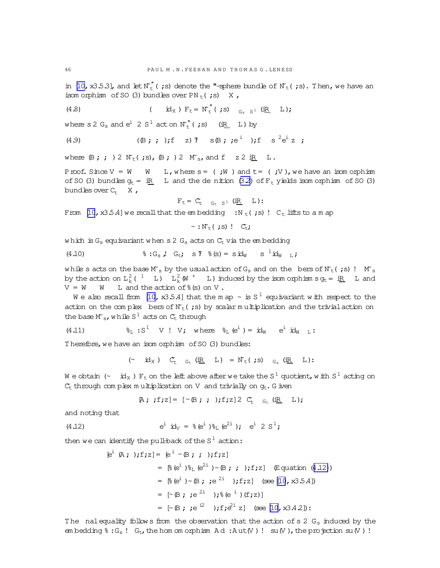<span id="page-45-0"></span>in [\[10,](#page-63-0) x3.5.3], and let  $N_t^{\pi}$  (;s) denote the "-sphere bundle of  $N_t$  (;s). Then, we have an isom orphism of SO (3) bundles over  $PN_t(js)$  X,

(4.8) 
$$
(\mathbf{d}_X) F_t = \mathbf{N}_t^{\mathsf{T}} (\mathbf{g}) \mathbf{G}_s \mathbf{S}^1 (\mathbf{d}_X \mathbf{L}) ;
$$

where s 2  $G_s$  and  $e^i$  2  $S^1$  act on  $N_t^{"}$  (;s) (iR\_ L) by

(4.9) 
$$
(\mathbb{B}; \; ; \; )
$$
; f z)  $\mathbb{T}$  s  $\mathbb{B}; \; ; e^{i} \; )$ ; f s  $^{2}e^{i}z$ ;

where  $(\mathsf{B};;;*)2 \mathsf{N}_t(;;s),(\mathsf{B};;);2 \mathsf{N}_s,$  and  $f \in \mathsf{Z} 2 \mathsf{R} L$ .

Proof. Since  $V = W \t W$  L, where  $s = (i\dot{W})$  and  $t = (i\dot{V})$ , we have an isom orphism of SO (3) bundles  $g_t = iR$  L and the dention (32) of  $F_t$  yields isom orphism of SO (3) bundles over  $C_t$  X,

$$
F_t = C_t \quad G_t \quad S^1 \quad (\underline{iR} \quad L):
$$

From [\[10](#page-63-0), x35.4] we recall that the embedding :N  $_t$ (;s)! C<sub>t</sub> lifts to a m ap

$$
\sim : \mathbb{N}_{\mathsf{t}}(\mathbf{r};\mathbf{s}) \perp \mathbb{C}_{\mathsf{t}}
$$

which is  $G_s$  equivariant when s 2  $G_s$  acts on  $C_t$  via the embedding

(4.10) 
$$
\S G_s
$$
,  $G_t$ ;  $ST$ ,  $(s) = s \, id_W$ ,  $s^{-1} \, id_W$ ,  $L$ ;

while s acts on the base  $M_s$  by the usual action of  $G_s$  and on the bers of  $N_t$  (;s)!  $M_s$ by the action on  $L^2_k$  (  $^1$  )  $L^2_k$  (M  $^+$  ) induced by the isom orphism sg<sub>t</sub> = i<u>R</u> ) L and  $V = W$  W L and the action of  $%$  (s) on V.

We also recall from [\[10,](#page-63-0) x3.5.4] that the map  $\sim$  is S  $^1$  equivariant with respect to the action on the complex bers of  $N_t$ (;s) by scalar multiplication and the trivial action on the base  $Ms$ , while  $S^1$  acts on  $C_t$  through

(4.11) 
$$
\delta_L : S^1 \quad V : V; \text{ where } \delta_L (e^i) = id_W e^i id_W L
$$

Therefore, we have an isom orphism of SO (3) bundles:

 $(\sim \quad \mathop{\rm id}\nolimits_X\ ) \quad C_{\tt t} \quad \mathop{\rm G}\nolimits_{\tt t} \ (\mathop{\rm i}\nolimits{\tt R} \quad \mathop{\rm L}\nolimits) \ = \, {\mathbb N}_{\tt} \mathop{\rm t} \, (\mathop{\rm \mathop{\rm \mathop{\rm i}}\nolimits} s) \quad \mathop{\rm G}\nolimits_s \ (\mathop{\rm i}\nolimits{\tt R} \quad \mathop{\rm L}\nolimits) \, \mathop{\rm t}\nolimits \ .$ 

W e obtain (~  $\,$  id $_{\rm X}$  )  $\rm F_{t}$  on the left above after we take the S  $^{1}$  quotient, w ith S  $^{1}$  acting on  $C_{t}$  through com plex m ultiplication on V and trivially on  $g_{t}$ . G iven

$$
\mathbb{A}; \; ;f; z] = [\sim \mathbb{B}; \; ; \; ); f; z] \; 2 \; C_{t} \quad G_{t} \; (\underline{\mathbb{R}} \quad L);
$$

and noting that

(4.12) 
$$
e^{i} \mathbf{i} d_{V} = \mathcal{E}(e^{i}) \mathcal{E}_{L}(e^{2i}) \mathbf{j} \quad e^{i} \mathbf{2} S^{1} \mathbf{j}
$$

then we can identify the pull-back of the S $^1$  action:

$$
[e^{i} (A; ); f; z] = [e^{i} \sim (B; ; ); f; z]
$$
  
\n
$$
= [e^{i} (e^{i}) e^{2i}) \sim (B; ; ); f; z] \quad (\text{Equation (4.12)})
$$
  
\n
$$
= [e^{i} (e^{i}) \sim (B; ; e^{2i}); f; z] \quad (\text{see [10, x3.5.4})
$$
  
\n
$$
= [\sim (B; ; e^{2i}); e^{i} (f; z)]
$$
  
\n
$$
= [\sim (B; ; e^{i2}); f; e^{i} z] \quad (\text{see [10, x3.4.2}) :
$$

The nalequality follows from the observation that the action of s 2  $G<sub>s</sub>$  induced by the em bedding  $\hat{\sigma}$  : G<sub>s</sub> ! G<sub>t</sub>, the hom om orphism A d : A ut (V) ! su(V), the projection su(V) !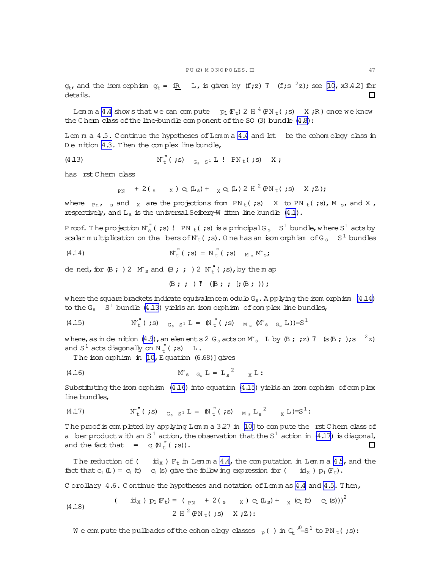<span id="page-46-0"></span> $g_t$ , and the isomorphism  $g_t = iR L$ , is given by (f;z) 7 (f;s<sup>2</sup>z); see [10, x3.42] for details.  $\Box$ 

Lemma 4.4 shows that we can compute  $p_1(F_t)$  2 H<sup>4</sup> (PN<sub>t</sub>(;s) X;R) once we know the Chem class of the line-bundle com ponent of the SO  $(3)$  bundle  $(4.8)$ :

Lem  $m a 4.5$ . Continue the hypotheses of Lem  $m a 4.4$  and let be the cohom ology class in De nition 4.3. Then the complex line bundle,

$$
\mathbb{N}_{\mathsf{t}}^{\mathsf{T}}\left(\mathsf{;s}\right) \quad \mathbb{N}_{\mathsf{t}}^{\mathsf{T}}\left(\mathsf{;s}\right) \quad \mathbb{G}_{\mathsf{s}} \quad \mathbb{S}^1 \mathbb{L}^1 \quad \mathbb{P}\mathbb{N}_{\mathsf{t}}\left(\mathsf{;s}\right) \quad \mathbb{X} \mathsf{;}
$$

has rst Chem class

$$
P_{\text{PN}} + 2({}_{\text{S}} \times {)} c_1({\text{L}}_{\text{S}}) + {}_{\text{X}} c_1({\text{L}}) 2 H^2({}^2{\text{N}}_{\text{t}}; s) \times {}^2);
$$

where  $_{\text{Pn}}$ , s and x are the projections from PN<sub>t</sub>(;s) X to PN<sub>t</sub>(;s), M<sub>s</sub>, and X, respectively, and  $L_s$  is the universal Seiberg-W itten line bundle  $(4.1)$ .

Proof. The projection  $N_s^{\prime\prime}$  (;s)! PN  $_t$  (;s) is a principal G<sub>s</sub> S<sup>1</sup> bundle, where S<sup>1</sup> acts by scalar multiplication on the bers of  $N_t$  (; s). One has an isom orphism of G<sub>s</sub> S<sup>1</sup> bundles

$$
\mathbf{N}_{\mathrm{t}}^{\mathrm{T}}\left(\mathbf{z}\right)=\mathbf{N}_{\mathrm{t}}^{\mathrm{T}}\left(\mathbf{z}\right)=\mathbf{N}_{\mathrm{t}}^{\mathrm{T}}\left(\mathbf{z}\right)\mathbf{M}_{\mathrm{s}}\mathbf{M}_{\mathrm{s}}\mathbf{z}
$$

de ned, for  $\beta$ ; ) 2  $M_s$  and  $\beta$ ; ; ) 2  $N_t''$  (; s), by the m ap

$$
\mathbb{B} \; ; \; ; \; ) \; \mathbb{T} \quad (\mathbb{B} \; ; \; ; \; ] \; ; \mathbb{B} \; ; \; ) ) \; ;
$$

where the square brackets indicate equivalence m odulo  $G_s$ . Applying the isom orphism  $(4.14)$ to the  $G_s$   $S^1$  bundle (4.13) yields an isom or phism of complex line bundles,

(4.15) 
$$
N_{t}^{''}( ; s)
$$
  $G_{s} S^{1} L = \mathbb{N}_{t}^{''}( ; s)$   $M_{s} \mathbb{M}_{s} G_{s} L ) = S^{1}$ 

where, as in denition (4.9), an elements 2 G<sub>s</sub> acts on M<sub>s</sub> L by  $\beta$ ; ; z) 7 (s $\beta$ ; ); s<sup>2</sup>z) and  $S^1$  acts diagonally on  $N_t^{\prime\prime}$  (;s) L.

The isom orphism in [10, Equation (6.68)] gives

$$
\mathsf{M}_{\mathrm{s}} \quad \mathsf{G}_{\mathrm{s}} \mathsf{L} = \mathsf{L}_{\mathrm{s}}^2 \qquad \mathsf{L}
$$

Substituting the isom orphism  $(4.16)$  into equation  $(4.15)$  yields an isom orphism of complex line bundles,

(4.17) 
$$
N_{t}^{''}( ; s)_{G_{s} S^{1}} L = M_{t}^{''}( ; s)_{M_{s} L_{s} S^{2}} X L ) = S^{1}
$$
:

The proof is completed by applying Lemma 327 in [10] to compute the rst Chern class of a berproduct with an S<sup>1</sup> action, the observation that the S<sup>1</sup> action in (4.17) is diagonal, and the fact that  $=$  q  $\mathbb{N}_{t}^{(n)}($  ; s)).  $\Box$ 

The reduction of (  $id_X$  )  $F_t$  in Lemma 4.4, the computation in Lemma 4.5, and the fact that  $c_1(L) = c_1(t)$   $c_1(s)$  give the following expression for  $(i \, \text{idx})$   $p_1(F_t)$ .

C orollary 4.6. Continue the hypotheses and notation of Lemm as 4.4 and 4.5. Then,

(4.18) 
$$
(\begin{array}{cc} \text{id}_{X} \text{)} p_{1} \mathbb{F}_{t} = (p_{N} + 2 \text{(s x)} c_{1} \mathbb{L}_{s}) + x (c_{1} \text{(t)} c_{1} \text{(s)}))^{2} \\ 2 H^{2} \mathbb{P} N_{t} \text{(s)} X ; Z \text{)}: \end{array}
$$

We compute the pullbacks of the cohomology classes  $_{p}$  () in  $C_{E}$ <sup>10</sup>=S<sup>1</sup> to PN<sub>t</sub> (;s):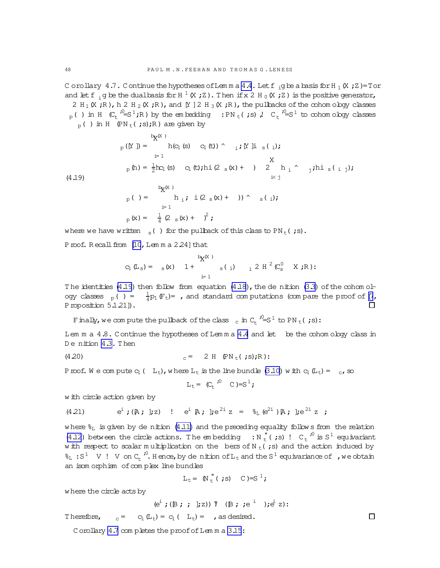C orollary 4.7. C ontinue the hypotheses of Lemma  $4.4$ . Let  $f_{ij}$  be a basis for H  $_1$  (X ; Z)=Tor and let f<sub>i</sub>g be the dualbasis for H  $^1$  (X ; Z). Then if x 2 H<sub>0</sub>(X ; Z) is the positive generator, 2 H<sub>1</sub>(X;R),h 2 H<sub>2</sub>(X;R),and [Y ] 2 H<sub>3</sub>(X;R), the pullbacks of the cohom ology classes  $_{\text{p}}$  ( ) in H  $\,$  (C  $_{\text{t}}$   $\,^{j0}\!\text{=}\mathrm{S}^{\,1}$  ;R ) by the embedding  $\,$  :PN  $_{\text{t}}$  ( ;s) ,!  $\,$  C  $_{\text{t}}$   $\,^{j0}\!\text{=}\mathrm{S}^{\,1}$  to cohom obgy classes  $p_p( )$  in H (PN  $_f( ;s);R)$  are given by

$$
P_{p}(Y_{j}) = \n\begin{cases}\n\frac{1}{2}P_{X}(X_{j}) & \text{if } P_{X}(X_{j}) \\
\frac{1}{2}P_{X_{j}}(S) & \text{if } P_{X}(S) \\
\frac{1}{2}P_{X_{j}}(S) & \text{if } P_{X}(S) \\
\frac{1}{2}P_{X_{j}}(S) & \text{if } P_{X}(S) \\
\frac{1}{2}P_{X}(S) & \text{if } P_{X}(S) \\
\frac{1}{2}P_{X}(S) & \frac{1}{2}P_{X}(S) \\
\frac{1}{2}P_{X}(S) & \frac{1}{2}P_{X}(S) \\
\frac{1}{2}P_{X}(S) & \frac{1}{2}P_{X}(S) & \frac{1}{2}P_{X}(S) \\
\frac{1}{2}P_{X}(S) & \frac{1}{2}P_{X}(S) & \frac{1}{2}P_{X}(S) & \frac{1}{2}P_{X}(S) \\
\frac{1}{2}P_{X}(S) & \frac{1}{2}P_{X}(S) & \frac{1}{2}P_{X}(S) & \frac{1}{2}P_{X}(S) & \frac{1}{2}P_{X}(S) & \frac{1}{2}P_{X}(S) & \frac{1}{2}P_{X}(S) & \frac{1}{2}P_{X}(S) & \frac{1}{2}P_{X}(S) & \frac{1}{2}P_{X}(S) & \frac{1}{2}P_{X}(S) & \frac{1}{2}P_{X}(S) & \frac{1}{2}P_{X}(S) & \frac{1}{2}P_{X}(S) & \frac{1}{2}P_{X}(S) & \frac{1}{2}P_{X}(S) & \frac{1}{2}P_{X}(S) & \frac{1}{2}P_{X}(S) & \frac{1}{2}P_{X}(S) & \frac{1}{2}P_{X}(S) & \frac{1}{2}P_{X}(S) & \frac{1}{2}P_{X}(S) & \frac{1}{2}P_{X}(S) & \frac{1}{2}P_{X}(S) & \frac{1}{2}P_{X}(S) & \frac{1}{2}P_{X}(S) & \frac{1}{
$$

where we have written  $s($  ) for the pullback of this class to PN<sub>t</sub>(;s).

Proof. Recall from [\[10](#page-63-0), Lem m a 2.24] that

$$
c_1(L_s) = \begin{array}{cc} & b_X(x) \\ s(x) & 1 + \end{array} \qquad s(j) \qquad \frac{1}{2} L^2(C_s^0 X;R):
$$

The identities (4.19) then follow from equation  $(4.18)$ , the de nition  $(3.3)$  of the cohom ology classes  $_{p}$  ( ) =  $\frac{1}{4}p_{1}(F_{t})=$  , and standard com putations (com pare the proof of [\[7](#page-63-0), Proposition 5.1.211).  $\Box$ 

Finally, we compute the pullback of the class  $\frac{1}{c}$  in C<sub>t</sub> <sup>10</sup>=S<sup>1</sup> to PN <sub>t</sub>( ;s):

Lem  $m a 4.8$ . Continue the hypotheses of Lem  $m a 4.4$  $m a 4.4$  and let be the cohom ology class in D enition [4.3.](#page-44-0) Then

(4.20) 
$$
c = 2 H (\text{PN}_{t}( ; s) ; R) :
$$

Proof. We compute  $c_1$  (  $L_t$ ), where  $L_t$  is the line bundle [\(3.10\)](#page-21-0) with  $c_1(L_t) = c_t$ , so

$$
L_t = (C_t^{j0} C) = S^1;
$$

w ith circle action given by

(4.21) 
$$
e^i
$$
; ( $\mathbb{A}$ ;  $\int z$ ) !  $e^i \mathbb{A}$ ;  $\int e^{2i} z = \mathcal{E}_L(e^{2i}) \mathbb{A}$ ;  $\int e^{2i} z$ ;

where  $\frac{1}{6}$  is given by de nition [\(4.11\)](#page-45-0) and the preceding equality follow s from the relation [\(4.12](#page-45-0)) between the circle actions. The embedding :  $N_t^{\prime\prime}$  (;s)!  $C_t^{\prime0}$  is  $S^1$  equivariant w ith respect to scalar multiplication on the bers of N<sub>t</sub>(;s) and the action induced by  $\delta_L$ : S<sup>1</sup> V ! V on C<sub>t</sub><sup>,0</sup>. Hence, by de nition of L<sub>t</sub> and the S<sup>1</sup> equivariance of , we obtain an isom orphism of complex line bundles

$$
L_t = \mathbb{N} \big( \begin{array}{cc} \n\mathbf{I} & \n\mathbf{I} & \n\mathbf{I} & \n\mathbf{I} & \n\mathbf{I} & \n\mathbf{I} & \n\mathbf{I} & \n\mathbf{I} & \n\mathbf{I} & \n\mathbf{I} & \n\mathbf{I} & \n\mathbf{I} & \n\mathbf{I} & \n\mathbf{I} & \n\mathbf{I} & \n\mathbf{I} & \n\mathbf{I} & \n\mathbf{I} & \n\mathbf{I} & \n\mathbf{I} & \n\mathbf{I} & \n\mathbf{I} & \n\mathbf{I} & \n\mathbf{I} & \n\mathbf{I} & \n\mathbf{I} & \n\mathbf{I} & \n\mathbf{I} & \n\mathbf{I} & \n\mathbf{I} & \n\mathbf{I} & \n\mathbf{I} & \n\mathbf{I} & \n\mathbf{I} & \n\mathbf{I} & \n\mathbf{I} & \n\mathbf{I} & \n\mathbf{I} & \n\mathbf{I} & \n\mathbf{I} & \n\mathbf{I} & \n\mathbf{I} & \n\mathbf{I} & \n\mathbf{I} & \n\mathbf{I} & \n\mathbf{I} & \n\mathbf{I} & \n\mathbf{I} & \n\mathbf{I} & \n\mathbf{I} & \n\mathbf{I} & \n\mathbf{I} & \n\mathbf{I} & \n\mathbf{I} & \n\mathbf{I} & \n\mathbf{I} & \n\mathbf{I} & \n\mathbf{I} & \n\mathbf{I} & \n\mathbf{I} & \n\mathbf{I} & \n\mathbf{I} & \n\mathbf{I} & \n\mathbf{I} & \n\mathbf{I} & \n\mathbf{I} & \n\mathbf{I} & \n\
$$

w here the circle acts by

(e<sup>i</sup> ;( $\mathbb{B}$ ; ; ];z))  $\mathbb{I}$  ( $\mathbb{B}$ ; ;e<sup>i</sup> ); $e^{i}$  z):

 $\Box$ 

Therefore,  $C_1(L_t) = C_1(L_t) =$ , as desired.

C orollary [4.7](#page-46-0) com pletes the proof of Lem m a [3.15](#page-27-0):

<span id="page-47-0"></span>

(4.19)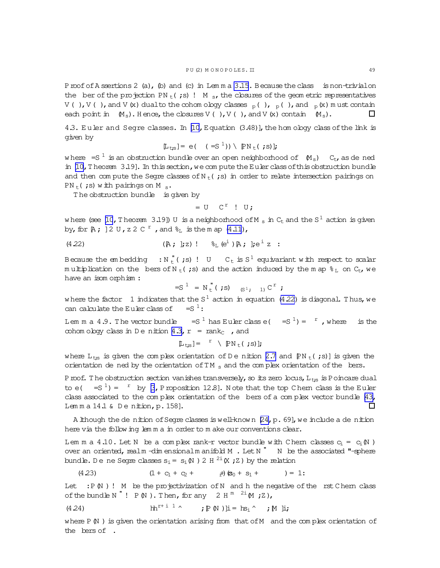<span id="page-48-0"></span>Proof of A ssertions 2 (a), (b) and (c) in Lemm a [3.15.](#page-27-0) Because the class is non-trivial on the ber of the projection PN<sub>t</sub>(;s)! M<sub>s</sub>, the closures of the geom etric representatives V( ), V( ), and V(x) dualto the cohom ology classes  $_{p}$ ( ),  $_{p}$ ( ), and  $_{p}$ (x) m ust contain each point in  $(M_s)$ . H ence, the closures V(), V(), and V(x) contain  $(M_s)$ .  $\Box$ 

4.3. Euler and Segre classes. In  $[10, E$  quation  $(3.48)$ , the hom ology class of the link is given by

$$
[\mathbb{L}_{\text{ts}}] = e(-(-S^{-1})) \setminus [\mathbb{P}\text{N}_{\text{t}}(\cdot;s)];
$$

where  $= S<sup>1</sup>$  is an obstruction bundle over an open neighborhood of  $(M<sub>s</sub>)$  C<sub>t</sub>, as de ned in  $[10, T]$  heorem 3.19]. In this section, we compute the Euler class of this obstruction bundle and then com pute the Segre classes of N<sub>t</sub>(;s) in order to relate intersection pairings on  $PN_t$  (;s) w ith pairings on M s.

T he obstruction bundle is given by

$$
= U \quad C^{r} \quad ! \quad U;
$$

where (see [\[10](#page-63-0),Theorem 3.19]) U is a neighborhood of M  $_{\rm s}$  in C<sub>t</sub> and the S  $^1$  action is given by, for  $A$ ;  $]2 \text{U}$ ,  $z \, 2 \text{C}^r$  , and  $\mathscr{E}_L$  is the m ap  $(4.11)$ ,

(4.22) 
$$
(A; j; z) !
$$
  $\xi_L(e^i) A; j; e^iz :$ 

Because the embedding  $\; : {\rm N}_{{\rm t}}^{\phantom{\dagger}}$  (;s) ! U  $\;$  C $_{{\rm t}}$  is S $^1$  equivariant with respect to scalar multiplication on the bers of N  $_{\rm t}$  (;s) and the action induced by the m ap  $\gamma_{\rm L}$  on C<sub>t</sub>, we have an isom orphism :

$$
=S^1 = N_t^{\prime\prime} ( ;s)
$$
 (s<sup>1</sup>, 1) C<sup>r</sup> ;

where the factor  $\:$  1 indicates that the S $^1$  action in equation (4.22) is diagonal. Thus, we can calculate the Euler class of  $=S^1$ :

Lem m a 4.9. The vector bundle =  $S^1$  has Euler class e( =  $S^1$ ) =  $r$ , where is the cohom ology class in D e nition [4.3,](#page-44-0)  $r = rank_C$ , and

$$
[\mathbb{L}_{\mathsf{t};\mathsf{s}}] = \mathbb{I} \setminus [\mathbb{P}\mathrm{N}_{\mathsf{t}}(\mathbf{t};\mathsf{s})];
$$

where  $L_{ts}$  is given the complex orientation of D e nition [2.7](#page-17-0) and  $\text{PN}_t(js)$  is given the orientation de ned by the orientation of  $TM_{s}$  and the complex orientation of the loers.

Proof. The obstruction section vanishes transversely, so its zero locus,  $L_{ts}$  is Poincare dual to e( =  $S^1$ ) =  $r$  by [\[3](#page-63-0), Proposition 12.8]. Note that the top C hern class is the Euler class associated to the complex orientation of the bers of a complex vector bundle  $[43]$ , Lem m a 14.1 & Denition, p. 158].  $\Box$ 

A lthough the de nition of Segre classes is well-known  $[24, p. 69]$ , we include a de nition here via the follow ing lem m a in order to m ake our conventions clear.

Lem m a 4.10. Let N be a complex rank-r vector bundle with Chern classes  $c_i = c_i(N)$ over an oriented, realm -dim ensionalm anifold M . Let N  $^{"}$  N be the associated "-sphere bundle. D e ne Segre classes  $s_i$  =  $\,s_i\,\mathbb{N}$  ) 2 H  $^{2i}\,\mathbb{K}$  ; Z ) by the relation

(4.23) 
$$
(1 + c_1 + c_2 + \t\t\t\t\t\frac{1}{2}) (s_0 + s_1 + \t\t\t\t) = 1:
$$

Let  $: P(N)$ ! M be the projectivization of N and h the negative of the rst Chern class of the bundle N  $"$  ! P  $(N)$  . Then, for any 2 H  $^m$   $^{2i}$  M ; Z ),

(4.24) 
$$
\operatorname{lh}^{r+1} \wedge \qquad ; \mathbb{P} \mathbb{N} ) \mathbb{I} = \operatorname{hs}_i \wedge \qquad ; \mathbb{M} \mathbb{I} ;
$$

where  $P(N)$  is given the orientation arising from that of M and the complex orientation of the bers of .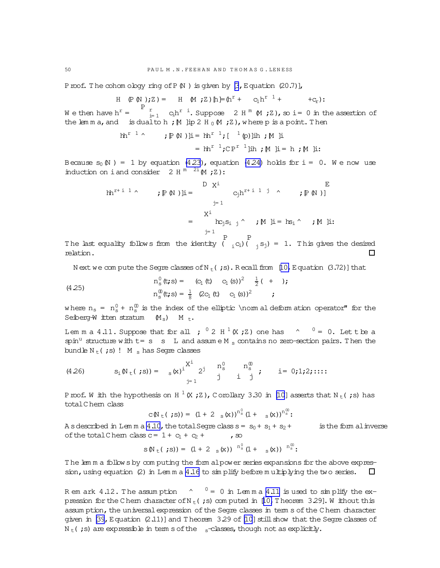Proof. The cohom ology ring of P(N) is given by  $\beta$ , Equation (20.7)],

H (P (N);Z) = H (M;Z) 
$$
[h] = (h^r + c_1h^{r-1} + c_r)
$$
:

We then have  $h^r = \begin{bmatrix} P & r \ r & r \end{bmatrix}$  $\sum_{i=1}^{r}$  c<sub>i</sub>h<sup>r i</sup>. Suppose 2 H<sup>m</sup> (M ; Z), so i = 0 in the assertion of the lem m a, and is dualto h;  $M$  ]ip 2 H  $_0$  (M ; Z), w here p is a point. Then

$$
hh^{r-1} \qquad ; \mathbb{P} \mathbb{N} )\mathbb{I} = hh^{r-1}; \left[ \begin{array}{c} 1 & \text{p} \\ \text{p} \end{array} \right]\mathbb{I}h ; \mathbb{M} \mathbb{I}
$$
\n
$$
= hh^{r-1}; CP^{r-1}\mathbb{I}h ; \mathbb{M} \mathbb{I} = h ; \mathbb{M} \mathbb{I}:
$$

Because  $s_0(N) = 1$  by equation [\(4.23\)](#page-48-0), equation [\(4.24\)](#page-48-0) holds for i = 0. We now use induction on i and consider  $2 \text{ H}^m \stackrel{2i}{\sim} (M;Z)$ :

$$
hh^{r+ i 1 \wedge} \qquad ; \mathbb{P} \mathbb{N} )\mathbb{I} = \begin{array}{c} D & X^i \\ & C_j h^{r+ i 1 j} \wedge \\ & j = 1 \end{array} ; \mathbb{P} \mathbb{N} )]
$$
\n
$$
= \begin{array}{c} X^i \\ & k_{j} S_{i j} \wedge \\ & j = 1 \end{array} ; \mathbb{M} \mathbb{I} = h s_i \wedge \qquad ; \mathbb{M} \mathbb{I} :
$$

The last equality follows from the identity ( P  $_{\rm i}$ C<sub>i</sub>) ( P  $j_j$  s<sub>j</sub>) = 1. This gives the desired relation.

N ext we com pute the Segre classes of N<sub>t</sub>(;s). R ecall from [\[10,](#page-63-0) Equation (3.72)] that

(4.25) 
$$
n_s^0(\mathbf{t}; s) = (c_1 (\mathbf{t}) c_1 (s))^2 \frac{1}{2} (+ )
$$

$$
n_s^0(\mathbf{t}; s) = \frac{1}{8} (2c_1 (\mathbf{t}) c_1 (s))^2 ;
$$

where  $n_s = n_s^0 + n_s^0$  is the index of the elliptic \norm al deform ation operator" for the Seiberg-W itten stratum  $(M_s)$  M t.

Lem m a 4.11. Suppose that for all ;  $^0$  2 H  $^1$  (X ; Z) one has  $\hskip10.5cm$  ^  $\hskip10.5cm$   $^0$  = 0. Let t be a spin<sup>u</sup> structure with  $t=s$  s L and assume M<sub>s</sub> contains no zero-section pairs. Then the bundle  $N_t$ (;s)! M s has Segre classes

(4.26) 
$$
s_i(\mathbb{N}_t(j\ s)) = s_i(\mathbb{N})^i \begin{cases} \mathbb{X}^i & n_s^0 \\ j = 1 \end{cases} \begin{cases} n_s^0 & n_s^0 \\ i & j \end{cases} \text{ i = 0;1;2;...}
$$

P roof. W ith the hypothesis on H  $^1$  (X ; Z ), C orollary 3.30 in [\[10](#page-63-0)] asserts that N  $_{\rm t}$  ( ;s) has totalC hern class  $\overline{0}$ 00

$$
C(N_{t}(s)) = (1 + 2 s(x))^{n_s^0} (1 + s(x))^{n_s^0}
$$

A s described in Lem m a [4.10](#page-48-0), the total Segre class  $s = s_0 + s_1 + s_2 +$  is the form alinverse of the total C hem class  $c = 1 + c_1 + c_2 + \cdots$ , so

$$
s(N_{t}( ; s)) = (1 + 2 s(x))^{n_s^0} (1 + s(x))^{n_s^0}.
$$

T he lem m a follow s by com puting the form alpower series expansions for the above expression, using equation  $(2)$  in Lem m a [4.16](#page-52-0) to simplify before multiplying the two series.  $\Box$ 

R em ark 4.12. The assumption  $\gamma = 0$  in Lemma 4.11 is used to simplify the ex-pression for the C hern character of N<sub>t</sub>(;s) com puted in [\[10,](#page-63-0) T heorem 3.29]. W ithout this assum ption, the universal expression of the Segre classes in term s of the C hern character given in  $[39,Eq$ uation  $(2.11)$ ] and T heorem  $3.29$  of  $[10]$  $[10]$  still show that the Segre classes of  $N_t$ (;s) are expressible in term s of the s-classes, though not as explicitly.

<span id="page-49-0"></span>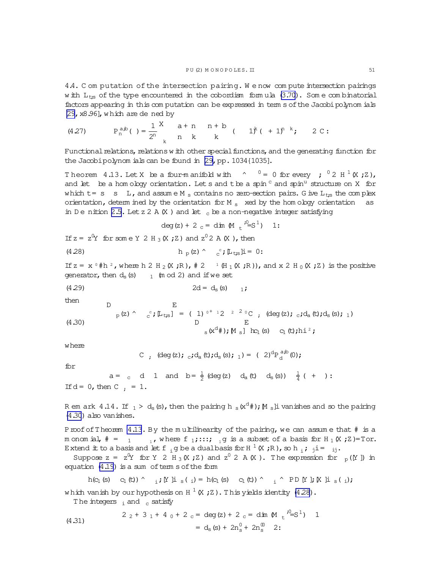<span id="page-50-0"></span>4.4. C om putation of the intersection pairing. W e now com pute intersection pairings w ith  $L_{\text{t,s}}$  of the type encountered in the cobordism formula  $(3.70)$ . Some combinatorial factors appearing in this com putation can be expressed in term s of the Jacobi polynom ials  $[29, x8.96]$  $[29, x8.96]$ , which are dened by

(4.27) 
$$
P_n^{a,b}(\ ) = \frac{1}{2^n} \begin{cases} x & a+n \\ n & k \end{cases} \begin{cases} n+b \\ k & (1)^k (1)^{n-k}; \\ 2C: \end{cases}
$$

Functional relations, relations w ith other special functions, and the generating function for the Jacobipolynom ials can be found in [\[29,](#page-63-0) pp. 1034{1035].

Theorem 4.13. Let X be a four-manifold with  $\gamma$   $^0$  = 0 for every ;  $^0$  2 H  $^1$  (X;Z), and let be a hom ology orientation. Let s and the a spin  $\text{c}$  and spin<sup>u</sup> structure on X for which  $t = s$  s L, and assume M<sub>s</sub> contains no zero-section pairs. G ive L<sub>ts</sub> the complex orientation, determ ined by the orientation for M  $_{\rm s}$  xed by the hom ology orientation as in D e nition [2.5.](#page-14-0) Let z 2 A  $(X)$  and let c be a non-negative integer satisfying

$$
deg(z) + 2_c = dim M_i^2 = S^1
$$
 1:

If  $z = z^0 Y$  for some Y 2 H<sub>3</sub> (X ; Z) and  $z^0 2$  A (X ), then

(4.28) 
$$
h_p(z) \wedge c^p \mathbb{L}_{\text{ts}} \mathbb{I} = 0:
$$

E

If  $z = x^0$  #h <sup>2</sup>, where h 2 H <sub>2</sub> (X ;R),  $\# 2^{-1}$  (H<sub>1</sub> (X ;R)), and x 2 H<sub>0</sub> (X ;Z) is the positive generator, then  $d_s(s)$  1 (m od 2) and if we set

$$
(4.29) \t\t 2d = d_s (s) \t 1;
$$

then

 $\Gamma$ 

(4.30) 
$$
{}_{p}(z) \wedge {}_{c}^{c}; \mathbb{L}_{t;s}] = (1)^{0^{+}+2} {}_{2}^{2} {}_{0}^{2}C ; \text{ (deg}(z); {}_{c}; d_{a}(t); d_{s}(s); 1)
$$

$$
{}_{s}(x^{d}); \mathbb{M}_{s}] \log |s|
$$

$$
{}_{s}(x^{d}); \mathbb{M}_{s}] \log |s|
$$

where

C, 
$$
(\deg(z))
$$
;  $_{c}$ ;  $d_{a}(t)$ ;  $d_{s}(s)$ ;  $_{1}$ ) = (2)<sup>d</sup>P<sub>d</sub><sup>a,b</sup>(0);

for

$$
a = c \quad d \quad 1 \quad \text{and} \quad b = \frac{1}{2} \text{ (deg (z)} \quad d_a(t) \quad d_s(s)) \quad \frac{1}{4} \text{ ( + ) :}
$$
\nIf  $d = 0$ , then C  $\frac{1}{2} = 1$ .

R em ark  $4.14$ . If  $_1 >$  d $_{\rm s}$  (s), then the pairing h  $_{\rm s}$  (x<sup>d</sup>#); [M  $_{\rm s}$ ]i vanishes and so the pairing (4.30) also vanishes.

Proof of Theorem 4.13. By the multilinearity of the pairing, we can assume that # is a m onom ial,  $\# = 1$ , where f 1;:::; 1 g is a subset of a basis for H  $_1$  (X; Z)=Tor. Extend it to a basis and let f  $_{i}$  g be a dual basis for H  $^{1}$  (X ;R), so h  $_{i}$ ;  $_{j}$  i =  $_{ij}$ .

Suppose  $z = z^0 Y$  for  $Y = 2H_3(X; Z)$  and  $z^0 = 2A(X)$ . The expression for  $p([Y])$  in equation  $(4.19)$  is a sum of term s of the form

$$
h(c_1(s) \quad c_1(t)) \qquad \text{if } \text{I} \text{ is } (i) = h(c_1(s) \quad c_1(t)) \qquad \text{if } \text{P} \text{ is } (i);
$$
\n
$$
h(c_1(s) \quad c_1(t)) \qquad \text{if } \text{I} \text{ is } (i);
$$
\n
$$
h(c_1(s) \quad c_1(t)) \qquad \text{if } \text{I} \text{ is } (i) = (c_1(c) \quad c_1(t)) \qquad \text{if } \text{I} \text{ is } (i) = (c_1(c) \quad c_1(t)) \qquad \text{if } \text{I} \text{ is } (i) = (c_1(c) \quad c_1(t)) \qquad \text{if } \text{I} \text{ is } (i) = (c_1(c) \quad c_1(t)) \qquad \text{if } \text{I} \text{ is } (i) = (c_1(c) \quad c_1(t)) \qquad \text{if } \text{I} \text{ is } (i) = (c_1(c) \quad c_1(t)) \qquad \text{if } \text{I} \text{ is } (i) = (c_1(c) \quad c_1(t)) \qquad \text{if } \text{I} \text{ is } (i) = (c_1(c) \quad c_1(t)) \qquad \text{if } \text{I} \text{ is } (i) = (c_1(c) \quad c_1(t)) \qquad \text{if } \text{I} \text{ is } (i) = (c_1(c) \quad c_1(t)) \qquad \text{if } \text{I} \text{ is } (i) = (c_1(c) \quad c_1(t)) \qquad \text{if } \text{I} \text{ is } (i) = (c_1(c) \quad c_1(t)) \qquad \text{if } \text{I} \text{ is } (i) = (c_1(c) \quad c_1(t)) \qquad \text{if } \text{I} \text{ is } (i) = (c_1(c) \quad c_1(t)) \qquad \text{if } \text{I} \text{ is } (i) = (c_1(c) \quad c_1(t)) \qquad \text{if } \text{I} \text{ is } (i) = (c_1(c) \quad c_1(t)) \qquad \text{if } \text{I} \text{ is } (i) = (c_1(c) \quad c_1(t)) \qquad \text{if } \text{I} \text{ is } (i) = (c_1(c)
$$

The integers  $\frac{1}{1}$  and  $\frac{1}{2}$  satisfy

(4.31) 
$$
2 \t2 + 3 \t1 + 4 \t0 + 2 \t c = \deg(z) + 2 \t c = \dim \text{M } t \t^{\frac{30}{2}} = S^1) \t1 = d_S(s) + 2n_S^0 + 2n_S^0 \t2:
$$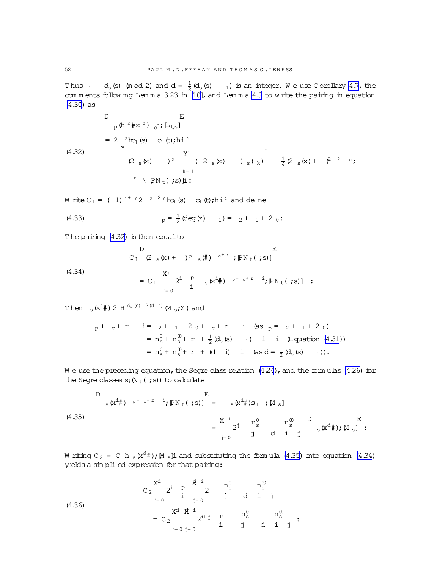Thus  $_1$  d<sub>s</sub> (s) (m od 2) and  $d = \frac{1}{2}(d_s(s) - 1)$  is an integer. We use Corollary 4.7, the comments following Lemma 3.23 in [10], and Lemma 4.9 to write the pairing in equation  $(4.30)$  as

 $(4.32)$ 

 $\mathbb D$ 

$$
p(h^{2} \# x^{0}) \, e^{t} \, \mathbb{L}_{\{ts\}}
$$
\n
$$
= 2 \, {}_{\star}^{2} \text{hc}_{1} \text{ (s)} \, {}_{C_{1}} \text{ (t)} \, \text{hi}^{2}
$$
\n
$$
(\frac{Y^{1}}{2 \, s(x)} \, ) \, s(k) \, \frac{1}{4} (\frac{2}{2} \, s(x) + \frac{2}{7} \, 0 \, c_{\text{ (s)}} \, \text{K}_{\{ts\}})
$$
\n
$$
k = 1
$$
\n
$$
r \, \mathbb{P}_{N} \, t \, (s) \, \mathbb{I}:
$$

W rite C<sub>1</sub> = (1)<sup>1+</sup> 02<sup>2</sup>  $^{2}$  0k<sub>c<sub>1</sub></sub>(s) c<sub>1</sub>(t);hi<sup>2</sup> and de ne

(4.33) 
$$
p = \frac{1}{2} (\deg(z) - 1) = 2 + 1 + 2 0:
$$

 $\overline{E}$ 

The pairing (4.32) is then equal to

D E  
C<sub>1</sub> (2<sub>s</sub>(x) + )<sup>p</sup> <sub>s</sub>(#) 
$$
e^{+x}
$$
;  $PN_t$ (;s)]

 $(4.34)$ 

$$
= C_1 \sum_{i=0}^{X^p} 2^i \frac{P}{i} s(X^{i} \#) P^{+ c+r} i; P N_t ( ; s) ] :
$$

Then  $_S(x^{i}$  + 2 H  $d_S(s)$  2(d i)  $\mathbb{M}$   $_S$  ; Z) and

$$
p + c + r \quad i = 2 + 1 + 2 + 2 + 2 + 1 + 2 + 1 + 2 + 1 + 2 + 1 + 2 + 1 + 2 + 1 + 2 + 1 + 2 + 1 + 2 + 1 + 2 + 1 + 2 + 1 + 2 + 1 + 2 + 1 + 2 + 1 + 2 + 1 + 2 + 1 + 2 + 1 + 2 + 1 + 2 + 1 + 2 + 1 + 2 + 1 + 2 + 1 + 2 + 1 + 2 + 1 + 2 + 1 + 2 + 1 + 2 + 1 + 2 + 1 + 2 + 1 + 2 + 1 + 2 + 1 + 2 + 1 + 2 + 1 + 2 + 1 + 2 + 1 + 2 + 1 + 2 + 1 + 2 + 1 + 2 + 1 + 2 + 1 + 2 + 1 + 2 + 1 + 2 + 1 + 2 + 1 + 2 + 1 + 2 + 1 + 2 + 1 + 2 + 1 + 2 + 1 + 2 + 1 + 2 + 1 + 2 + 1 + 2 + 1 + 2 + 1 + 2 + 1 + 2 + 1 + 2 + 1 + 2 + 1 + 2 + 1 + 2 + 1 + 2 + 1 + 2 + 1 + 2 + 1 + 2 + 1 + 2 + 1 + 2 + 1 + 2 + 1 + 2 + 1 + 2 + 1 + 2 + 1 + 2 + 1 + 2 + 1 + 2 + 1 + 2 + 1 + 2 + 1 + 2 + 1 + 2 + 1 + 2 + 1 + 2 + 1 + 2 + 1 + 2 + 1 + 2 + 1 + 2 + 1 + 2 + 1 + 2 + 1 + 2 + 1 + 2 + 1 + 2 + 1 + 2 + 1 + 2 + 1 + 2 + 1 + 2 + 1 + 2 + 1 + 2 + 1 + 2 + 1 + 2 + 1 + 2 + 1 + 2 + 1 + 2 + 1 + 2 + 1 + 2 + 1 + 2 + 1 + 2 + 1 + 2 + 1 + 2 + 1 + 2 + 1 + 2 + 1 + 2 + 1 + 2 + 1 + 2 + 1 + 2 + 1 + 2 + 1 + 2 + 1 + 2 + 1 + 2 + 1 + 2 + 1 + 2 + 1 + 2 + 1 + 2 + 1 + 2 + 1 + 2 + 1 + 2 + 1 + 2 + 1 +
$$

We use the preceding equation, the Segre class relation (4.24), and the formulas (4.26) for the Segre classes  $s_i(N_t(js))$  to calculate

$$
\begin{array}{ccc}\nD & E \\
\text{s}(x^{i} \#) & P^{+c+T} & i \# \text{PN}_{t}(x^{i} s)\n\end{array} = \n\begin{array}{ccc}\nE & & \\
\text{s}(x^{i} \#)S_{d} & i \# S_{d} \\
\text{S}(x^{i} \#) & \text{SN}_{s} \\
\text{S}(x^{i} \#) & \text{SN}_{s} \\
\text{S}(x^{i} \#) & \text{SN}_{s} \\
\text{S}(x^{i} \#) & \text{SN}_{s} \\
\text{S}(x^{i} \#) & \text{SN}_{s} \\
\text{S}(x^{i} \#) & \text{SN}_{s} \\
\text{S}(x^{i} \#) & \text{SN}_{s} \\
\text{S}(x^{i} \#) & \text{SN}_{s} \\
\text{S}(x^{i} \#) & \text{SN}_{s} \\
\text{S}(x^{i} \#) & \text{SN}_{s} \\
\text{S}(x^{i} \#) & \text{SN}_{s} \\
\text{S}(x^{i} \#) & \text{SN}_{s} \\
\text{S}(x^{i} \#) & \text{SN}_{s} \\
\text{S}(x^{i} \#) & \text{SN}_{s} \\
\text{S}(x^{i} \#) & \text{SN}_{s} \\
\text{S}(x^{i} \#) & \text{SN}_{s} \\
\text{S}(x^{i} \#) & \text{SN}_{s} \\
\text{S}(x^{i} \#) & \text{SN}_{s} \\
\text{S}(x^{i} \#) & \text{SN}_{s} \\
\text{S}(x^{i} \#) & \text{SN}_{s} \\
\text{S}(x^{i} \#) & \text{SN}_{s} \\
\text{S}(x^{i} \#) & \text{SN}_{s} \\
\text{S}(x^{i} \#) & \text{SN}_{s} \\
\text{S}(x^{i} \#) & \text{SN}_{s} \\
\text{S}(x^{i} \#) & \text{SN}_{s} \\
\text{S}(x^{i} \#) & \text{SN}_{s} \\
\text{S}(x^{i} \#) & \text{SN}_{s} \\
\text{S}(x^{i} \#) & \text{SN}_{s} \\
\text{S}(x^{i} \#) & \text{SN}_{s} \\
\text{S}(x^{i} \#) & \text{SN}_{s} \\
\text{S}(x^{i} \#) & \text{SN}_{s} \\
\text{S}(x^{i} \#) & \text{
$$

W riting  $C_2 = C_1 h_s(x^d)$ ; M s li and substituting the formula (4.35) into equation (4.34) yields a simplied expression for that pairing:

(4.36)  
\n
$$
C_2 \xrightarrow{i} P \xrightarrow{j} P \xrightarrow{j} n_S^0 \trightarrow{n_S^0}
$$
\n
$$
= C_2 \xrightarrow{j=0} P \xrightarrow{j=0} P \xrightarrow{j=0} n_S^0
$$
\n
$$
= C_2 \xrightarrow{j=0} P \xrightarrow{j=0} P \xrightarrow{j=0} d \xrightarrow{j} d \xrightarrow{j}
$$

<span id="page-51-0"></span>52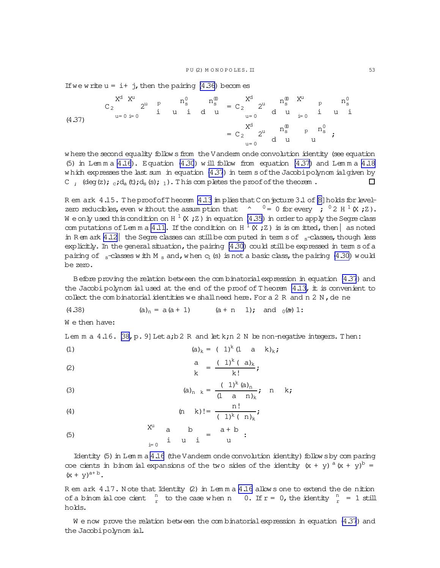<span id="page-52-0"></span>If we write  $u = i + j$ , then the pairing (4.36) becomes

where the second equality follows from the Vanderm onde convolution identity (see equation (5) in Lemma  $4.16$ ). Equation (4.30) will follow from equation (4.37) and Lemma  $4.18$ which expresses the last sum in equation (4.37) in term s of the Jacobipolynom ialgiven by C :  $(\text{deg}(z))$ ;  $\text{d}_a(t)$ ; $d_a(s)$ ; 1). This completes the proof of the theorem.  $\Box$ 

R em ark 4.15. The proof of Theorem 4.13 in plies that C on jecture 3.1 of [8] holds for levelzero reducibles, even without the assumption that  $\sim 0 = 0$  for every ;  $0 \times 2$  H  $^1$  (X; Z). We only used this condition on H  $^1$  (X; Z) in equation (4.35) in order to apply the Segre class computations of Lemma 4.11. If the condition on H  $^1$  (X ; Z) is is omitted, then as noted in Rem ark 4.12 the Segre classes can still be computed in term s of  $\frac{1}{2}$  classes, though less  $\exp$ licitly. In the general situation, the pairing (4.30)  $\cot A$  still be expressed in term s of a pairing of  $_{s}$ -classes with M<sub>s</sub> and, when  $c_{1}$  (s) is not a basic class, the pairing (4.30) would be zero.

Before proving the relation between the combinatorial expression in equation (4.37) and the Jacobi polynom ial used at the end of the proof of Theorem  $4.13$ , it is convenient to collect the combinatorial identities we shall need here. For a 2 R and n 2 N, de ne

(4.38) 
$$
(a)_n = a(a+1)
$$
  $(a+n 1)$ ; and  $0(a+1)$ :

We then have:

Lem m a  $4.16$ .  $[38, p. 9]$  Let a; b 2 R and let k; n 2 N be non-negative integers. Then:

(1) 
$$
(a)_k = (1)^k (1 \ a \ k)_k;
$$
  
a  $(1)^k (a)_k$ 

$$
\frac{d}{k} = \frac{(\bot) (\bot)_{k}}{k!}
$$

(3) 
$$
(a)_{n k} = \frac{(1)^{k} (a)_{n}}{(1 - a n)_{k}}; n k;
$$

(4) 
$$
(n \ k)! = \frac{n!}{(1)^k (n)_k}
$$
;

 $5.711$ 

Identity (5) in Lemma 4.16 (the Vanderm onde convolution identity) follows by comparing coe cients in binom ial expansions of the two sides of the identity  $(x + y)$ <sup>a</sup> $(x + y)$ <sup>b</sup> =  $(x + y)^{a+b}$ .

R em ark 4.17. Note that Identity (2) in Lemma 4.16 allows one to extend the de nition of a binomial coe cient  $\frac{n}{r}$  to the case when n 0. If  $r = 0$ , the identity  $\frac{n}{r} = 1$  still holds.

We now prove the relation between the combinatorial expression in equation  $(4.37)$  and the Jacobipolynom ial.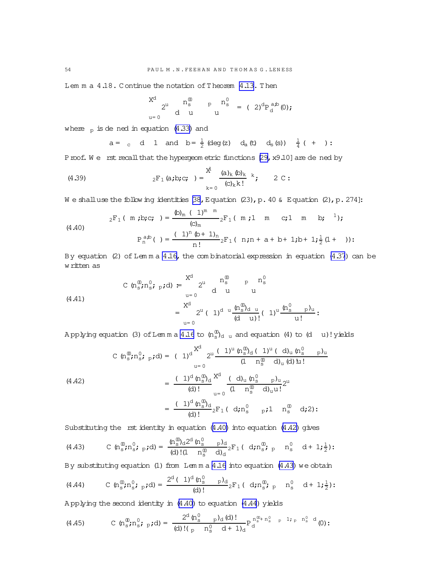<span id="page-53-0"></span>Lem m a 4.18. Continue the notation of Theorem [4.13.](#page-50-0) Then

$$
\begin{array}{ccc} X^{d} & n_{s}^{0} & p_{s}^{0} \\ a^{u} & d & u \end{array} \qquad p \begin{array}{ccc} n_{s}^{0} & p & (2)^{d} P_{d}^{a,b} (0); \\ a & b & d \end{array}
$$

where  $_p$  is de ned in equation [\(4.33\)](#page-51-0) and

$$
a = c \quad d \quad 1 \quad \text{and} \quad b = \frac{1}{2} \text{ (deg (z)} \quad d_a \text{ (t)} \quad d_s \text{ (s)} \quad \frac{1}{4} \text{ ( + ) :}
$$

Proof. We rstrecall that the hypergeom etric functions [\[29,](#page-63-0) x9.10] are de ned by

(4.39) 
$$
{}_{2}F_{1}(a;b;c; ) = \sum_{k=0}^{x^{2}} \frac{(a)_{k}(b)_{k}}{(c)_{k}k!} k; \qquad 2 C:
$$

W e shalluse the follow ing identities [\[38,](#page-64-0) Equation (23), p. 40 & Equation (2), p. 274]:

(4.40) 
$$
{}_{2}F_{1}(\mathbf{m};\mathbf{b};\mathbf{c};\mathbf{r}) = \frac{\left(\mathbf{b}\right)_{m} \left(\frac{1}{m}\right)^{m} \mathbf{m}}{\left(\mathbf{c}\right)_{m}} {}_{2}F_{1}(\mathbf{m};\mathbf{1} \mathbf{m};\mathbf{c};\mathbf{1} \mathbf{m};\mathbf{b};\mathbf{r}) ;
$$
\n
$$
P_{n}^{a,b}(\mathbf{r}) = \frac{\left(\frac{1}{m}\right)_{n} \mathbf{b} + \mathbf{1}_{n}}{\mathbf{a}!} {}_{2}F_{1}(\mathbf{n};\mathbf{n} + \mathbf{a} + \mathbf{b} + \mathbf{1};\mathbf{b} + \mathbf{1};\mathbf{b} + \mathbf{1};\mathbf{b} + \mathbf{1};\mathbf{b} + \mathbf{1};\mathbf{b} + \mathbf{1};\mathbf{b} + \mathbf{1};\mathbf{b} + \mathbf{1};\mathbf{b} + \mathbf{1};\mathbf{b} + \mathbf{1};\mathbf{b} + \mathbf{1};\mathbf{b} + \mathbf{1};\mathbf{b} + \mathbf{1};\mathbf{b} + \mathbf{1};\mathbf{b} + \mathbf{1};\mathbf{b} + \mathbf{1};\mathbf{b} + \mathbf{1};\mathbf{b} + \mathbf{1};\mathbf{b} + \mathbf{1};\mathbf{b} + \mathbf{1};\mathbf{b} + \mathbf{1};\mathbf{b} + \mathbf{1};\mathbf{b} + \mathbf{1};\mathbf{b} + \mathbf{1};\mathbf{b} + \mathbf{1};\mathbf{b} + \mathbf{1};\mathbf{b} + \mathbf{1};\mathbf{b} + \mathbf{1};\mathbf{b} + \mathbf{1};\mathbf{b} + \mathbf{1};\mathbf{b} + \mathbf{1};\mathbf{b} + \mathbf{1};\mathbf{b} + \mathbf{1};\mathbf{b} + \mathbf{1};\mathbf{b} + \mathbf{1};\mathbf{b} + \mathbf{1};\mathbf{b} + \mathbf{1};\mathbf{b} + \mathbf{1};\mathbf{b} + \mathbf{1};\mathbf{b} + \mathbf{1};\mathbf{b
$$

By equation (2) of Lem m a  $4.16$ , the com binatorial expression in equation [\(4.37](#page-52-0)) can be w ritten as

(4.41) 
$$
C \t n_s^{\mathbf{0}}; n_s^{\mathbf{0}}; p; d) = \begin{cases} X^d & n_s^{\mathbf{0}} & p n_s^{\mathbf{0}} \\ d & u & u \end{cases}
$$

$$
= \begin{cases} X^d & \text{if } n_s^{\mathbf{0}} & p n_s^{\mathbf{0}} \\ 2^u & (1)^d \cdot \frac{(n_s^{\mathbf{0}})^d u}{(d - u)!} & (1)^u \cdot \frac{(n_s^{\mathbf{0}})^d u}{u!}; \end{cases}
$$

Applying equation (3) of Lemma [4.16](#page-52-0) to  $\mathfrak{(n_g^0)}_{\rm d-u}$  and equation (4) to (d  $\;$  u)!yields

$$
(4.42) \quad\n C \quad (n_s^{\omega}, n_s^0; p \, \mathrm{d}) = (1)^{d} \sum_{u=0}^{X^d} 2^u \frac{(1)^u (n_s^{\omega})_d (1)^u (d)_u (n_s^0 - p)_u}{(1 - n_s^{\omega})_d (d) u!} \\
= \frac{(1)^d (n_s^{\omega})_d}{(d)!} \sum_{u=0}^{X^d} \frac{(d)_u (n_s^0 - p)_u}{(1 - n_s^{\omega})_d (d) u!} 2^u \\
= \frac{(1)^d (n_s^{\omega})_d}{(d)!} {}_2F_1 (d; n_s^0 - p; 1 - n_s^{\omega})_d (d; 2) :
$$

Substituting the rst identity in equation  $(4.40)$  into equation  $(4.42)$  gives

(4.43) C 
$$
(n_s^{\text{m}}; n_s^{\text{0}}; p_s; d) = \frac{(n_s^{\text{m}})^{d} 2^d (n_s^{\text{0}} - p) d}{(d)!(1 - n_s^{\text{m}} - d)_d} 2F_1 (d; n_s^{\text{m}}; p - n_s^{\text{0}} - d + 1; \frac{1}{2})
$$

By substituting equation (1) from Lem m a [4.16](#page-52-0) into equation (4.43) we obtain

(4.44) C 
$$
(n_s^{\text{m}}; n_s^{\text{0}}; p_s; d) = \frac{2^d (1)^d (n_s^{\text{0}} - p)_d}{(d)!} {}_2F_1 (d; n_s^{\text{m}}; p_n^{\text{0}} + n_s^{\text{0}} + 1; \frac{1}{2})
$$
:

A pplying the second identity in (4.40) to equation (4.44) yields

(4.45) 
$$
C \left( n_s^{\mathfrak{D}} \mathbf{i} n_s^{\mathfrak{D}} \mathbf{i} \right) = \frac{2^d \left( n_s^{\mathfrak{D}} - p_d \right) d \left( d \right)!}{(d) \left( \left( p - n_s^{\mathfrak{D}} - d + 1 \right) d} P_d^{\mathfrak{D}_s^{\mathfrak{D}} + \mathfrak{D}_s^{\mathfrak{D}} - 1} i \right) P_s^{\mathfrak{D}_s^{\mathfrak{D}} - 1}.
$$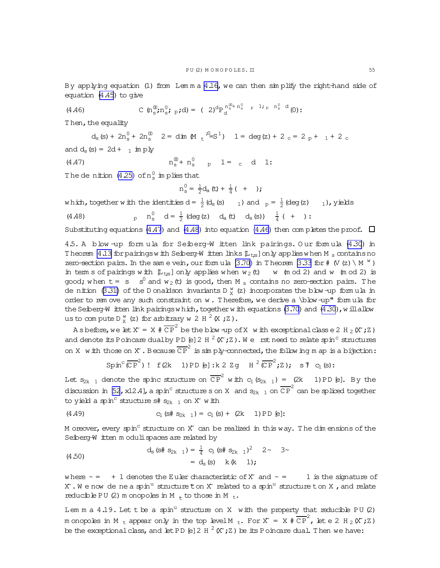<span id="page-54-0"></span>By applying equation (1) from Lem m a [4.16,](#page-52-0) we can then sim plify the right-hand side of equation [\(4.45\)](#page-53-0) to give

(4.46) 
$$
C \left( n_s^{\mathfrak{D}} ; n_s^{\mathfrak{O}} ; p ; d \right) = (2)^d P_d^{n_s^{\mathfrak{D}} + n_s^{\mathfrak{O}} - p^{-1} i_p n_s^{\mathfrak{O}} - d} (0) :
$$

Then, the equality

 $d_s(s) + 2n_s^0 + 2n_s^0$   $2 = \dim M_t^3 - s^1$   $1 = \deg(z) + 2c = 2p + 1 + 2c$ and  $d_s(s) = 2d + 1$  im ply 00

(4.47) 
$$
n_s^0 + n_s^0
$$
 p 1 = c d 1:

The denition  $(4.25)$  of  $n_s^0$  implies that

 $n_s^0 = \frac{1}{2}$  $\frac{1}{2}d_{a}(t) + \frac{1}{4}(t)$ 

which, together with the identities d =  $\frac{1}{2}$  $\frac{1}{2}$  (d<sub>s</sub> (s)  $\qquad$  1) and  $\qquad$   $_p = \frac{1}{2}$  $\frac{1}{2}$  (deg (z)  $\qquad$  1), yields  $p \quad n_s^0 \quad d = \frac{1}{2}$ (4.48)  $p \quad n_s^0 \quad d = \frac{1}{2}$  (deg (z)  $d_a(t) \quad d_s(s)$ )  $\frac{1}{4}$  ( + ):

Substituting equations (4.47) and (4.48) into equation (4.46) then com pletes the proof.  $\Box$ 

4.5. A blow -up form ula for Seiberg-W itten link pairings. O ur form ula [\(4.30](#page-50-0)) in T heorem [4.13](#page-50-0) for pairings w ith Seiberg-W itten links  $[L_{ts}]$  only applies when M s contains no zero-section pairs. In the same vein, our formula  $(3.70)$  in Theorem [3.33](#page-40-0) for #  $(V (z) \setminus M W)$ in term s of pairings with  $[L_{t:s}]$  only applies when  $w_2(t)$  w (m od 2) and w (m od 2) is good; when  $t = s - s^0$  and  $w_2(t)$  is good, then M  $_s$  contains no zero-section pairs. The de nition [\(3.31\)](#page-30-0) of the D onaldson invariants D  $\frac{w}{X}$  (z) incorporates the blow-up formula in order to rem ove any such constraint on  $w$ . Therefore, we derive a  $\bb{D}$  blow -up" form ula for the Seiberg-W itten link pairings w hich, together w ith equations  $(3.70)$  and  $(4.30)$ , w illallow us to compute D  $^w_X$  (z) for arbitrary w 2 H  $^2$  (X ; Z).

A s before, we let  $X = X \# \overline{CP}^2$  be the blow-up of X with exceptional classe 2 H<sub>2</sub> (X; Z) and denote its Poincare dualby PD [e] 2 H  $^2$  (X ; Z ). W e rst need to relate spin<sup>c</sup> structures on X with those on X . Because  $\overline{CP}^2$  is simply-connected, the follow ing m ap is a bijection:

 $\text{Spin}^c(\overline{\mathbb{CP}}^2)$  !  $f(2k)$  1)PD [e]: $k$  2 Zg H  $^2(\overline{\mathbb{CP}}^2;Z)$ ; s  $\overline{Y}$  C<sub>1</sub>(s):

Let  $s_{2k-1}$  denote the spinc structure on  $\overline{CP}^2$  with  $c_1(s_{2k-1}) = (2k-1)$  PD [e]. By the discussion in [\[52](#page-64-0), x12.4], a spin<sup>c</sup> structure s on X and  $s_{2k-1}$  on  $\overline{\text{CP}}^2$  can be spliced together to yield a spin<sup>c</sup> structure s#  $s_{2k-1}$  on X° w ith

(4.49) 
$$
C_1 (s \# s_{2k-1}) = C_1 (s) + (2k-1) \text{PD} [e]:
$$

M oreover, every spin<sup>c</sup> structure on X~ can be realized in this way. The dim ensions of the Seiberg-W itten m oduli spaces are related by

(4.50) 
$$
d_s (s \# s_{2k-1}) = \frac{1}{4} c_1 (s \# s_{2k-1})^2 \quad 2 \sim \quad 3 \sim = d_s (s) \quad k (k-1);
$$

where  $\sim$  = + 1 denotes the Euler characteristic of X° and  $\sim$  = 1 is the signature of  $X^{\cdot}$  . We now de neaspin<sup>u</sup> structure  $\mathfrak k$  on  $X^{\cdot}$  related to a spin<sup>u</sup> structure ton X , and relate reducible PU (2) m onopoles in M  $_{*}$  to those in M  $_{t}$ .

Lem m a  $4.19$ . Let t be a spin<sup>u</sup> structure on X with the property that reducible PU (2) m onopoles in M  $_{\rm t}$  appear only in the top level M  $_{\rm t}$ . For X = X  $\#\overline{\text{CP}}^2$ , let e 2 H  $_{\rm 2}$  (X ; Z ) be the exceptional class, and let PD [e] 2 H  $^2$  (X^; Z) be its Poincare dual. Then we have: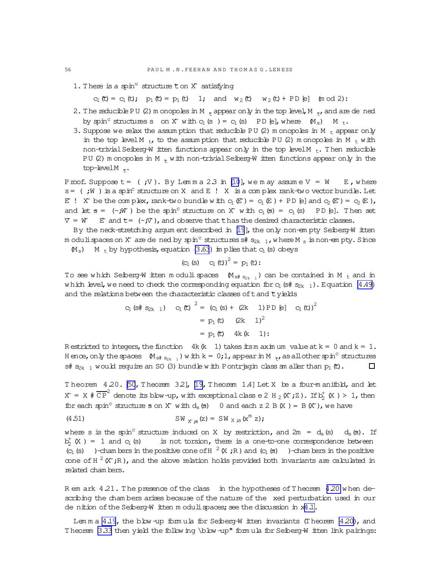1. There is a spin<sup>u</sup> structure  $t$  on  $X^*$  satisfying

 $c_1(t) = c_1(t); p_1(t) = p_1(t) 1; and w_2(t) w_2(t) + PD [e] (mod 2):$ 

- 2. The reducible PU (2) m onopoles in M  $_{+}$  appear only in the top level, M  $_{+}$ , and are de ned by spin<sup>c</sup> structures s on X° with  $c_1$  (s) =  $c_1$  (s) PD [e], where  $(M_s)$  M<sub>t</sub>.
- 3. Suppose we relax the assum ption that reducible PU (2) m onopoles in M  $_{t}$  appear only in the top level M  $_{tr}$  to the assumption that reducible PU (2) m onopoles in M  $_{tr}$  with non-trivial Seiberg-W itten functions appear only in the top level M  $_t$ . Then reducible PU (2) m onopoles in M  $_{+}$  with non-trivial Seiberg-W itten functions appear only in the top-level  $M_{*}$ .

Proof. Suppose  $t =$  (;V). By Lemma 2.3 in [\[10](#page-63-0)], we may assume  $V = W$  E, where  $s=$  (;W) is a spin<sup>c</sup> structure on X and E ! X is a complex rank-two vector bundle. Let E<sup> $\cdot$ </sup> ! X<sup> $\cdot$ </sup> be the complex, rank-two bundle w ith  $c_1(E) = c_1(E) + PD [e]$  and  $c_2(E') = c_2(E)$ , and let  $s = (\sim jW)$  be the spin<sup>c</sup> structure on X° w ith  $c_1(s) = c_1(s)$  PD [e]. Then set  $V = W$  E and  $t = (\sim jV)$ , and observe that thas the desired characteristic classes.

By the neck-stretching argum ent described in [\[19](#page-63-0)], the only non-em pty Seiberg-W itten m odulispaces on X° are de ned by spin<sup>c</sup> structures s#  $s_{2k-1}$ , w here M s is non-em pty. Since  $(M<sub>s</sub>)$  M t by hypothesis, equation [\(3.63](#page-40-0)) im plies that  $c<sub>1</sub>$  (s) obeys

(c<sub>1</sub> (s) 
$$
c_1(t)
$$
)<sup>2</sup> =  $p_1(t)$ :

To see which Seiberg-W itten modulispaces  $(M_{s# S_{2k-1}})$  can be contained in M  $_t$  and in w hich level, we need to check the corresponding equation for  $c_1$  (s#  $s_{2k-1}$ ). Equation [\(4.49\)](#page-54-0) and the relations between the characteristic classes of  $t$  and  $t$  yields

$$
C_1 (s \# s_{2k - 1}) \quad C_1 (t) \Big|^2 = (C_1 (s) + (2k - 1) \text{PD} [e] \quad C_1 (t))^2
$$
  
=  $p_1 (t) (2k - 1)^2$   
=  $p_1 (t) 4k (k - 1)$ :

R estricted to integers, the function 4k  $(k 1)$  takes itsm axim um value at  $k = 0$  and  $k = 1$ . H ence, only the spaces  $(M_{s\# s_{2k-1}})$  w ith k = 0;1, appear in M  $_{r}$ , as all other spin<sup>c</sup> structures s#  $s_{2k-1}$  would require an SO (3) bundle with Pontrjagin class sm aller than  $p_1(t)$ .  $\Box$ 

Theorem  $4.20$ . [\[50](#page-64-0), Theorem 3.2], [\[19,](#page-63-0) Theorem 1.4] Let X be a four-m anifold, and let  $X = X \# \overline{CP}^2$  denote its blow-up, with exceptional class e 2 H <sub>2</sub> (X ; Z ). If  $b_2^+$  (X ) > 1, then for each spin<sup>c</sup> structure s on X° with  $d_s$  (s) 0 and each z 2 B(X) = B(X°), we have

(4.51) 
$$
SW_{X, \mathfrak{B}}(z) = SW_{X, \mathfrak{B}}(x^m z);
$$

where s is the spin<sup>c</sup> structure induced on X by restriction, and  $2m = d_s(s) - d_s(s)$ . If  $b_2^+$ is not torsion, there is a one-to-one correspondence between  $\overline{C_1}$  (s) )-cham bers in the positive cone of H<sup>2</sup> (X;R) and  $\overline{C_1}$  (s) )-cham bers in the positive cone of H  $^2$  (X°;R), and the above relation holds provided both invariants are calculated in related cham bers.

R em ark 4.21. The presence of the class in the hypotheses of Theorem 4.20 when describing the cham bers arises because of the nature of the xed perturbation used in our de nition of the Seiberg-W itten m oduli spaces; see the discussion in  $x4.1$ .

Lem m a [4.19](#page-54-0), the blow -up form ula for Seiberg-W itten invariants (Theorem  $4.20$ ), and Theorem [3.33](#page-40-0) then yield the follow ing \blow -up" form ula for Seiberg-W itten link pairings:

<span id="page-55-0"></span>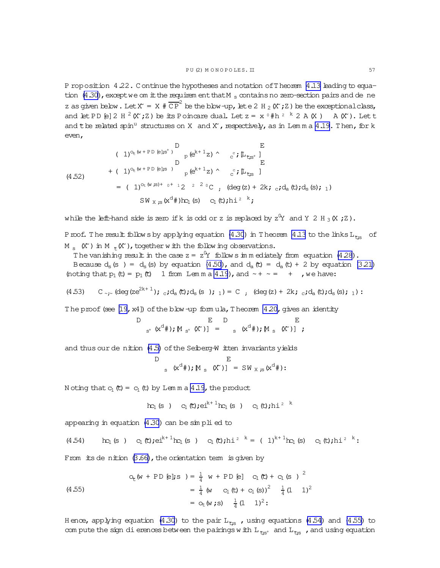<span id="page-56-0"></span>P roposition 4.22. Continue the hypotheses and notation of T heorem 4.13 leading to equation  $(4.30)$ , except we om it the requirem ent that M<sub>s</sub> contains no zero-section pairs and de ne z as given below. Let  $X = X \# \overline{CP}^2$  be the blow-up, let e 2 H<sub>2</sub> ( $X$ ; Z) be the exceptional class, and let PD [e] 2 H  $^2$  (X ; Z) be its Poincare dual. Let  $z = x$   $0$  #h  $2$   $k$  2 A (X) A (X). Let t and the related spin<sup>11</sup> structures on X and X', respectively, as in Lemma 4.19. Then, for k even,

(4.52)  
\n
$$
(\begin{array}{ccc} 1)^{O_{\text{t}}(w+PD_{\text{e}}|_{\mathcal{S}^{+}})} & D & E \\ D & D & E \\ (4.52) & 0 & 0 \\ (4.52) & 0 & 0 \\ (4.52) & 0 & 0 \\ (4.52) & 0 & 0 \\ (4.52) & 0 & 0 \\ (4.52) & 0 & 0 \\ (4.52) & 0 & 0 \\ (4.52) & 0 & 0 \\ (4.52) & 0 & 0 \\ (4.52) & 0 & 0 \\ (4.52) & 0 & 0 \\ (4.52) & 0 & 0 \\ (4.52) & 0 & 0 \\ (4.52) & 0 & 0 \\ (4.52) & 0 & 0 \\ (4.52) & 0 & 0 \\ (4.52) & 0 & 0 \\ (4.52) & 0 & 0 \\ (4.52) & 0 & 0 \\ (4.52) & 0 & 0 \\ (4.52) & 0 & 0 \\ (4.52) & 0 & 0 \\ (4.52) & 0 & 0 \\ (4.52) & 0 & 0 \\ (4.52) & 0 & 0 \\ (4.52) & 0 & 0 \\ (4.52) & 0 & 0 \\ (4.52) & 0 & 0 \\ (4.52) & 0 & 0 \\ (4.52) & 0 & 0 \\ (4.52) & 0 & 0 \\ (4.52) & 0 & 0 \\ (4.52) & 0 & 0 \\ (4.52) & 0 & 0 \\ (4.52) & 0 & 0 \\ (4.52) & 0 & 0 \\ (4.52) & 0 & 0 \\ (4.52) & 0 & 0 \\ (4.52) & 0 & 0 \\ (4.52) & 0 & 0 \\ (4.52) & 0 & 0 \\ (4.52) & 0 & 0 \\ (4.52) & 0 & 0 \\ (4.52) & 0 & 0 \\ (4.52) & 0 & 0 \\ (4.52) & 0 & 0 \\ (4.52) & 0 & 0 \\ (4.52) & 0 & 0 \\ (4.52) & 0 & 0 \\ (4.52) & 0 & 0 \\ (4.52) & 0 & 0 \\ (4.52) & 0 & 0 \\ (4.52) & 0 & 0 \\ (4.52) & 0 &
$$

while the left-hand side is zero if k is odd or z is replaced by  $z^{0}Y$  and Y 2 H  $_{3}$  (X  $_{7}Z$ ).

Proof. The result follows by applying equation (4.30) in Theorem 4.13 to the links  $L_{\tau_{\text{NS}}}$  of M<sub>s</sub>  $(X')$  in M<sub>\*</sub> $(X')$ , together with the following observations.

The vanishing result in the case  $z = z^0 Y$  follows in m ediately from equation (4.28).

Because  $d_s$  (s) =  $d_s$  (s) by equation (4.50), and  $d_a$  (c) =  $d_a$  (c) + 2 by equation (3.21) (noting that  $p_1(t) = p_1(t)$  1 from Lemma 4.19), and  $\sim + \sim = +$ , we have:

$$
(4.53) \quad C_{\gamma r} (\deg (ze^{2k+1}) \, ; \, {}_{c} \, id_{a} \, (t) \, ; \, d_{s} \, (s) \, ; \, {}_{1}) = C \quad , \quad (\deg (z) + 2k \, ; \, {}_{c} \, id_{a} \, (t) \, ; \, d_{s} \, (s) \, ; \, {}_{1}) = C \quad , \quad \text{if} \, id_{c} \, (t) \, ; \, d_{c} \, (t) \, ; \, d_{c} \, (t) \, ; \, d_{c} \, (t) \, ; \, d_{c} \, (t) \, ; \, d_{c} \, (t) \, ; \, d_{c} \, (t) \, ; \, d_{c} \, (t) \, ; \, d_{c} \, (t) \, ; \, d_{c} \, (t) \, ; \, d_{c} \, (t) \, ; \, d_{c} \, (t) \, ; \, d_{c} \, (t) \, ; \, d_{c} \, (t) \, ; \, d_{c} \, (t) \, ; \, d_{c} \, (t) \, ; \, d_{c} \, (t) \, ; \, d_{c} \, (t) \, ; \, d_{c} \, (t) \, ; \, d_{c} \, (t) \, ; \, d_{c} \, (t) \, ; \, d_{c} \, (t) \, ; \, d_{c} \, (t) \, ; \, d_{c} \, (t) \, ; \, d_{c} \, (t) \, ; \, d_{c} \, (t) \, ; \, d_{c} \, (t) \, ; \, d_{c} \, (t) \, ; \, d_{c} \, (t) \, ; \, d_{c} \, (t) \, ; \, d_{c} \, (t) \, ; \, d_{c} \, (t) \, ; \, d_{c} \, (t) \, ; \, d_{c} \, (t) \, ; \, d_{c} \, (t) \, ; \, d_{c} \, (t) \, ; \, d_{c} \, (t) \, ; \, d_{c} \, (t) \, ; \, d_{c} \, (t) \, ; \, d_{c} \, (t) \, ; \, d_{c} \, (t) \, ; \, d_{c} \, (t) \, ; \, d_{c} \, (t) \, ; \, d_{c} \, (t) \, ; \, d_{c}
$$

The proof (see [19, x4]) of the blow-up formula, Theorem  $4.20$ , gives an identity

D E D E  
<sub>s<sup>+</sup></sub> 
$$
(x^d#)
$$
;  $M_{s^+}$   $(X^c)$   $] =$  <sub>s</sub>  $(x^d#)$ ;  $M_{s}$   $(X^c)$   $] ;$ 

and thus our de nition (4.5) of the Seiberg-W itten invariants yields

D 
$$
E
$$
  
<sub>s</sub>  $(x^d#); [M_s (X')] = SW_{X,s}(x^d#):$ 

N oting that  $c_1(t) = c_1(t)$  by Lemma 4.19, the product

$$
\qquad\qquad\text{hc}_1\text{ (s ) }\quad c_1\text{ (t) } \text{;} \text{ei}^{k+1}\text{hc}_1\text{ (s ) }\quad c_1\text{ (t) } \text{;} \text{hi}^2 \quad ^k
$$

appearing in equation  $(4.30)$  can be simplied to

 $\sim$   $\sim$ 

$$
(4.54) \quad \text{lc}_1 \text{ (s)} \quad c_1 \text{ (t)}; \text{el}^{k+1} \text{lc}_1 \text{ (s)} \quad c_1 \text{ (t)}; \text{hi}^{2-k} = (1)^{k+1} \text{lc}_1 \text{ (s)} \quad c_1 \text{ (t)}; \text{hi}^{2-k}:
$$

From its de nition  $(3.66)$ , the orientation term is given by

(4.55)  
\n
$$
Q_{t}(w + PD \text{ } E); s) = \frac{1}{4} w + PD \text{ } E] \quad C_{1}(t) + C_{1}(s) \overset{?}{=} (4.55)
$$
\n
$$
= \frac{1}{4} (w \quad C_{1}(t) + C_{1}(s))^{2} \quad \frac{1}{4} (1 \quad 1)^{2}
$$
\n
$$
= O_{t}(w \text{ } ; s) \quad \frac{1}{4} (1 \quad 1)^{2} :
$$

Hence, applying equation (4.30) to the pair  $L_{\tilde{\tau}_{25}}$ , using equations (4.54) and (4.55) to com pute the sign di erences between the pairings with  $L_{\text{ts}}$  and  $L_{\text{ts}}$ , and using equation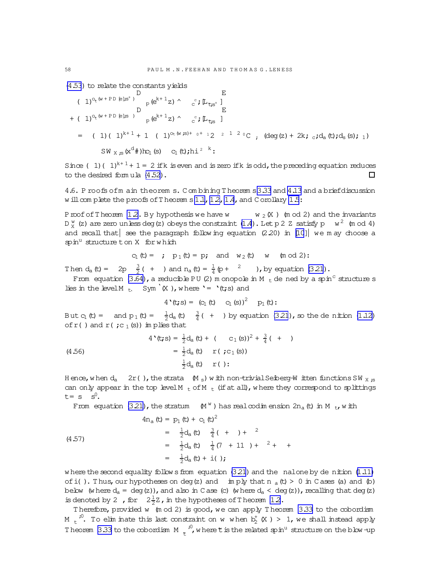[\(4.53](#page-56-0)) to relate the constants yields

( 1)o~<sup>t</sup> (w + P D [e];s <sup>+</sup> ) D <sup>p</sup>(e <sup>k</sup>+ 1z)^ <sup>c</sup> <sup>c</sup> ;[L~t;s<sup>+</sup> ] E + ( 1)o~<sup>t</sup> (w + P D [e];s ) D <sup>p</sup>(e <sup>k</sup>+ 1z)^ <sup>c</sup> <sup>c</sup> ;[L~t;<sup>s</sup> ] E = ( 1)( 1)k+ 1 + 1 ( 1)ot(w ;s)+ <sup>0</sup><sup>+</sup> <sup>1</sup> 2 <sup>2</sup> <sup>1</sup> <sup>2</sup> <sup>0</sup> C; (deg(z)+ 2k;c;da(t);ds(s);1) SW X ;s(x <sup>d</sup>#)hc1(s) c1(t);hi 2 k :

Since ( 1)(  $1$ )<sup>k+ 1</sup> + 1 = 2 ifk is even and is zero ifk is odd, the preceding equation reduces to the desired form ula [\(4.52\)](#page-56-0).  $\Box$ 

4.6. P roofs ofm ain theorem s. C om bining T heorem s[3.33](#page-40-0) and [4.13](#page-50-0) and a briefdiscussion w ill com plete the proofs of Theorem  $s 1.1$ ,  $1.2$ ,  $1.4$ , and C orollary  $1.5$ :

Proof of Theorem [1.2.](#page-3-0) By hypothesis we have w  $w_2(X)$  (m od 2) and the invariants D  $_{\text{X}}^{\text{w}}$  (z) are zero unless deg(z) obeys the constraint [\(1.4](#page-1-0)). Let p 2 Z satisfy p  $_{\text{W}}$   $^{2}$  (m od 4) and recall that  $|$  see the paragraph follow ing equation (2.20) in [\[10](#page-63-0)] we m ay choose a  $spin<sup>u</sup>$  structure ton X for which

$$
c_1(t) =
$$
 ;  $p_1(t) = p$ ; and  $w_2(t)$  w (mod 2):

Then  $d_a(t) = 2p \frac{3}{2}$  $\frac{3}{2}$  ( + ) and n<sub>a</sub> (t) =  $\frac{1}{4}$  (p + <sup>2</sup> ), by equation [\(3.21](#page-26-0)).

From equation  $(3.64)$ , a reducible PU (2) m onopole in M  $_{\rm t}$  de ned by a spin<sup>c</sup> structure s lies in the level M t, Sym<sup>'</sup>(X ), where '= '(t;s) and

$$
4'(t; s) = (c_1(t) c_1(s))^2 p_1(t):
$$

But  $c_1$  (t) = and  $p_1$  (t) =  $\frac{1}{2}d_a$  (t)  $\frac{3}{4}$  $\frac{3}{4}$  ( + ) by equation [\(3.21](#page-26-0)), so the denition [\(1.12\)](#page-3-0) of  $r($  ) and  $r($  ;  $c_1$  (s)) im plies that

(4.56)  
\n
$$
4'(t; s) = \frac{1}{2} d_a(t) + (c_1(s))^2 + \frac{3}{4}(t)
$$
\n
$$
= \frac{1}{2} d_a(t) \quad r (t; c_1(s))
$$
\n
$$
\frac{1}{2} d_a(t) \quad r (t);
$$

H ence, w hen  $d_a = 2r($ ), the strata  $(M_s)$  w ith non-trivial Seiberg-W itten functions SW  $_X$  ;s can only appear in the top level M  $_{t}$  of M  $_{t}$  (if at all), where they correspond to splittings  $t = s$   $s^0$ .

From equation [\(3.21\)](#page-26-0), the stratum  $(M^w)$  has realcodim ension 2n<sub>a</sub> (t) in M <sub>t</sub>, with

(4.57)  
\n
$$
4n_a(t) = p_1(t) + c_1(t)^2
$$
\n
$$
= \frac{1}{2}d_a(t) \frac{3}{4}(t) + 2
$$
\n
$$
= \frac{1}{2}d_a(t) \frac{1}{4}(7 + 11) + 2 + 4
$$
\n
$$
= \frac{1}{2}d_a(t) + i(j)
$$

w here the second equality follows from equation  $(3.21)$  and the nalone by denition  $(1.11)$ ofi(). Thus, our hypotheses on deg(z) and imply that  $n_a(t) > 0$  in C ases (a) and (b) below (w here  $d_a = deg(z)$ ), and also in C ase (c) (w here  $d_a < deg(z)$ ), recalling that  $deg(z)$ is denoted by 2, for  $2\frac{1}{2}$  $\frac{1}{2}$ Z, in the hypotheses of Theorem 12.

Therefore, provided w (m od 2) is good, we can apply Theorem [3.33](#page-40-0) to the cobordism M  $_{\rm t}$  io. To elim inate this last constraint on w when  ${\rm b}_2^{\rm t}$  (X ) > 1, we shall instead apply Theorem [3.33](#page-40-0) to the cobordism  $M_{\odot}$ <sup>10</sup>  $\tau^{^{i0}}$ , where  $\tau$  is the related spin<sup>u</sup> structure on the blow -up

<span id="page-57-0"></span>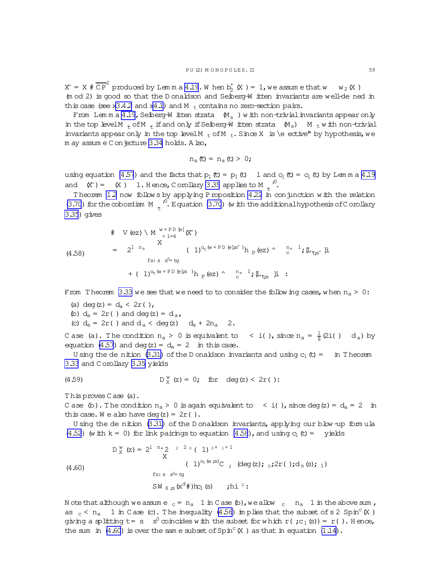<span id="page-58-0"></span> $X = X \# \overline{\text{CP}}^2$  produced by Lemma [4.19](#page-54-0). When  $b_2^{\dagger}(X) = 1$ , we assume that w w<sub>2</sub>(X) (m od 2) is good so that the D onaldson and Seiberg-W itten invariants are well-dened in this case (see x[3.4.2](#page-30-0) and x[4.1\)](#page-42-0) and M  $<sub>t</sub>$  contains no zero-section pairs.</sub>

From Lem m a [4.19](#page-54-0), Seiberg-W itten strata  $(M_{\rm s}$  ) w ith non-trivial invariants appear only in the top levelM  $_{+}$  ofM  $_{+}$  if and only if Seiberg-W itten strata  $(M_s)$  M  $_{t}$  w ith non-trivial invariants appear only in the top level M  $_{\rm t}$  of M  $_{\rm t}$ . Since X is \e ective" by hypothesis, we m ay assum e C on jecture [3.34](#page-41-0) holds. A lso,

$$
n_a(t) = n_a(t) > 0;
$$

using equation [\(4.57](#page-57-0)) and the facts that  $p_1$  (t) =  $p_1$  (t) 1 and  $c_1$  (t) =  $c_1$  (t) by Lem m a [4.19](#page-54-0) and  $(X') = (X)$  1. Hence, Corollary [3.35](#page-41-0) applies to M  $\sqrt{10}$ , ″<br>\*

Theorem [1.2](#page-3-0) now follow s by applying Proposition [4.22](#page-55-0) in conjunction with the relation [\(3.70](#page-41-0)) for the cobordism  $M_{\star}$ <sup>;0</sup>  $\tau^{''}$ . Equation [\(3.70](#page-41-0)) (with the additional hypothesis of C orollary [3.35](#page-41-0)) gives

$$
(4.58)
$$

$$
V (ez) \setminus M \xrightarrow{w+PD [e]} (X')
$$
\n
$$
= 2^{1 n_a} \qquad (1)^{O_{t} (w+PD [e]; s^{+})} h_{p} (ez) \wedge \xrightarrow{n_a} {}^{1}; \mathbb{L}_{\mathfrak{t}; s} \mathfrak{h}
$$
\n
$$
= (1)^{O_{t} (w+PD [e]; s)} h_{p} (ez) \wedge \xrightarrow{n_a} {}^{1}; \mathbb{L}_{\mathfrak{t}; s} \mathfrak{h} :
$$

From Theorem [3.33](#page-40-0) we see that we need to to consider the following cases, when  $n_a > 0$ :

(a) deg(z) =  $d_a < 2r($  ),

(b) 
$$
d_a = 2r()
$$
 and  $deg(z) = d_a$ ,

(c)  $d_a = 2r($  ) and  $d_a < deg(z)$   $d_a + 2n_a$  2.

Case (a). The condition  $n_a > 0$  is equivalent to  $\alpha < 1$  ( ), since  $n_a = \frac{1}{8}$  $\frac{1}{8}$  (2i( ) d<sub>a</sub>) by equation [\(4.57\)](#page-57-0) and deg(z) =  $d_a = 2$  in this case.

U sing the de nition  $(3.31)$  of the D onaldson invariants and using  $c_1$  (t) = in T heorem [3.33](#page-40-0) and C orollary [3.35](#page-41-0) yields

(4.59) 
$$
D_X^w(z) = 0
$$
; for deg(z) < 2r( ):

T his proves C ase (a).

C ase (b). The condition  $n_a > 0$  is again equivalent to  $\leq i$  (), since deg(z) =  $d_a = 2$  in this case. We also have deg(z) =  $2r()$ .

U sing the denition  $(3.31)$  of the D onaldson invariants, applying our blow -up formula [\(4.52](#page-56-0)) (w ith  $k = 0$ ) for link pairings to equation (4.58), and using  $c_1(t) =$  yields

$$
D_X^{\text{w}}(z) = 2^{1 \text{ n}_a} 2^{-2 \text{ o}} (1)^{0+1+1}
$$
  
\n
$$
(1)^{O_E(\text{w}, \text{ss})} C, (\text{deg}(z); c; 2r); d_s(s); 1)
$$
  
\n
$$
f_s: s^{O_E} \text{tg}
$$
  
\n
$$
SW_{X, \text{ss}}(x^d \#)bc_1(s)
$$
,  $i h^{2}$ :

N ote that although we assume  $c = n_a$  1 in C ase (b), we allow  $c = n_a$  1 in the above sum, as  $_{\rm c}$  < n<sub>a</sub> 1 in C ase (c). The inequality [\(4.56\)](#page-57-0) in plies that the subset of s 2 Spin<sup>c</sup> (X) giving a splitting t= s  $\,$  s $^0$  coincides with the subset for which r( ; c $_1$  (s)) = r( ). Hence, the sum in  $(4.60)$  is over the same subset of Spin<sup>c</sup> (X ) as that in equation  $(1.14)$ .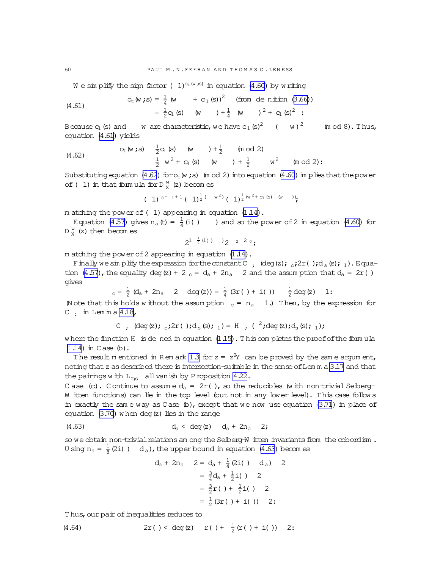We sim plify the sign factor ( 1)<sup>ot (w is)</sup> in equation [\(4.60](#page-58-0)) by w riting

(4.61) 
$$
O_{t}(w \cdot s) = \frac{1}{4}(w + c_{1}(s))^{2} \quad \text{(from de nition (3.66))}
$$

$$
= \frac{1}{2}c_{1}(s) \quad (w + c_{1}(s)) + \frac{1}{4}(w + c_{1}(s))^{2} + c_{1}(s)^{2}:
$$

Because  $c_1$  (s) and  $w$  are characteristic, we have  $c_1$  (s)<sup>2</sup> (w)  $(m od 8)$ . Thus, equation (4.61) yields

(4.62) 
$$
O_{t}(w \text{ ; } s) = \frac{1}{2}C_{1}(s) \quad (w + 1 + \frac{1}{2} \quad (m \text{ od } 2)
$$

$$
\frac{1}{2} w^{2} + C_{1}(s) \quad (w + 1 + \frac{1}{2} w^{2} \quad (m \text{ od } 2)
$$

Substituting equation (4.62) for  $o_t(w ; s)$  (m od 2) into equation [\(4.60](#page-58-0)) im plies that the power of ( 1) in that form ula for  $D_X^w$  (z) becomes

$$
(1)^{0^+1^+1} (1)^{\frac{1}{2}(-w^2)} (1)^{\frac{1}{2}(w^2+c_1(s)-(w-))}
$$

m atching the power of( 1) appearing in equation [\(1.14\)](#page-3-0).

Equation [\(4.57](#page-57-0)) gives  $n_a(t) = \frac{1}{4}(i($  ) and so the power of 2 in equation [\(4.60](#page-58-0)) for  $D_X^W$  (z) then becomes

 $2^{1} \frac{1}{4}$  (i( ) )  $2^{2}$  2 0;

m atching the power of2 appearing in equation [\(1.14](#page-3-0)).

Finally we simplify the expression for the constant C  $;$  (deg(z);  $_{c}$ ;2r();d<sub>s</sub>(s);<sub>1</sub>). Equa-tion [\(4.57](#page-57-0)), the equality deg(z) + 2  $_c$  =  $d_a$  + 2n<sub>a</sub> 2 and the assum ption that  $d_a = 2r( )$ gives

$$
_{c} = \frac{1}{2} (d_{a} + 2n_{a} 2 \deg(z)) = \frac{1}{4} (3r ( ) + i ( )) \frac{1}{2} deg(z) 1:
$$

(N ote that this holds w ithout the assumption  $c = n_a - 1$ .) Then, by the expression for C; in Lem m a [4.18,](#page-52-0)

C, 
$$
(deg(z); c; 2r( ); d_s(s); 1) = H ; (2; deg(z); d_s(s); 1);
$$

where the function H is dened in equation  $(1.15)$ . This completes the proof of the formula  $(1.14)$  $(1.14)$  in Case  $(b)$ .

The result m entioned in Rem ark [1.3](#page-3-0) for  $z = z^0Y$  can be proved by the same argument, noting that z as described there is intersection-suitable in the sense of Lem m a [3.17](#page-28-0) and that the pairings with  $L_{\tau,s}$  all vanish by Proposition [4.22.](#page-55-0)

C ase (c). C ontinue to assume  $d_a = 2r($  ), so the reducibles (with non-trivial Seiberg-W itten functions) can lie in the top level (but not in any lower level). This case follow s in exactly the same way as C ase  $(b)$ , except that we now use equation  $(3.71)$  in place of equation [\(3.70\)](#page-41-0) w hen deg(z) lies in the range

(4.63) 
$$
d_a < deg(z) d_a + 2n_a 2
$$
;

so we obtain non-trivial relations am ong the Seiberg-W itten invariants from the cobordism. U sing  $n_a = \frac{1}{8}$  $\frac{1}{8}$  (2i( ) d<sub>a</sub>), the upper bound in equation (4.63) becomes

$$
d_{a} + 2n_{a} \quad 2 = d_{a} + \frac{1}{4} (2i) \quad d_{a}) \quad 2
$$

$$
= \frac{3}{4} d_{a} + \frac{1}{2} i) \quad 2
$$

$$
= \frac{3}{2} r \left( 1 + \frac{1}{2} i \right) \quad 2
$$

$$
= \frac{1}{2} (3r \left( 1 + i \right)) \quad 2
$$

Thus, our pair of inequalities reduces to

(4.64) 
$$
2r( ) < deg(z) \ r( ) + \frac{1}{2}(r( ) + i( )) 2:
$$

<span id="page-59-0"></span>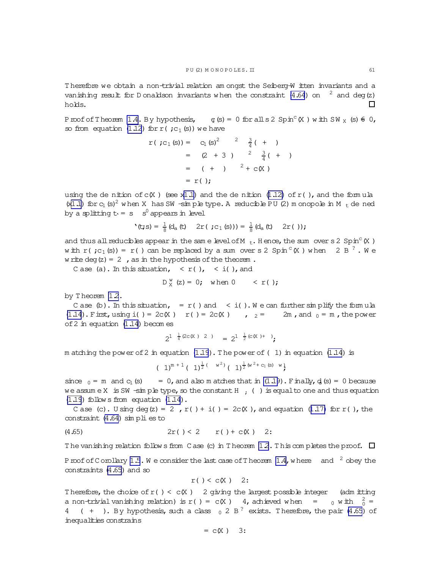<span id="page-60-0"></span>T herefore we obtain a non-trivial relation am ongst the Seiberg-W itten invariants and a vanishing result for D onaldson invariants when the constraint [\(4.64](#page-59-0)) on  $2$  and deg(z) holds. П

Proof of Theorem [1.4.](#page-4-0) By hypothesis,  $\varphi(s) = 0$  for all  $s \geq 2$  Spin<sup>c</sup> (X ) w ith SW <sub>x</sub> (s)  $\theta$  0, so from equation [\(1.12](#page-3-0)) for  $r$  (;c<sub>1</sub>(s)) we have

$$
r ( ;c1 (s)) = c1 (s)2 2 3/4 ( + )
$$
  
= (2 + 3 ) <sup>2</sup> <sup>3</sup>/<sub>4</sub> ( + )  
= (+ ) <sup>2</sup> + c(X )  
= r ( );

using the de nition of  $c(X)$  (see x[1.1\)](#page-0-0) and the de nition [\(1.12\)](#page-3-0) of  $r($ ), and the formula  $(x1.1)$  $(x1.1)$  for  $c_1$  (s)<sup>2</sup> w hen X has SW -sim ple type. A reducible PU (2) m onopole in M  $_t$  de ned by a splitting  $t_1 = s - s^0$  appears in level

$$
f(t; s) = \frac{1}{8} (d_a(t) - 2r(\cdot; c_1(s))) = \frac{1}{8} (d_a(t) - 2r(\cdot));
$$

and thus all reducibles appear in the same level of M  $_t$ . H ence, the sum over s 2 Spin<sup>c</sup>  $(X)$ with  $r$  (  $;c_1$  (s)) =  $r$  ( ) can be replaced by a sum over s 2 Spin  $\textdegree$  (X ) when  $\textdegree$  2 B  $\textdegree$  . We w rite deg(z) = 2, as in the hypothesis of the theorem.

C ase (a). In this situation,  $\langle r( \rangle, \langle i( \rangle)$ , and

$$
D_X^w(z) = 0; \text{ when } 0 < r();
$$

by Theorem 12.

C ase (b). In this situation, =  $r()$  and < i(). We can further simplify the formula [\(1.14](#page-3-0)). First, using i() = 2c(X )  $r$  () = 2c(X ) ,  $r = 2r$  and  $r = 2m$ , and  $r = 0$ , the power of2 in equation [\(1.14](#page-3-0)) becom es

$$
2^{1-\frac{1}{4}(2c(X)-2)} = 2^{1-\frac{1}{2}(c(X)+)},
$$

m atching the power of 2 in equation  $(1.19)$ . The power of (1) in equation  $(1.14)$  is

$$
(1)^{m+1} (1)^{\frac{1}{2} (w^2)} (1)^{\frac{1}{2} (w^2 + c_1 (s) w})
$$

since  $_0$  = m and  $c_1$  (s) = 0, and also m atches that in  $(1.19)$ . Finally,  $d_1$  (s) = 0 because we assume X is SW -simple type, so the constant H  $;$  () is equal to one and thus equation [\(1.19](#page-4-0)) follow s from equation [\(1.14](#page-3-0)).

C ase (c). U sing deg(z) = 2,  $r( ) + i( ) = 2c(X)$ , and equation [\(1.17\)](#page-4-0) for r(), the constraint  $(4.64)$  simplies to

(4.65) 
$$
2r( ) < 2 \t r( ) + c(X) 2
$$
:

The vanishing relation follow sfrom C ase (c) in T heorem  $1.2$ . T his completes the proof.  $\Box$ 

Proof of Corollary [1.5](#page-4-0). We consider the last case of T heorem [1.4,](#page-4-0) w here and  $2$  obey the constraints (4.65) and so

$$
r( ) < c(X) \quad 2:
$$

Therefore, the choice of  $r$  () < c(X ) 2 giving the largest possible integer (adm itting a non-trivial vanishing relation) is  $r() = c(X)$  4, achieved when  $=$  0 with  $\frac{2}{0}$ 4 ( + ). By hypothesis, such a class  $_0$  2 B<sup>?</sup> exists. Therefore, the pair (4.65) of inequalities constrains

 $= c(X)$  3: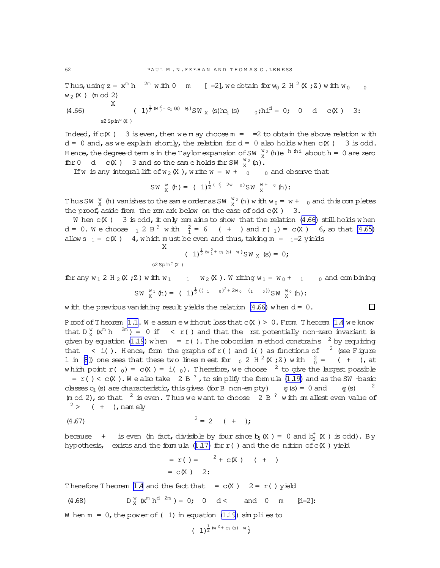Thus,using  $z = x^m h$   $^{2m}$  with  $0$   $m$  [=2], we obtain for  $w_0$  2 H  $^2$  (X ; Z ) with  $w_0$  0  $w_2(X)$  (m od 2)

(4.66) 
$$
\begin{array}{ccccccccc}\n & X & (1)^{\frac{1}{2}(w_0^2 + c_1(s) - w)}SW_X(s)hc_1(s) & 0;hi^d = 0; & 0 & d & c(X) & 3: \\
 & & s2\,Spin^c(X)\n\end{array}
$$

Indeed, if  $c(X)$  3 is even, then we m ay choose m =  $=2$  to obtain the above relation with  $d = 0$  and, as we explain shortly, the relation for  $d = 0$  also holds when  $c(X) = 3$  is odd. Hence, the degree-d term sin the Taylor expansion of SW  $\frac{w}{x}$  (h)e  $\frac{h \cdot h i}{x}$  abouth = 0 are zero for 0 d  $C(X)$  3 and so the same holds for SW  $_{X}^{w_0}$  (h).

If w is any integral lift of  $w_2(X)$ , write  $w = w + 0$  o and observe that

$$
SW \, \, \stackrel{w}{X} \, \, (h) = \, \, (-1)^{\frac{1}{2} \, (\, \frac{2}{0} \, 2w \, \, 0 \, )} SW \, \, \stackrel{w}{X}^+ \, \, ^0 (h) : \\
$$

Thus SW  $\frac{w}{X}$  (h) vanishes to the same order as SW  $\frac{w}{X}$  (h) with  $w_0 = w + 0$  and this completes the proof, aside from the rem ark below on the case of odd  $c(X)$  3.

W hen  $c(X)$  3 is odd, it only rem ains to show that the relation  $(4.66)$  still holds when d = 0. W e choose  $_1$  2 B<sup>?</sup> with  $_1^2$  = 6 ( + ) and r( <sub>1</sub>) = c(X ) 6, so that [\(4.65\)](#page-60-0) allow s  $_1 = c(X)$  4, w hich m ust be even and thus, taking m =  $_1=2$  yields X

$$
(1)^{\frac{1}{2}(w_1^2 + c_1(s) - w)}SW_X(s) = 0;
$$

for any  $w_1$  2 H<sub>2</sub> (X ; Z) w ith  $w_1$  1  $w_2$  (X). W riting  $w_1 = w_0 + 1$  0 and com bining

$$
SW_{X}^{\text{W1}}(\hbar) = (1)^{\frac{1}{2}((1-\sigma)^{2}+2w_{0}-(1-\sigma))}SW_{X}^{\text{W0}}(\hbar);
$$

w ith the previous vanishing result yields the relation  $(4.66)$  when  $d = 0$ .

Proof of Theorem  $1.1.$  W e assume w ithout  $\text{loss}$  that  $c(X) > 0$ . From Theorem [1.4](#page-4-0) we know that  $D_{X}^{w}(x^{m} h^{-2m}) = 0$  if  $\langle r(1) \rangle$  and that the rst potentially non-zero invariant is given by equation [\(1.19](#page-4-0)) w hen =  $r($ ). The cobordism m ethod constrains  $2$  by requiring that  $\langle i \rangle$ . Hence, from the graphs of r() and i() as functions of  $\langle i \rangle$  (see Figure 1 in [\[8](#page-63-0)]) one sees that these two lines meet for  $_0$  2 H  $^2$  (X;Z) with  $_0^2$  = ( + ), at which point r( $_0$ ) = c(X) = i( $_0$ ). Therefore, we choose <sup>2</sup> to give the largest possible =  $r$ () <  $c(X)$ . We also take 2 B<sup>?</sup>, to simplify the formula [\(1.19\)](#page-4-0) and as the SW -basic classes  $c_1$  (s) are characteristic, this gives (for B non-em pty)  $c_1(s) = 0$  and  $c_1(s)$ 2

 $(m \text{ od } 2)$ , so that  $2 \text{ is even.}$  Thus we want to choose  $2 B$   $3 \text{ with } sm$  allest even value of  $2 >$  ( + ), namely

$$
(4.67) \t\t\t\t $2 = 2 \t (+)$
$$

because + is even (in fact, divisible by four since  $b_1(X) = 0$  and  $b_2^{\dagger}(X)$  is odd). By hypothesis, exists and the formula  $(1.17)$  for  $r$  () and the denition of  $c(X)$  yield

$$
= r( ) = {^{2} + c(X) ( + )}
$$
  
= c(X) 2:

Therefore Theorem [1.4](#page-4-0) and the fact that  $= c(X)$   $2 = r( )$  yield

(4.68) 
$$
D_X^w(x^m h^{d-2m}) = 0
$$
; 0 d < and 0 m [d=2]:

W hen  $m = 0$ , the power of (1) in equation [\(1.19\)](#page-4-0) simplies to

$$
(1)^{\frac{1}{2}(w^2 + c_1(s) - w)}
$$

<span id="page-61-0"></span>

 $\Box$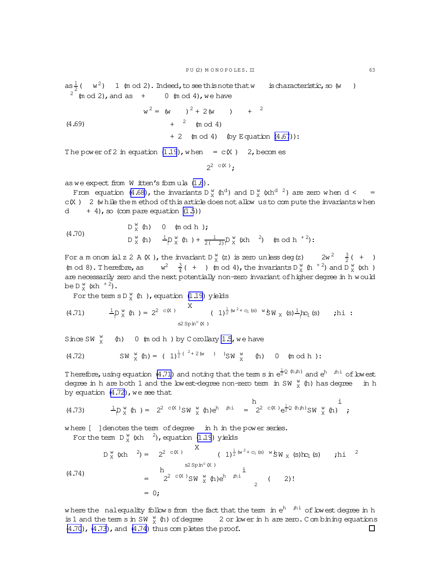as  $\frac{1}{2}$  (  $w^2$ ) 1 (m od 2). Indeed, to see this note that w is characteristic, so (w )  $2 \text{ (mod 2)}$ , and as  $+$  0 (m od 4), we have

$$
w^{2} = (w^{2} + 2(w^{2} + 2w^{2}) + 2w^{2}) + 2w^{2}
$$

 $+ 2$  (m od 4) (by Equation  $(4.67)$ ):

The power of 2 in equation  $(1.19)$ , when = c(X) 2, becomes

$$
2^{2} \circ (X)
$$
:

as we expect from  $W$  itten's formula  $(1.6)$ .

 $(4.69)$ 

From equation (4.68), the invariants D  $^w_x$  (h<sup>d</sup>) and D  $^w_x$  (xh<sup>d 2</sup>) are zero when d <  $c(X)$  2 (while them ethod of this article does not allow us to compute the invariants when d  $+4$ , so (com pare equation  $(1.5)$ )

(4.70) 
$$
D_X^w(h)
$$
 0 (mod h);  
\n $D_X^w(h)$   $\frac{1}{\cdot}D_X^w(h) + \frac{1}{2(\frac{2}{\cdot})}D_X^w(kh)^2$  (mod h<sup>+2</sup>):

For a m onom ial z 2 A (X), the invariant  $D_{X}^{w}(z)$  is zero unless deg(z)  $2w^{2} = \frac{3}{2}(1 + 1)$ (m od 8). Therefore, as  $w^2 = \frac{3}{4}(t + 1)$  (m od 4), the invariants  $D_x^w$  (h  $^{+2}$ ) and  $D_x^w$  (xh) are necessarily zero and the next potentially non-zero invariant of higher degree in h would be  $D_{v}^{w}$  (xh<sup>+2</sup>).

For the term  $s D_X^w$  (h), equation (1.19) yields

(4.71) 
$$
\frac{1}{2} \rho_X^w(h) = 2^{2 \csc x} \left(1 \right)^{\frac{1}{2}(w^2 + c_1(s) - w)} \sin x(s) \frac{1}{2} \pi_1(s) \text{ in } \mathbb{R}.
$$

Since SW  $\frac{W}{Y}$  (h) 0 (mod h) by Corollary 1.5, we have

(4.72) 
$$
SW_X^W(h) = (1)^{\frac{1}{2}(2+2(w))}
$$
  $SW_X^W(h)$  0 (mod h):

Therefore, using equation (4.71) and noting that the term s in  $e^{\frac{1}{2}Q(h,h)}$  and  $e^h$  <sup>hi</sup> of lowest degree in h are both 1 and the low est-degree non-zero term in SW  $\frac{w}{x}$  (h) has degree in h by equation  $(4.72)$ , we see that

(4.73) 
$$
\frac{1}{2} p_X^W(h) = 2^{2 \csc X} S W_X^W(h) e^{h} h^{h} = 2^{2 \csc X} e^{\frac{1}{2} Q(h, h)} S W_X^W(h) \frac{1}{K}
$$

where [ ] denotes the term of degree in h in the power series. For the term  $D_{x}^{w}$  (xh  $^{2}$ ), equation (1.19) yields

$$
D_X^w (xh)^2 = 2^{2 c(X)} \n\begin{array}{ccc}\nX & (1)^{\frac{1}{2}(w^2 + c_1(s) - w} \circ N_X(s) h_1(s) & \text{th}^2 \\
& \text{sign}^c(X) & \text{i} \\
& = 2^{2 c(X)} \circ N_X^w (h) e^h & \text{th}^2 \\
& = 0\n\end{array}
$$
\n(4.74)

where the nalequality follows from the fact that the term in  $e^h$   $h^i$  of lowest degree in h is 1 and the term s in SW  $\frac{w}{x}$  (h) of degree 2 or lower in h are zero. Combining equations (4.70), (4.73), and (4.74) thus completes the proof.  $\Box$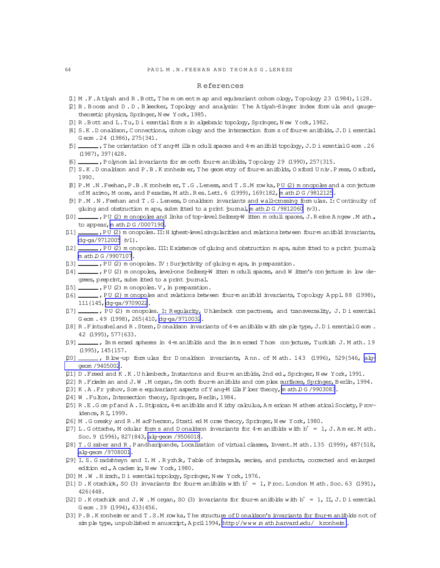### R eferences

- <span id="page-63-0"></span>[1] M.F.A tiyah and R.B ott, The m om entm ap and equivariant cohom ology, Topology 23 (1984), 1{28.
- [2] B . B ooss and D . D . B leecker, Topology and analysis: T he A tiyah-Singer index form ula and gaugetheoretic physics, Springer, N ew York, 1985.
- [3] R.B ott and L.Tu,D i erential form s in algebraic topology, Springer, New York, 1982.
- [4] S.K.D onaldson, C onnections, cohom ology and the intersection form s of four-m anifolds, J.D i erential G eom .24 (1986),275{341.
- [5] ,T he orientation ofY ang-M ills m odulispaces and 4-m anifold topology,J.D ierentialG eom .26 (1987),397{428.
- [6] ,Polynom ialinvariants for sm ooth four-m anifolds,Topology 29 (1990),257{315.
- [7] S.K .D onaldson and P.B .K ronheim er,T he geom etry offour-m anifolds,O xford U niv.Press,O xford, 1990.
- [8] P.M .N .Feehan,P.B .K ronheim er,T .G .Leness,and T .S.M row ka,PU (2) m onopoles and a conjecture of M arino, M core, and P eradze, M ath.R es. Lett. 6 (1999), 169{182, m ath D G /9812125.
- [9] P.M .N .Feehan and T .G .Leness,D onaldson invariants and wall-crossing form ulas.I:C ontinuity of gluing and obstruction m aps, subm itted to a print journal, m ath D G /9812060 (v3).
- [10] ,PU (2) m onopoles and links of top-level Seiberg-W itten m oduli spaces, J.R eine A ngew .M ath., to appear,  $m$  ath  $D G / 0007190$ .
- [11] ,PU (2) m onopoles. II: H ighest-level singularities and relations between four-m anifold invariants, [dg-ga/9712005](http://arxiv.org/abs/dg-ga/9712005) (v1).
- [12] \_\_\_\_, PU (2) m onopoles. III: Existence of gluing and obstruction m aps, subm itted to a print journal; [m ath.D G /9907107](http://arxiv.org/abs/math/9907107).
- [13] \_\_\_\_, PU (2) m onopoles. IV : Surjectivity of gluing m aps, in preparation.
- [14] \_\_\_\_\_, PU (2) m onopoles, level-one Seiberg-W itten m oduli spaces, and W itten's conjecture in low degrees, preprint, subm itted to a print journal.
- $[15]$  \_\_\_\_\_\_, PU (2) m onopoles. V, in preparation.
- [16] ,PU (2) m onopoles and relations between four-m anifold invariants,Topology A ppl.88 (1998), 111{145,[dg-ga/9709022](http://arxiv.org/abs/dg-ga/9709022).
- [17] \_\_\_\_, PU (2) m onopoles. I: R egularity, U hlenbeck com pactness, and transversality, J. D i erential G eom . 49 (1998), 265{410, [dg-ga/9710032](http://arxiv.org/abs/dg-ga/9710032).
- [18] R. Fintusheland R. Stem, D onaldson invariants of 4-m anifolds with simple type, J. D i erential G eom. 42 (1995),577{633.
- [19]  $\ldots$ , Im m ersed spheres in 4-m anifolds and the im m ersed T hom conjecture, Turkish J. M ath. 19 (1995),145{157.
- [20] , B low-up form ulas for D onaldson invariants, A nn. of M ath. 143 (1996), 529{546, [alg](http://arxiv.org/abs/alg-geom/9405002)[geom /9405002](http://arxiv.org/abs/alg-geom/9405002).
- [21] D .Freed and K .K .U hlenbeck,Instantons and four-m anifolds,2nd ed.,Springer,N ew York,1991.
- [22] R .Friedm an and J.W .M organ,Sm ooth four-m anifolds and com plex surfaces,Springer,B erlin,1994.
- [23] K.A.Fryshov, Som e equivariant aspects of Y ang-M ills F loer theory, m ath D G / 9903083.
- [24] W. Fulton, Intersection theory, Springer, Berlin, 1984.
- [25] R .E.G om pfand A .I.Stipsicz,4-m anifolds and K irby calculus,A m erican M athem aticalSociety,Providence, R I, 1999.
- [26] M . G oresky and R . M acPherson, Strati ed M orse theory, Springer, New York, 1980.
- [27] L.G ottsche, M odular form s and D onaldson invariants for 4-m anifolds with  $b^+ = 1$ , J. Am er. M ath. Soc.9 (1996),827{843,[alg-geom /9506018](http://arxiv.org/abs/alg-geom/9506018).
- [28] T. G raber and R. Pandharipande, Localization of virtual classes, Invent. M ath. 135 (1999), 487{518, [alg-geom /9708001](http://arxiv.org/abs/alg-geom/9708001).
- [29] I. S. G radshteyn and I. M . R yzhik, Table of integrals, series, and products, corrected and enlarged edition ed., A cadem ic, N ew York, 1980.
- [30] M .W .H irsch,D ierentialtopology,Springer,N ew York,1976.
- [31] D. K otschick, SO (3) invariants for four-m anifolds with  $b^+ = 1$ , P roc. London M ath. Soc. 63 (1991), 426{448.
- [32] D. K otschick and J.W. M organ, SO (3) invariants for four-m anifolds with  $b^+ = 1$ , II, J. D i erential G eom . 39 (1994), 433{456.
- [33] P.B .K ronheim er and T .S.M row ka,T he structure ofD onaldson's invariants for four-m anifolds notof sim ple type, unpublished m anuscript,  $A$  pril 1994, http://www.m ath.harvard.edu/ kronheim.